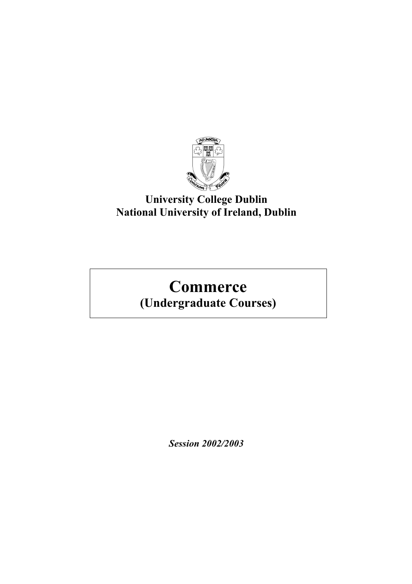

## **University College Dublin National University of Ireland, Dublin**

# **Commerce (Undergraduate Courses)**

*Session 2002/2003*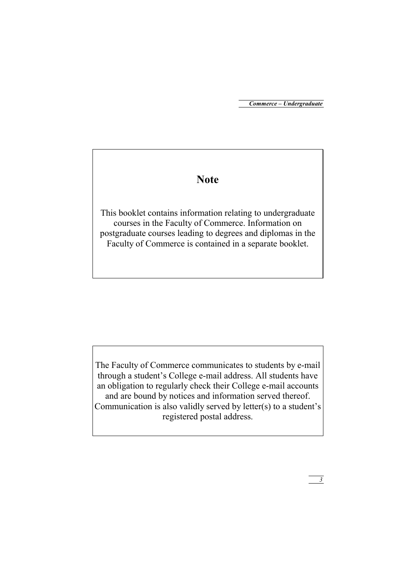## **Note**

This booklet contains information relating to undergraduate courses in the Faculty of Commerce. Information on postgraduate courses leading to degrees and diplomas in the Faculty of Commerce is contained in a separate booklet.

The Faculty of Commerce communicates to students by e-mail through a student's College e-mail address. All students have an obligation to regularly check their College e-mail accounts and are bound by notices and information served thereof. Communication is also validly served by letter(s) to a student's registered postal address.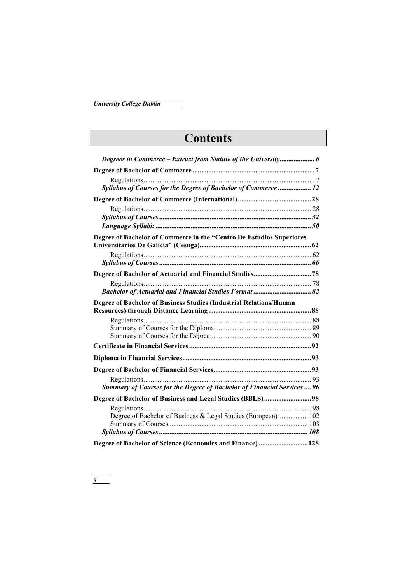# **Contents**

| Syllabus of Courses for the Degree of Bachelor of Commerce  12         |  |
|------------------------------------------------------------------------|--|
|                                                                        |  |
|                                                                        |  |
|                                                                        |  |
|                                                                        |  |
| Degree of Bachelor of Commerce in the "Centro De Estudios Superiores   |  |
|                                                                        |  |
|                                                                        |  |
|                                                                        |  |
|                                                                        |  |
| <b>Bachelor of Actuarial and Financial Studies Format  82</b>          |  |
| Degree of Bachelor of Business Studies (Industrial Relations/Human     |  |
|                                                                        |  |
|                                                                        |  |
|                                                                        |  |
|                                                                        |  |
|                                                                        |  |
|                                                                        |  |
|                                                                        |  |
|                                                                        |  |
| Summary of Courses for the Degree of Bachelor of Financial Services 96 |  |
|                                                                        |  |
|                                                                        |  |
| Degree of Bachelor of Business & Legal Studies (European) 102          |  |
|                                                                        |  |
|                                                                        |  |
| Degree of Bachelor of Science (Economics and Finance)  128             |  |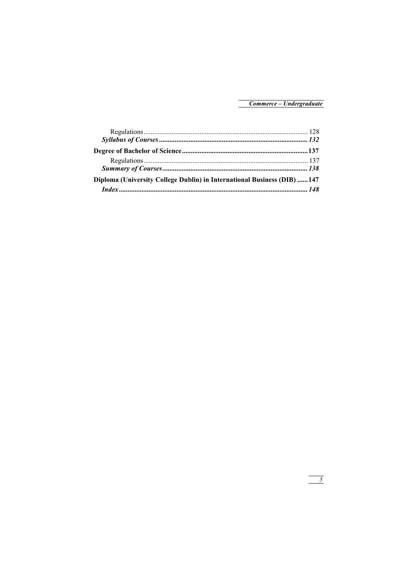| <b>Diploma (University College Dublin) in International Business (DIB) 147</b> |  |
|--------------------------------------------------------------------------------|--|
|                                                                                |  |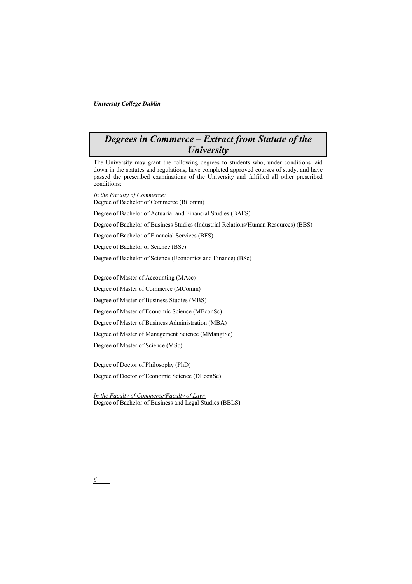## *Degrees in Commerce – Extract from Statute of the University*

The University may grant the following degrees to students who, under conditions laid down in the statutes and regulations, have completed approved courses of study, and have passed the prescribed examinations of the University and fulfilled all other prescribed conditions:

*In the Faculty of Commerce:* Degree of Bachelor of Commerce (BComm)

Degree of Bachelor of Actuarial and Financial Studies (BAFS)

Degree of Bachelor of Business Studies (Industrial Relations/Human Resources) (BBS)

Degree of Bachelor of Financial Services (BFS)

Degree of Bachelor of Science (BSc)

Degree of Bachelor of Science (Economics and Finance) (BSc)

Degree of Master of Accounting (MAcc)

Degree of Master of Commerce (MComm)

Degree of Master of Business Studies (MBS)

Degree of Master of Economic Science (MEconSc)

Degree of Master of Business Administration (MBA)

Degree of Master of Management Science (MMangtSc)

Degree of Master of Science (MSc)

Degree of Doctor of Philosophy (PhD)

Degree of Doctor of Economic Science (DEconSc)

*In the Faculty of Commerce/Faculty of Law:* Degree of Bachelor of Business and Legal Studies (BBLS)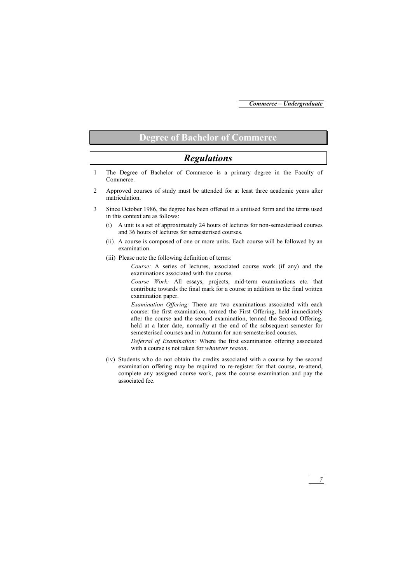## **Degree of Bachelor of Commerce**

## *Regulations*

- 1 The Degree of Bachelor of Commerce is a primary degree in the Faculty of Commerce.
- 2 Approved courses of study must be attended for at least three academic years after matriculation.
- 3 Since October 1986, the degree has been offered in a unitised form and the terms used in this context are as follows:
	- (i) A unit is a set of approximately 24 hours of lectures for non-semesterised courses and 36 hours of lectures for semesterised courses.
	- (ii) A course is composed of one or more units. Each course will be followed by an examination.
	- (iii) Please note the following definition of terms:

*Course:* A series of lectures, associated course work (if any) and the examinations associated with the course.

*Course Work:* All essays, projects, mid-term examinations etc. that contribute towards the final mark for a course in addition to the final written examination paper.

*Examination Offering:* There are two examinations associated with each course: the first examination, termed the First Offering, held immediately after the course and the second examination, termed the Second Offering, held at a later date, normally at the end of the subsequent semester for semesterised courses and in Autumn for non-semesterised courses.

*Deferral of Examination:* Where the first examination offering associated with a course is not taken for *whatever reason*.

(iv) Students who do not obtain the credits associated with a course by the second examination offering may be required to re-register for that course, re-attend, complete any assigned course work, pass the course examination and pay the associated fee.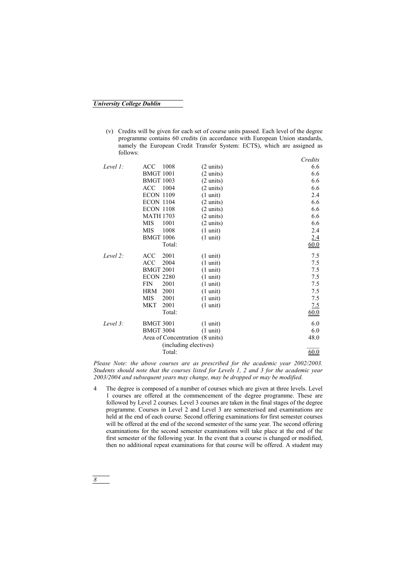(v) Credits will be given for each set of course units passed. Each level of the degree programme contains 60 credits (in accordance with European Union standards, namely the European Credit Transfer System: ECTS), which are assigned as follows:

|             |                                 |                       | Credits     |
|-------------|---------------------------------|-----------------------|-------------|
| Level $l$ : | 1008<br>ACC.                    | $(2 \text{ units})$   | 6.6         |
|             | <b>BMGT 1001</b>                | $(2 \text{ units})$   | 6.6         |
|             | <b>BMGT 1003</b>                | $(2 \text{ units})$   | 6.6         |
|             | ACC<br>1004                     | $(2 \text{ units})$   | 6.6         |
|             | <b>ECON 1109</b>                | $(1 \text{ unit})$    | 2.4         |
|             | <b>ECON 1104</b>                | $(2 \text{ units})$   | 6.6         |
|             | <b>ECON 1108</b>                | $(2 \text{ units})$   | 6.6         |
|             | <b>MATH 1703</b>                | $(2 \text{ units})$   | 6.6         |
|             | <b>MIS</b><br>1001              | $(2 \text{ units})$   | 6.6         |
|             | MIS<br>1008                     | $(1 \text{ unit})$    | 2.4         |
|             | <b>BMGT 1006</b>                | $(1 \text{ unit})$    | 2.4         |
|             | Total:                          |                       | 60.0        |
| Level $2$ : | 2001<br><b>ACC</b>              | $(1 \text{ unit})$    | 7.5         |
|             | ACC<br>2004                     | $(1 \text{ unit})$    | 7.5         |
|             | <b>BMGT 2001</b>                | $(1 \text{ unit})$    | 7.5         |
|             | <b>ECON 2280</b>                | $(1 \text{ unit})$    | 7.5         |
|             | 2001<br><b>FIN</b>              | $(1 \text{ unit})$    | 7.5         |
|             | 2001<br><b>HRM</b>              | $(1 \text{ unit})$    | 7.5         |
|             | <b>MIS</b><br>2001              | $(1 \text{ unit})$    | 7.5         |
|             | 2001<br><b>MKT</b>              | $(1 \text{ unit})$    | <u>7.5</u>  |
|             | Total:                          |                       | <u>60.0</u> |
| Level 3:    | <b>BMGT 3001</b>                | $(1 \text{ unit})$    | 6.0         |
|             | <b>BMGT 3004</b>                | $(1 \text{ unit})$    | 6.0         |
|             | Area of Concentration (8 units) |                       | 48.0        |
|             |                                 | (including electives) |             |
|             | Total:                          |                       | 60.0        |
|             |                                 |                       |             |

*Please Note: the above courses are as prescribed for the academic year 2002/2003. Students should note that the courses listed for Levels 1, 2 and 3 for the academic year 2003/2004 and subsequent years may change, may be dropped or may be modified.* 

4 The degree is composed of a number of courses which are given at three levels. Level 1 courses are offered at the commencement of the degree programme. These are followed by Level 2 courses. Level 3 courses are taken in the final stages of the degree programme. Courses in Level 2 and Level 3 are semesterised and examinations are held at the end of each course. Second offering examinations for first semester courses will be offered at the end of the second semester of the same year. The second offering examinations for the second semester examinations will take place at the end of the first semester of the following year. In the event that a course is changed or modified, then no additional repeat examinations for that course will be offered. A student may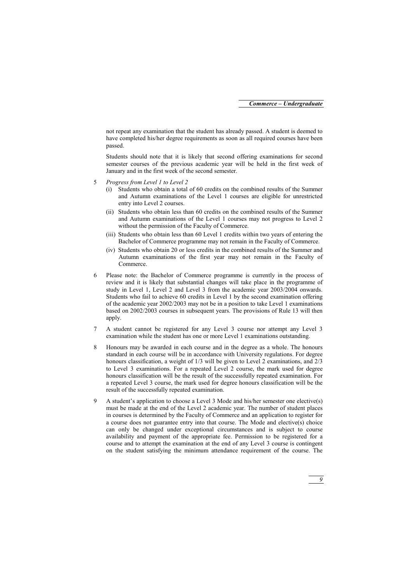not repeat any examination that the student has already passed. A student is deemed to have completed his/her degree requirements as soon as all required courses have been passed.

Students should note that it is likely that second offering examinations for second semester courses of the previous academic year will be held in the first week of January and in the first week of the second semester.

- 5 *Progress from Level 1 to Level 2*
	- (i) Students who obtain a total of 60 credits on the combined results of the Summer and Autumn examinations of the Level 1 courses are eligible for unrestricted entry into Level 2 courses.
	- (ii) Students who obtain less than 60 credits on the combined results of the Summer and Autumn examinations of the Level 1 courses may not progress to Level 2 without the permission of the Faculty of Commerce.
	- (iii) Students who obtain less than 60 Level 1 credits within two years of entering the Bachelor of Commerce programme may not remain in the Faculty of Commerce.
	- (iv) Students who obtain 20 or less credits in the combined results of the Summer and Autumn examinations of the first year may not remain in the Faculty of Commerce.
- 6 Please note: the Bachelor of Commerce programme is currently in the process of review and it is likely that substantial changes will take place in the programme of study in Level 1, Level 2 and Level 3 from the academic year 2003/2004 onwards. Students who fail to achieve 60 credits in Level 1 by the second examination offering of the academic year 2002/2003 may not be in a position to take Level 1 examinations based on 2002/2003 courses in subsequent years. The provisions of Rule 13 will then apply.
- 7 A student cannot be registered for any Level 3 course nor attempt any Level 3 examination while the student has one or more Level 1 examinations outstanding.
- 8 Honours may be awarded in each course and in the degree as a whole. The honours standard in each course will be in accordance with University regulations. For degree honours classification, a weight of  $1/3$  will be given to Level 2 examinations, and  $2/3$ to Level 3 examinations. For a repeated Level 2 course, the mark used for degree honours classification will be the result of the successfully repeated examination. For a repeated Level 3 course, the mark used for degree honours classification will be the result of the successfully repeated examination.
- 9 A student's application to choose a Level 3 Mode and his/her semester one elective(s) must be made at the end of the Level 2 academic year. The number of student places in courses is determined by the Faculty of Commerce and an application to register for a course does not guarantee entry into that course. The Mode and elective(s) choice can only be changed under exceptional circumstances and is subject to course availability and payment of the appropriate fee. Permission to be registered for a course and to attempt the examination at the end of any Level 3 course is contingent on the student satisfying the minimum attendance requirement of the course. The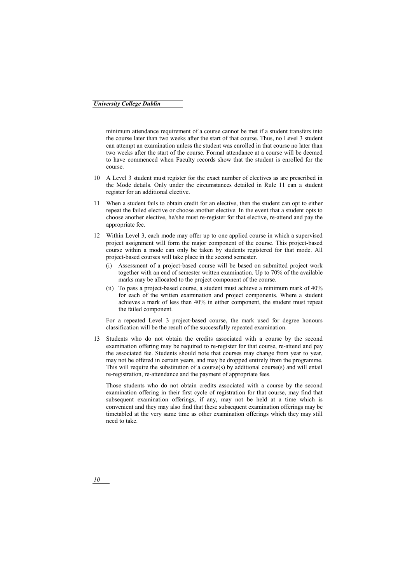minimum attendance requirement of a course cannot be met if a student transfers into the course later than two weeks after the start of that course. Thus, no Level 3 student can attempt an examination unless the student was enrolled in that course no later than two weeks after the start of the course. Formal attendance at a course will be deemed to have commenced when Faculty records show that the student is enrolled for the course.

- 10 A Level 3 student must register for the exact number of electives as are prescribed in the Mode details. Only under the circumstances detailed in Rule 11 can a student register for an additional elective.
- 11 When a student fails to obtain credit for an elective, then the student can opt to either repeat the failed elective or choose another elective. In the event that a student opts to choose another elective, he/she must re-register for that elective, re-attend and pay the appropriate fee.
- 12 Within Level 3, each mode may offer up to one applied course in which a supervised project assignment will form the major component of the course. This project-based course within a mode can only be taken by students registered for that mode. All project-based courses will take place in the second semester.
	- (i) Assessment of a project-based course will be based on submitted project work together with an end of semester written examination. Up to 70% of the available marks may be allocated to the project component of the course.
	- (ii) To pass a project-based course, a student must achieve a minimum mark of 40% for each of the written examination and project components. Where a student achieves a mark of less than 40% in either component, the student must repeat the failed component.

For a repeated Level 3 project-based course, the mark used for degree honours classification will be the result of the successfully repeated examination.

13 Students who do not obtain the credits associated with a course by the second examination offering may be required to re-register for that course, re-attend and pay the associated fee. Students should note that courses may change from year to year, may not be offered in certain years, and may be dropped entirely from the programme. This will require the substitution of a course(s) by additional course(s) and will entail re-registration, re-attendance and the payment of appropriate fees.

Those students who do not obtain credits associated with a course by the second examination offering in their first cycle of registration for that course, may find that subsequent examination offerings, if any, may not be held at a time which is convenient and they may also find that these subsequent examination offerings may be timetabled at the very same time as other examination offerings which they may still need to take.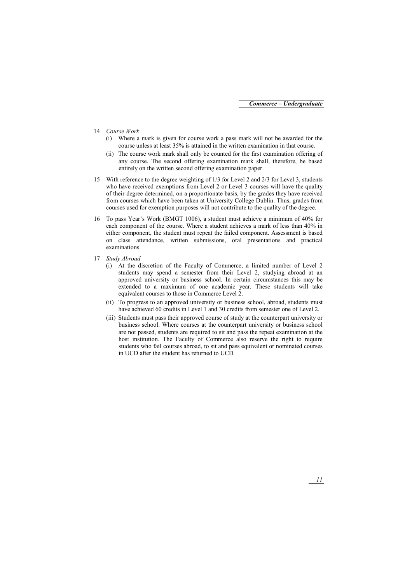- 14 *Course Work*
	- (i) Where a mark is given for course work a pass mark will not be awarded for the course unless at least 35% is attained in the written examination in that course.
	- (ii) The course work mark shall only be counted for the first examination offering of any course. The second offering examination mark shall, therefore, be based entirely on the written second offering examination paper.
- 15 With reference to the degree weighting of 1/3 for Level 2 and 2/3 for Level 3, students who have received exemptions from Level 2 or Level 3 courses will have the quality of their degree determined, on a proportionate basis, by the grades they have received from courses which have been taken at University College Dublin. Thus, grades from courses used for exemption purposes will not contribute to the quality of the degree.
- 16 To pass Year's Work (BMGT 1006), a student must achieve a minimum of 40% for each component of the course. Where a student achieves a mark of less than 40% in either component, the student must repeat the failed component. Assessment is based on class attendance, written submissions, oral presentations and practical examinations.
- 17 *Study Abroad*
	- At the discretion of the Faculty of Commerce, a limited number of Level 2 students may spend a semester from their Level 2, studying abroad at an approved university or business school. In certain circumstances this may be extended to a maximum of one academic year. These students will take equivalent courses to those in Commerce Level 2.
	- (ii) To progress to an approved university or business school, abroad, students must have achieved 60 credits in Level 1 and 30 credits from semester one of Level 2.
	- (iii) Students must pass their approved course of study at the counterpart university or business school. Where courses at the counterpart university or business school are not passed, students are required to sit and pass the repeat examination at the host institution. The Faculty of Commerce also reserve the right to require students who fail courses abroad, to sit and pass equivalent or nominated courses in UCD after the student has returned to UCD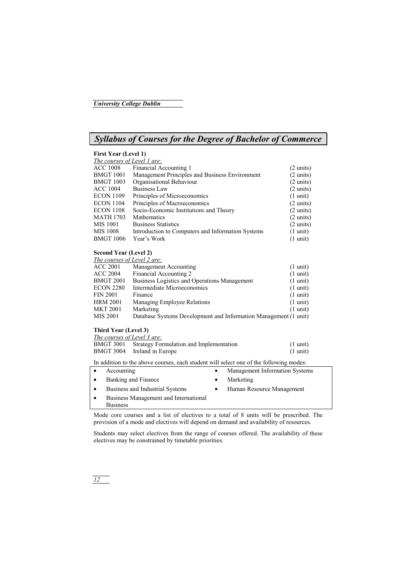## *Syllabus of Courses for the Degree of Bachelor of Commerce*

#### **First Year (Level 1)**

| The courses of Level 1 are: |                                                   |                     |
|-----------------------------|---------------------------------------------------|---------------------|
| <b>ACC 1008</b>             | Financial Accounting 1                            | $(2 \text{ units})$ |
| <b>BMGT 1001</b>            | Management Principles and Business Environment    | $(2 \text{ units})$ |
| <b>BMGT 1003</b>            | Organisational Behaviour                          | $(2 \text{ units})$ |
| <b>ACC 1004</b>             | <b>Business Law</b>                               | $(2 \text{ units})$ |
| <b>ECON 1109</b>            | Principles of Microeconomics                      | $(1 \text{ unit})$  |
| <b>ECON 1104</b>            | Principles of Macroeconomics                      | $(2 \text{ units})$ |
| <b>ECON 1108</b>            | Socio-Economic Institutions and Theory            | $(2 \text{ units})$ |
| <b>MATH 1703</b>            | Mathematics                                       | $(2 \text{ units})$ |
| <b>MIS 1001</b>             | <b>Business Statistics</b>                        | $(2 \text{ units})$ |
| <b>MIS 1008</b>             | Introduction to Computers and Information Systems | $(1 \text{ unit})$  |
| <b>BMGT 1006</b>            | Year's Work                                       | $(1 \text{ unit})$  |

#### **Second Year (Level 2)**

*The courses of Level 2 are:*

| <b>ACC 2001</b>  | Management Accounting                                            | $(1 \text{ unit})$ |
|------------------|------------------------------------------------------------------|--------------------|
| <b>ACC 2004</b>  | Financial Accounting 2                                           | $(1 \text{ unit})$ |
| <b>BMGT 2001</b> | Business Logistics and Operations Management                     | $(1 \text{ unit})$ |
| <b>ECON 2280</b> | Intermediate Microeconomics                                      | $(1 \text{ unit})$ |
| <b>FIN 2001</b>  | Finance                                                          | $(1 \text{ unit})$ |
| <b>HRM 2001</b>  | Managing Employee Relations                                      | $(1 \text{ unit})$ |
| <b>MKT 2001</b>  | Marketing                                                        | $(1 \text{ unit})$ |
| MIS 2001         | Database Systems Development and Information Management (1 unit) |                    |

#### **Third Year (Level 3)**

| The courses of Level 3 are: |                                                   |                    |
|-----------------------------|---------------------------------------------------|--------------------|
|                             | BMGT 3001 Strategy Formulation and Implementation | $(1 \text{ unit})$ |
|                             | BMGT 3004 Ireland in Europe                       | $(1 \text{ unit})$ |

In addition to the above courses, each student will select one of the following modes:

| $\bullet$ | Accounting                            | ٠         | Management Information Systems |
|-----------|---------------------------------------|-----------|--------------------------------|
| $\bullet$ | Banking and Finance                   | ٠         | Marketing                      |
| $\bullet$ | Business and Industrial Systems       | $\bullet$ | Human Resource Management      |
| $\bullet$ | Business Management and International |           |                                |
|           | <b>Business</b>                       |           |                                |

Mode core courses and a list of electives to a total of 8 units will be prescribed. The provision of a mode and electives will depend on demand and availability of resources.

Students may select electives from the range of courses offered. The availability of these electives may be constrained by timetable priorities.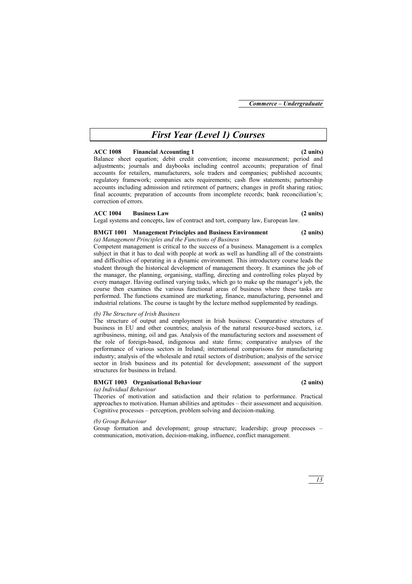## *First Year (Level 1) Courses*

#### **ACC 1008 Financial Accounting 1 (2 units)**

Balance sheet equation; debit credit convention; income measurement; period and adjustments; journals and daybooks including control accounts; preparation of final accounts for retailers, manufacturers, sole traders and companies; published accounts; regulatory framework; companies acts requirements; cash flow statements; partnership accounts including admission and retirement of partners; changes in profit sharing ratios; final accounts; preparation of accounts from incomplete records; bank reconciliation's; correction of errors.

#### **ACC 1004 Business Law (2 units)**

Legal systems and concepts, law of contract and tort, company law, European law.

#### **BMGT 1001 Management Principles and Business Environment (2 units)**

*(a) Management Principles and the Functions of Business* 

Competent management is critical to the success of a business. Management is a complex subject in that it has to deal with people at work as well as handling all of the constraints and difficulties of operating in a dynamic environment. This introductory course leads the student through the historical development of management theory. It examines the job of the manager, the planning, organising, staffing, directing and controlling roles played by every manager. Having outlined varying tasks, which go to make up the manager's job, the course then examines the various functional areas of business where these tasks are performed. The functions examined are marketing, finance, manufacturing, personnel and industrial relations. The course is taught by the lecture method supplemented by readings.

### *(b) The Structure of Irish Business*

The structure of output and employment in Irish business: Comparative structures of business in EU and other countries; analysis of the natural resource-based sectors, i.e. agribusiness, mining, oil and gas. Analysis of the manufacturing sectors and assessment of the role of foreign-based, indigenous and state firms; comparative analyses of the performance of various sectors in Ireland; international comparisons for manufacturing industry; analysis of the wholesale and retail sectors of distribution; analysis of the service sector in Irish business and its potential for development; assessment of the support structures for business in Ireland.

### **BMGT 1003 Organisational Behaviour (2 units)**

### *(a) Individual Behaviour*

Theories of motivation and satisfaction and their relation to performance. Practical approaches to motivation. Human abilities and aptitudes – their assessment and acquisition. Cognitive processes – perception, problem solving and decision-making.

### *(b) Group Behaviour*

Group formation and development; group structure; leadership; group processes – communication, motivation, decision-making, influence, conflict management.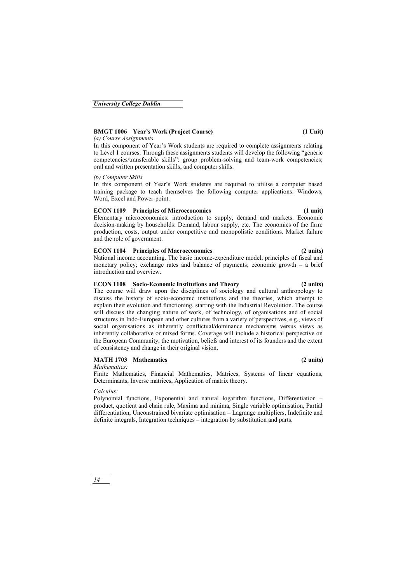#### **BMGT 1006 Year's Work (Project Course) (1 Unit)**

#### *(a) Course Assignments*

In this component of Year's Work students are required to complete assignments relating to Level 1 courses. Through these assignments students will develop the following "generic competencies/transferable skills": group problem-solving and team-work competencies; oral and written presentation skills; and computer skills.

#### *(b) Computer Skills*

In this component of Year's Work students are required to utilise a computer based training package to teach themselves the following computer applications: Windows, Word, Excel and Power-point.

#### **ECON 1109 Principles of Microeconomics (1 unit)**

Elementary microeconomics: introduction to supply, demand and markets. Economic decision-making by households: Demand, labour supply, etc. The economics of the firm: production, costs, output under competitive and monopolistic conditions. Market failure and the role of government.

#### **ECON 1104 Principles of Macroeconomics (2 units)**

National income accounting. The basic income-expenditure model; principles of fiscal and monetary policy; exchange rates and balance of payments; economic growth – a brief introduction and overview.

#### **ECON 1108 Socio-Economic Institutions and Theory (2 units)**

The course will draw upon the disciplines of sociology and cultural anthropology to discuss the history of socio-economic institutions and the theories, which attempt to explain their evolution and functioning, starting with the Industrial Revolution. The course will discuss the changing nature of work, of technology, of organisations and of social structures in Indo-European and other cultures from a variety of perspectives, e.g., views of social organisations as inherently conflictual/dominance mechanisms versus views as inherently collaborative or mixed forms. Coverage will include a historical perspective on the European Community, the motivation, beliefs and interest of its founders and the extent of consistency and change in their original vision.

#### **MATH 1703 Mathematics (2 units)**

#### *Mathematics:*

Finite Mathematics, Financial Mathematics, Matrices, Systems of linear equations, Determinants, Inverse matrices, Application of matrix theory.

#### *Calculus:*

Polynomial functions, Exponential and natural logarithm functions, Differentiation – product, quotient and chain rule, Maxima and minima, Single variable optimisation, Partial differentiation, Unconstrained bivariate optimisation – Lagrange multipliers, Indefinite and definite integrals, Integration techniques – integration by substitution and parts.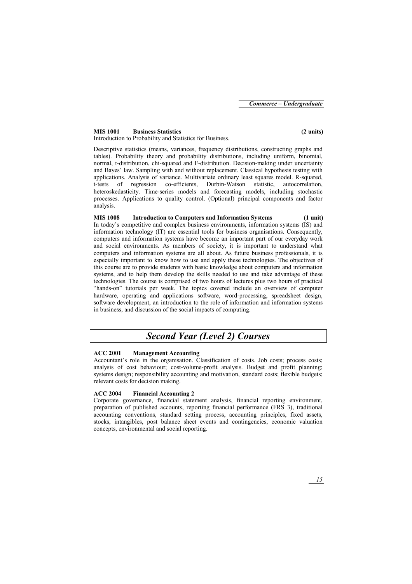#### **MIS 1001 Business Statistics (2 units)**

Introduction to Probability and Statistics for Business.

Descriptive statistics (means, variances, frequency distributions, constructing graphs and tables). Probability theory and probability distributions, including uniform, binomial, normal, t-distribution, chi-squared and F-distribution. Decision-making under uncertainty and Bayes' law. Sampling with and without replacement. Classical hypothesis testing with applications. Analysis of variance. Multivariate ordinary least squares model. R-squared, t-tests of regression co-efficients, Durbin-Watson statistic, autocorrelation, heteroskedasticity. Time-series models and forecasting models, including stochastic processes. Applications to quality control. (Optional) principal components and factor analysis.

### **MIS 1008 Introduction to Computers and Information Systems (1 unit)**

In today's competitive and complex business environments, information systems (IS) and information technology (IT) are essential tools for business organisations. Consequently, computers and information systems have become an important part of our everyday work and social environments. As members of society, it is important to understand what computers and information systems are all about. As future business professionals, it is especially important to know how to use and apply these technologies. The objectives of this course are to provide students with basic knowledge about computers and information systems, and to help them develop the skills needed to use and take advantage of these technologies. The course is comprised of two hours of lectures plus two hours of practical "hands-on" tutorials per week. The topics covered include an overview of computer hardware, operating and applications software, word-processing, spreadsheet design, software development, an introduction to the role of information and information systems in business, and discussion of the social impacts of computing.

## *Second Year (Level 2) Courses*

### **ACC 2001 Management Accounting**

Accountant's role in the organisation. Classification of costs. Job costs; process costs; analysis of cost behaviour; cost-volume-profit analysis. Budget and profit planning; systems design; responsibility accounting and motivation, standard costs; flexible budgets; relevant costs for decision making.

### **ACC 2004 Financial Accounting 2**

Corporate governance, financial statement analysis, financial reporting environment, preparation of published accounts, reporting financial performance (FRS 3), traditional accounting conventions, standard setting process, accounting principles, fixed assets, stocks, intangibles, post balance sheet events and contingencies, economic valuation concepts, environmental and social reporting.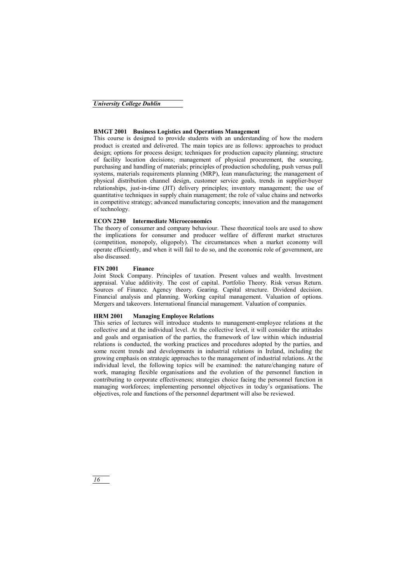#### **BMGT 2001 Business Logistics and Operations Management**

This course is designed to provide students with an understanding of how the modern product is created and delivered. The main topics are as follows: approaches to product design; options for process design; techniques for production capacity planning; structure of facility location decisions; management of physical procurement, the sourcing, purchasing and handling of materials; principles of production scheduling, push versus pull systems, materials requirements planning (MRP), lean manufacturing; the management of physical distribution channel design, customer service goals, trends in supplier-buyer relationships, just-in-time (JIT) delivery principles; inventory management; the use of quantitative techniques in supply chain management; the role of value chains and networks in competitive strategy; advanced manufacturing concepts; innovation and the management of technology.

#### **ECON 2280 Intermediate Microeconomics**

The theory of consumer and company behaviour. These theoretical tools are used to show the implications for consumer and producer welfare of different market structures (competition, monopoly, oligopoly). The circumstances when a market economy will operate efficiently, and when it will fail to do so, and the economic role of government, are also discussed.

#### **FIN 2001 Finance**

Joint Stock Company. Principles of taxation. Present values and wealth. Investment appraisal. Value additivity. The cost of capital. Portfolio Theory. Risk versus Return. Sources of Finance. Agency theory. Gearing. Capital structure. Dividend decision. Financial analysis and planning. Working capital management. Valuation of options. Mergers and takeovers. International financial management. Valuation of companies.

#### **HRM 2001 Managing Employee Relations**

This series of lectures will introduce students to management-employee relations at the collective and at the individual level. At the collective level, it will consider the attitudes and goals and organisation of the parties, the framework of law within which industrial relations is conducted, the working practices and procedures adopted by the parties, and some recent trends and developments in industrial relations in Ireland, including the growing emphasis on strategic approaches to the management of industrial relations. At the individual level, the following topics will be examined: the nature/changing nature of work, managing flexible organisations and the evolution of the personnel function in contributing to corporate effectiveness; strategies choice facing the personnel function in managing workforces; implementing personnel objectives in today's organisations. The objectives, role and functions of the personnel department will also be reviewed.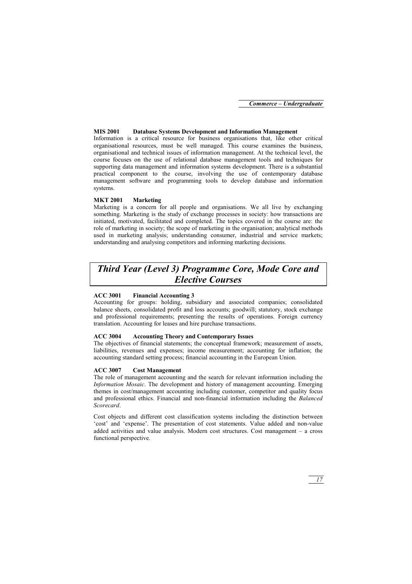*Commerce – Undergraduate*

#### **MIS 2001 Database Systems Development and Information Management**

Information is a critical resource for business organisations that, like other critical organisational resources, must be well managed. This course examines the business, organisational and technical issues of information management. At the technical level, the course focuses on the use of relational database management tools and techniques for supporting data management and information systems development. There is a substantial practical component to the course, involving the use of contemporary database management software and programming tools to develop database and information systems.

#### **MKT 2001 Marketing**

Marketing is a concern for all people and organisations. We all live by exchanging something. Marketing is the study of exchange processes in society: how transactions are initiated, motivated, facilitated and completed. The topics covered in the course are: the role of marketing in society; the scope of marketing in the organisation; analytical methods used in marketing analysis; understanding consumer, industrial and service markets; understanding and analysing competitors and informing marketing decisions.

## *Third Year (Level 3) Programme Core, Mode Core and Elective Courses*

#### **ACC 3001 Financial Accounting 3**

Accounting for groups: holding, subsidiary and associated companies; consolidated balance sheets, consolidated profit and loss accounts; goodwill; statutory, stock exchange and professional requirements; presenting the results of operations. Foreign currency translation. Accounting for leases and hire purchase transactions.

#### **ACC 3004 Accounting Theory and Contemporary Issues**

The objectives of financial statements; the conceptual framework; measurement of assets, liabilities, revenues and expenses; income measurement; accounting for inflation; the accounting standard setting process; financial accounting in the European Union.

#### **ACC 3007 Cost Management**

The role of management accounting and the search for relevant information including the *Information Mosaic*. The development and history of management accounting. Emerging themes in cost/management accounting including customer, competitor and quality focus and professional ethics. Financial and non-financial information including the *Balanced Scorecard*.

Cost objects and different cost classification systems including the distinction between 'cost' and 'expense'. The presentation of cost statements. Value added and non-value added activities and value analysis. Modern cost structures. Cost management – a cross functional perspective.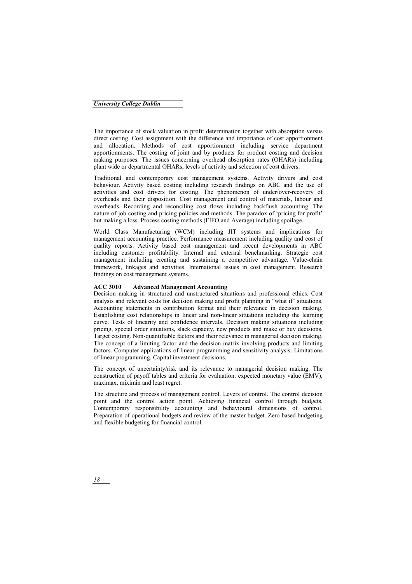The importance of stock valuation in profit determination together with absorption versus direct costing. Cost assignment with the difference and importance of cost apportionment and allocation. Methods of cost apportionment including service department apportionments. The costing of joint and by products for product costing and decision making purposes. The issues concerning overhead absorption rates (OHARs) including plant wide or departmental OHARs, levels of activity and selection of cost drivers.

Traditional and contemporary cost management systems. Activity drivers and cost behaviour. Activity based costing including research findings on ABC and the use of activities and cost drivers for costing. The phenomenon of under/over-recovery of overheads and their disposition. Cost management and control of materials, labour and overheads. Recording and reconciling cost flows including backflush accounting. The nature of job costing and pricing policies and methods. The paradox of 'pricing for profit' but making a loss. Process costing methods (FIFO and Average) including spoilage.

World Class Manufacturing (WCM) including JIT systems and implications for management accounting practice. Performance measurement including quality and cost of quality reports. Activity based cost management and recent developments in ABC including customer profitability. Internal and external benchmarking. Strategic cost management including creating and sustaining a competitive advantage. Value-chain framework, linkages and activities. International issues in cost management. Research findings on cost management systems.

#### **ACC 3010 Advanced Management Accounting**

Decision making in structured and unstructured situations and professional ethics. Cost analysis and relevant costs for decision making and profit planning in "what if" situations. Accounting statements in contribution format and their relevance in decision making. Establishing cost relationships in linear and non-linear situations including the learning curve. Tests of linearity and confidence intervals. Decision making situations including pricing, special order situations, slack capacity, new products and make or buy decisions. Target costing. Non-quantifiable factors and their relevance in managerial decision making. The concept of a limiting factor and the decision matrix involving products and limiting factors. Computer applications of linear programming and sensitivity analysis. Limitations of linear programming. Capital investment decisions.

The concept of uncertainty/risk and its relevance to managerial decision making. The construction of payoff tables and criteria for evaluation: expected monetary value (EMV), maximax, miximin and least regret.

The structure and process of management control. Levers of control. The control decision point and the control action point. Achieving financial control through budgets. Contemporary responsibility accounting and behavioural dimensions of control. Preparation of operational budgets and review of the master budget. Zero based budgeting and flexible budgeting for financial control.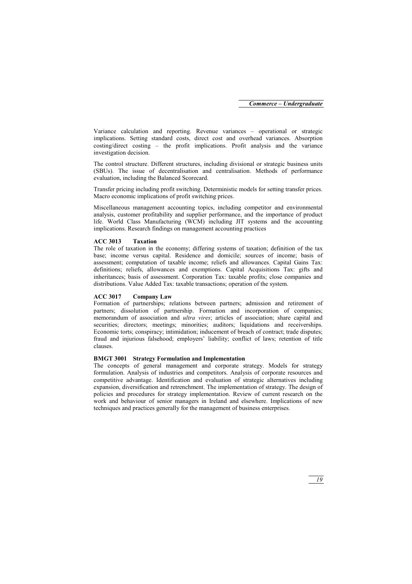Variance calculation and reporting. Revenue variances – operational or strategic implications. Setting standard costs, direct cost and overhead variances. Absorption costing/direct costing – the profit implications. Profit analysis and the variance investigation decision.

The control structure. Different structures, including divisional or strategic business units (SBUs). The issue of decentralisation and centralisation. Methods of performance evaluation, including the Balanced Scorecard.

Transfer pricing including profit switching. Deterministic models for setting transfer prices. Macro economic implications of profit switching prices.

Miscellaneous management accounting topics, including competitor and environmental analysis, customer profitability and supplier performance, and the importance of product life. World Class Manufacturing (WCM) including JIT systems and the accounting implications. Research findings on management accounting practices

#### **ACC 3013 Taxation**

The role of taxation in the economy; differing systems of taxation; definition of the tax base; income versus capital. Residence and domicile; sources of income; basis of assessment; computation of taxable income; reliefs and allowances. Capital Gains Tax: definitions; reliefs, allowances and exemptions. Capital Acquisitions Tax: gifts and inheritances; basis of assessment. Corporation Tax: taxable profits; close companies and distributions. Value Added Tax: taxable transactions; operation of the system.

#### **ACC 3017 Company Law**

Formation of partnerships; relations between partners; admission and retirement of partners; dissolution of partnership. Formation and incorporation of companies; memorandum of association and *ultra vires*; articles of association; share capital and securities; directors; meetings; minorities; auditors; liquidations and receiverships. Economic torts; conspiracy; intimidation; inducement of breach of contract; trade disputes; fraud and injurious falsehood; employers' liability; conflict of laws; retention of title clauses.

#### **BMGT 3001 Strategy Formulation and Implementation**

The concepts of general management and corporate strategy. Models for strategy formulation. Analysis of industries and competitors. Analysis of corporate resources and competitive advantage. Identification and evaluation of strategic alternatives including expansion, diversification and retrenchment. The implementation of strategy. The design of policies and procedures for strategy implementation. Review of current research on the work and behaviour of senior managers in Ireland and elsewhere. Implications of new techniques and practices generally for the management of business enterprises.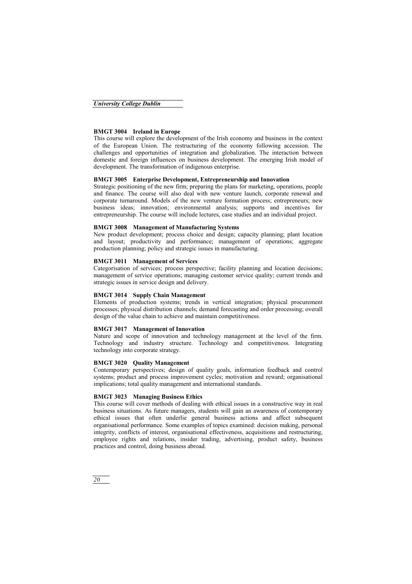#### **BMGT 3004 Ireland in Europe**

This course will explore the development of the Irish economy and business in the context of the European Union. The restructuring of the economy following accession. The challenges and opportunities of integration and globalization. The interaction between domestic and foreign influences on business development. The emerging Irish model of development. The transformation of indigenous enterprise.

#### **BMGT 3005 Enterprise Development, Entrepreneurship and Innovation**

Strategic positioning of the new firm; preparing the plans for marketing, operations, people and finance. The course will also deal with new venture launch, corporate renewal and corporate turnaround. Models of the new venture formation process; entrepreneurs; new business ideas; innovation; environmental analysis; supports and incentives for entrepreneurship. The course will include lectures, case studies and an individual project.

#### **BMGT 3008 Management of Manufacturing Systems**

New product development; process choice and design; capacity planning; plant location and layout; productivity and performance; management of operations; aggregate production planning; policy and strategic issues in manufacturing.

#### **BMGT 3011 Management of Services**

Categorisation of services; process perspective; facility planning and location decisions; management of service operations; managing customer service quality; current trends and strategic issues in service design and delivery.

#### **BMGT 3014 Supply Chain Management**

Elements of production systems; trends in vertical integration; physical procurement processes; physical distribution channels; demand forecasting and order processing; overall design of the value chain to achieve and maintain competitiveness.

#### **BMGT 3017 Management of Innovation**

Nature and scope of innovation and technology management at the level of the firm. Technology and industry structure. Technology and competitiveness. Integrating technology into corporate strategy.

#### **BMGT 3020 Quality Management**

Contemporary perspectives; design of quality goals, information feedback and control systems; product and process improvement cycles; motivation and reward; organisational implications; total quality management and international standards.

#### **BMGT 3023 Managing Business Ethics**

This course will cover methods of dealing with ethical issues in a constructive way in real business situations. As future managers, students will gain an awareness of contemporary ethical issues that often underlie general business actions and affect subsequent organisational performance. Some examples of topics examined: decision making, personal integrity, conflicts of interest, organisational effectiveness, acquisitions and restructuring, employee rights and relations, insider trading, advertising, product safety, business practices and control, doing business abroad.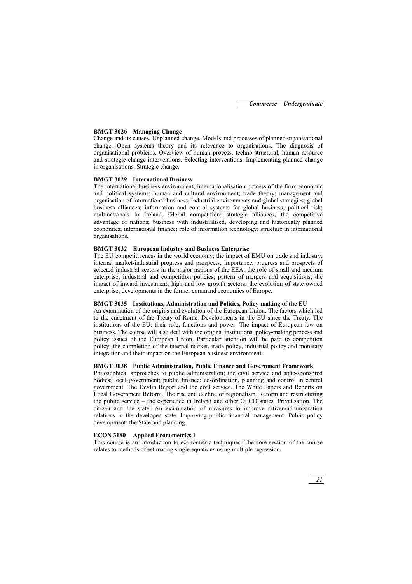#### **BMGT 3026 Managing Change**

Change and its causes. Unplanned change. Models and processes of planned organisational change. Open systems theory and its relevance to organisations. The diagnosis of organisational problems. Overview of human process, techno-structural, human resource and strategic change interventions. Selecting interventions. Implementing planned change in organisations. Strategic change.

#### **BMGT 3029 International Business**

The international business environment; internationalisation process of the firm; economic and political systems; human and cultural environment; trade theory; management and organisation of international business; industrial environments and global strategies; global business alliances; information and control systems for global business; political risk; multinationals in Ireland. Global competition; strategic alliances; the competitive advantage of nations; business with industrialised, developing and historically planned economies; international finance; role of information technology; structure in international organisations.

#### **BMGT 3032 European Industry and Business Enterprise**

The EU competitiveness in the world economy; the impact of EMU on trade and industry; internal market-industrial progress and prospects; importance, progress and prospects of selected industrial sectors in the major nations of the EEA; the role of small and medium enterprise; industrial and competition policies; pattern of mergers and acquisitions; the impact of inward investment; high and low growth sectors; the evolution of state owned enterprise; developments in the former command economies of Europe.

#### **BMGT 3035 Institutions, Administration and Politics, Policy-making of the EU**

An examination of the origins and evolution of the European Union. The factors which led to the enactment of the Treaty of Rome. Developments in the EU since the Treaty. The institutions of the EU: their role, functions and power. The impact of European law on business. The course will also deal with the origins, institutions, policy-making process and policy issues of the European Union. Particular attention will be paid to competition policy, the completion of the internal market, trade policy, industrial policy and monetary integration and their impact on the European business environment.

#### **BMGT 3038 Public Administration, Public Finance and Government Framework**

Philosophical approaches to public administration; the civil service and state-sponsored bodies; local government; public finance; co-ordination, planning and control in central government. The Devlin Report and the civil service. The White Papers and Reports on Local Government Reform. The rise and decline of regionalism. Reform and restructuring the public service – the experience in Ireland and other OECD states. Privatisation. The citizen and the state: An examination of measures to improve citizen/administration relations in the developed state. Improving public financial management. Public policy development: the State and planning.

#### **ECON 3180 Applied Econometrics I**

This course is an introduction to econometric techniques. The core section of the course relates to methods of estimating single equations using multiple regression.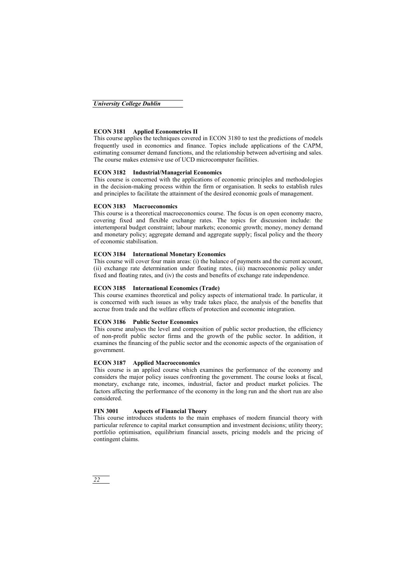#### **ECON 3181 Applied Econometrics II**

This course applies the techniques covered in ECON 3180 to test the predictions of models frequently used in economics and finance. Topics include applications of the CAPM, estimating consumer demand functions, and the relationship between advertising and sales. The course makes extensive use of UCD microcomputer facilities.

#### **ECON 3182 Industrial/Managerial Economics**

This course is concerned with the applications of economic principles and methodologies in the decision-making process within the firm or organisation. It seeks to establish rules and principles to facilitate the attainment of the desired economic goals of management.

#### **ECON 3183 Macroeconomics**

This course is a theoretical macroeconomics course. The focus is on open economy macro, covering fixed and flexible exchange rates. The topics for discussion include: the intertemporal budget constraint; labour markets; economic growth; money, money demand and monetary policy; aggregate demand and aggregate supply; fiscal policy and the theory of economic stabilisation.

#### **ECON 3184 International Monetary Economics**

This course will cover four main areas: (i) the balance of payments and the current account, (ii) exchange rate determination under floating rates, (iii) macroeconomic policy under fixed and floating rates, and (iv) the costs and benefits of exchange rate independence.

#### **ECON 3185 International Economics (Trade)**

This course examines theoretical and policy aspects of international trade. In particular, it is concerned with such issues as why trade takes place, the analysis of the benefits that accrue from trade and the welfare effects of protection and economic integration.

#### **ECON 3186 Public Sector Economics**

This course analyses the level and composition of public sector production, the efficiency of non-profit public sector firms and the growth of the public sector. In addition, it examines the financing of the public sector and the economic aspects of the organisation of government.

#### **ECON 3187 Applied Macroeconomics**

This course is an applied course which examines the performance of the economy and considers the major policy issues confronting the government. The course looks at fiscal, monetary, exchange rate, incomes, industrial, factor and product market policies. The factors affecting the performance of the economy in the long run and the short run are also considered.

#### **FIN 3001 Aspects of Financial Theory**

This course introduces students to the main emphases of modern financial theory with particular reference to capital market consumption and investment decisions; utility theory; portfolio optimisation, equilibrium financial assets, pricing models and the pricing of contingent claims.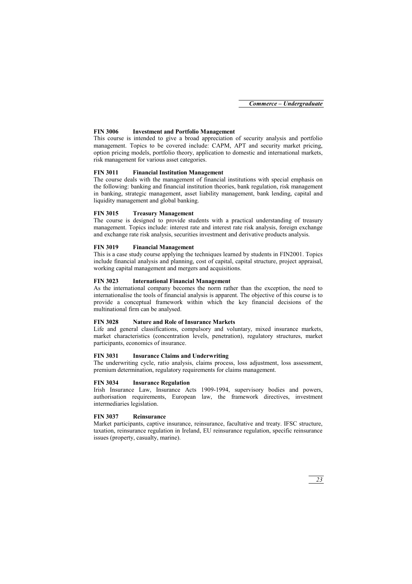#### **FIN 3006 Investment and Portfolio Management**

This course is intended to give a broad appreciation of security analysis and portfolio management. Topics to be covered include: CAPM, APT and security market pricing, option pricing models, portfolio theory, application to domestic and international markets, risk management for various asset categories.

#### **FIN 3011 Financial Institution Management**

The course deals with the management of financial institutions with special emphasis on the following: banking and financial institution theories, bank regulation, risk management in banking, strategic management, asset liability management, bank lending, capital and liquidity management and global banking.

#### **FIN 3015 Treasury Management**

The course is designed to provide students with a practical understanding of treasury management. Topics include: interest rate and interest rate risk analysis, foreign exchange and exchange rate risk analysis, securities investment and derivative products analysis.

#### **FIN 3019 Financial Management**

This is a case study course applying the techniques learned by students in FIN2001. Topics include financial analysis and planning, cost of capital, capital structure, project appraisal, working capital management and mergers and acquisitions.

#### **FIN 3023 International Financial Management**

As the international company becomes the norm rather than the exception, the need to internationalise the tools of financial analysis is apparent. The objective of this course is to provide a conceptual framework within which the key financial decisions of the multinational firm can be analysed.

#### **FIN 3028 Nature and Role of Insurance Markets**

Life and general classifications, compulsory and voluntary, mixed insurance markets, market characteristics (concentration levels, penetration), regulatory structures, market participants, economics of insurance.

#### **FIN 3031 Insurance Claims and Underwriting**

The underwriting cycle, ratio analysis, claims process, loss adjustment, loss assessment, premium determination, regulatory requirements for claims management.

#### **FIN 3034 Insurance Regulation**

Irish Insurance Law, Insurance Acts 1909-1994, supervisory bodies and powers, authorisation requirements, European law, the framework directives, investment intermediaries legislation.

#### **FIN 3037 Reinsurance**

Market participants, captive insurance, reinsurance, facultative and treaty. IFSC structure, taxation, reinsurance regulation in Ireland, EU reinsurance regulation, specific reinsurance issues (property, casualty, marine).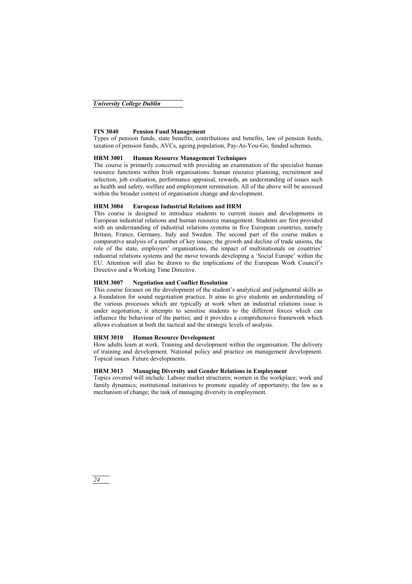#### **FIN 3040 Pension Fund Management**

Types of pension funds, state benefits, contributions and benefits, law of pension funds, taxation of pension funds, AVCs, ageing population, Pay-As-You-Go, funded schemes.

#### **HRM 3001 Human Resource Management Techniques**

The course is primarily concerned with providing an examination of the specialist human resource functions within Irish organisations: human resource planning, recruitment and selection, job evaluation, performance appraisal, rewards, an understanding of issues such as health and safety, welfare and employment termination. All of the above will be assessed within the broader context of organisation change and development.

#### **HRM 3004 European Industrial Relations and HRM**

This course is designed to introduce students to current issues and developments in European industrial relations and human resource management. Students are first provided with an understanding of industrial relations systems in five European countries, namely Britain, France, Germany, Italy and Sweden. The second part of the course makes a comparative analysis of a number of key issues; the growth and decline of trade unions, the role of the state, employers' organisations, the impact of multinationals on countries' industrial relations systems and the move towards developing a 'Social Europe' within the EU. Attention will also be drawn to the implications of the European Work Council's Directive and a Working Time Directive.

#### **HRM 3007 Negotiation and Conflict Resolution**

This course focuses on the development of the student's analytical and judgmental skills as a foundation for sound negotiation practice. It aims to give students an understanding of the various processes which are typically at work when an industrial relations issue is under negotiation; it attempts to sensitise students to the different forces which can influence the behaviour of the parties; and it provides a comprehensive framework which allows evaluation at both the tactical and the strategic levels of analysis.

#### **HRM 3010 Human Resource Development**

How adults learn at work. Training and development within the organisation. The delivery of training and development. National policy and practice on management development. Topical issues. Future developments.

#### **HRM 3013 Managing Diversity and Gender Relations in Employment**

Topics covered will include: Labour market structures; women in the workplace; work and family dynamics; institutional initiatives to promote equality of opportunity; the law as a mechanism of change; the task of managing diversity in employment.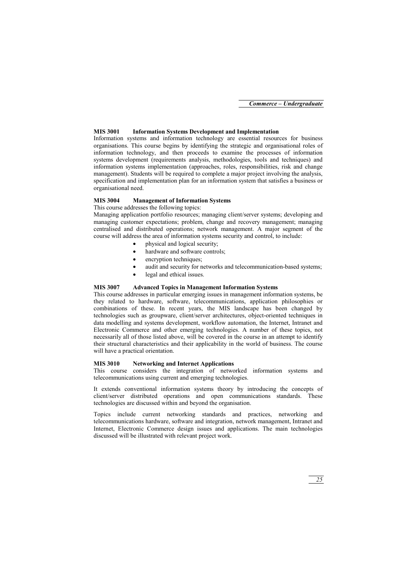#### **MIS 3001 Information Systems Development and Implementation**

Information systems and information technology are essential resources for business organisations. This course begins by identifying the strategic and organisational roles of information technology, and then proceeds to examine the processes of information systems development (requirements analysis, methodologies, tools and techniques) and information systems implementation (approaches, roles, responsibilities, risk and change management). Students will be required to complete a major project involving the analysis, specification and implementation plan for an information system that satisfies a business or organisational need.

#### **MIS 3004 Management of Information Systems**

This course addresses the following topics:

Managing application portfolio resources; managing client/server systems; developing and managing customer expectations; problem, change and recovery management; managing centralised and distributed operations; network management. A major segment of the course will address the area of information systems security and control, to include:

- physical and logical security;
- hardware and software controls:
- encryption techniques:
- audit and security for networks and telecommunication-based systems;
- legal and ethical issues.

#### **MIS 3007 Advanced Topics in Management Information Systems**

This course addresses in particular emerging issues in management information systems, be they related to hardware, software, telecommunications, application philosophies or combinations of these. In recent years, the MIS landscape has been changed by technologies such as groupware, client/server architectures, object-oriented techniques in data modelling and systems development, workflow automation, the Internet, Intranet and Electronic Commerce and other emerging technologies. A number of these topics, not necessarily all of those listed above, will be covered in the course in an attempt to identify their structural characteristics and their applicability in the world of business. The course will have a practical orientation.

#### **MIS 3010 Networking and Internet Applications**

This course considers the integration of networked information systems and telecommunications using current and emerging technologies.

It extends conventional information systems theory by introducing the concepts of client/server distributed operations and open communications standards. These technologies are discussed within and beyond the organisation.

Topics include current networking standards and practices, networking and telecommunications hardware, software and integration, network management, Intranet and Internet, Electronic Commerce design issues and applications. The main technologies discussed will be illustrated with relevant project work.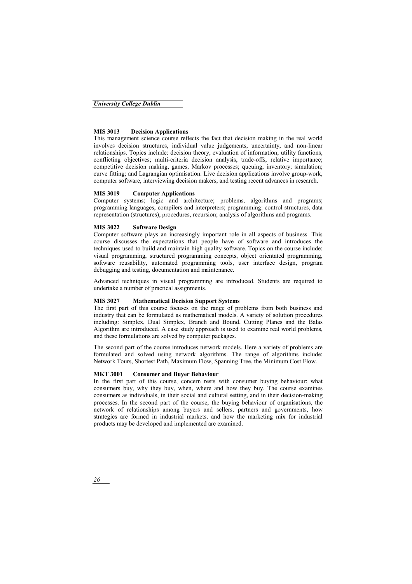#### **MIS 3013 Decision Applications**

This management science course reflects the fact that decision making in the real world involves decision structures, individual value judgements, uncertainty, and non-linear relationships. Topics include: decision theory, evaluation of information; utility functions, conflicting objectives; multi-criteria decision analysis, trade-offs, relative importance; competitive decision making, games, Markov processes; queuing; inventory; simulation; curve fitting; and Lagrangian optimisation. Live decision applications involve group-work, computer software, interviewing decision makers, and testing recent advances in research.

#### **MIS 3019 Computer Applications**

Computer systems; logic and architecture; problems, algorithms and programs; programming languages, compilers and interpreters; programming: control structures, data representation (structures), procedures, recursion; analysis of algorithms and programs*.* 

#### **MIS 3022 Software Design**

Computer software plays an increasingly important role in all aspects of business. This course discusses the expectations that people have of software and introduces the techniques used to build and maintain high quality software. Topics on the course include: visual programming, structured programming concepts, object orientated programming, software reusability, automated programming tools, user interface design, program debugging and testing, documentation and maintenance.

Advanced techniques in visual programming are introduced. Students are required to undertake a number of practical assignments.

#### **MIS 3027 Mathematical Decision Support Systems**

The first part of this course focuses on the range of problems from both business and industry that can be formulated as mathematical models. A variety of solution procedures including: Simplex, Dual Simplex, Branch and Bound, Cutting Planes and the Balas Algorithm are introduced. A case study approach is used to examine real world problems, and these formulations are solved by computer packages.

The second part of the course introduces network models. Here a variety of problems are formulated and solved using network algorithms. The range of algorithms include: Network Tours, Shortest Path, Maximum Flow, Spanning Tree, the Minimum Cost Flow.

#### **MKT 3001 Consumer and Buyer Behaviour**

In the first part of this course, concern rests with consumer buying behaviour: what consumers buy, why they buy, when, where and how they buy. The course examines consumers as individuals, in their social and cultural setting, and in their decision-making processes. In the second part of the course, the buying behaviour of organisations, the network of relationships among buyers and sellers, partners and governments, how strategies are formed in industrial markets, and how the marketing mix for industrial products may be developed and implemented are examined.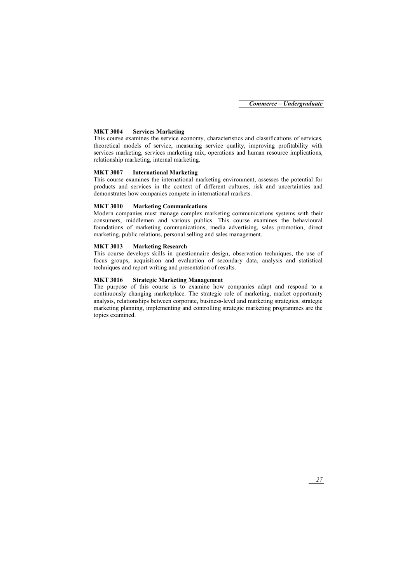#### **MKT 3004 Services Marketing**

This course examines the service economy, characteristics and classifications of services, theoretical models of service, measuring service quality, improving profitability with services marketing, services marketing mix, operations and human resource implications, relationship marketing, internal marketing.

#### **MKT 3007 International Marketing**

This course examines the international marketing environment, assesses the potential for products and services in the context of different cultures, risk and uncertainties and demonstrates how companies compete in international markets.

#### **MKT 3010 Marketing Communications**

Modern companies must manage complex marketing communications systems with their consumers, middlemen and various publics. This course examines the behavioural foundations of marketing communications, media advertising, sales promotion, direct marketing, public relations, personal selling and sales management.

#### **MKT 3013 Marketing Research**

This course develops skills in questionnaire design, observation techniques, the use of focus groups, acquisition and evaluation of secondary data, analysis and statistical techniques and report writing and presentation of results.

#### **MKT 3016 Strategic Marketing Management**

The purpose of this course is to examine how companies adapt and respond to a continuously changing marketplace. The strategic role of marketing, market opportunity analysis, relationships between corporate, business-level and marketing strategies, strategic marketing planning, implementing and controlling strategic marketing programmes are the topics examined.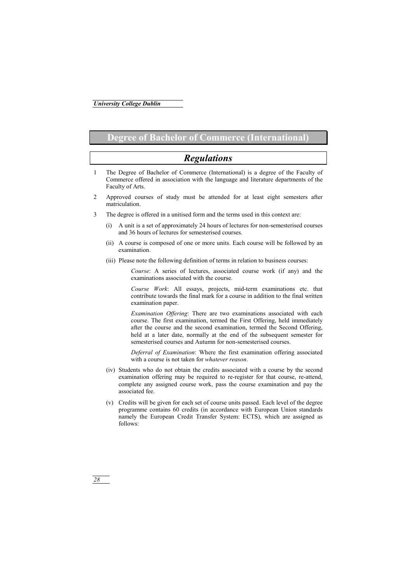## **Degree of Bachelor of Commerce (International)**

## *Regulations*

- 1 The Degree of Bachelor of Commerce (International) is a degree of the Faculty of Commerce offered in association with the language and literature departments of the Faculty of Arts.
- 2 Approved courses of study must be attended for at least eight semesters after matriculation.
- 3 The degree is offered in a unitised form and the terms used in this context are:
	- (i) A unit is a set of approximately 24 hours of lectures for non-semesterised courses and 36 hours of lectures for semesterised courses.
	- (ii) A course is composed of one or more units. Each course will be followed by an examination.
	- (iii) Please note the following definition of terms in relation to business courses:

*Course*: A series of lectures, associated course work (if any) and the examinations associated with the course.

*Course Work*: All essays, projects, mid-term examinations etc. that contribute towards the final mark for a course in addition to the final written examination paper.

*Examination Offering*: There are two examinations associated with each course. The first examination, termed the First Offering, held immediately after the course and the second examination, termed the Second Offering, held at a later date, normally at the end of the subsequent semester for semesterised courses and Autumn for non-semesterised courses.

*Deferral of Examination*: Where the first examination offering associated with a course is not taken for *whatever reason*.

- (iv) Students who do not obtain the credits associated with a course by the second examination offering may be required to re-register for that course, re-attend, complete any assigned course work, pass the course examination and pay the associated fee.
- (v) Credits will be given for each set of course units passed. Each level of the degree programme contains 60 credits (in accordance with European Union standards namely the European Credit Transfer System: ECTS), which are assigned as follows: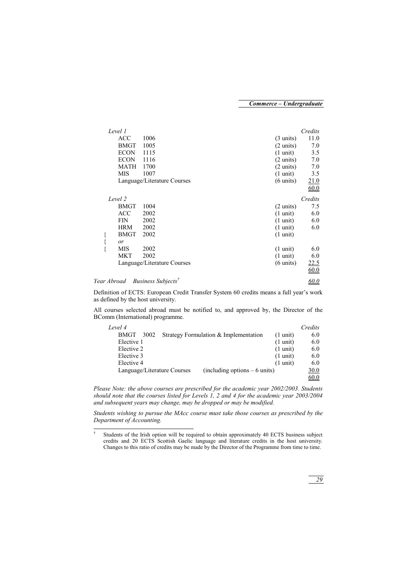| Level 1                                    |      |                                                    | Credits |
|--------------------------------------------|------|----------------------------------------------------|---------|
| <b>ACC</b>                                 | 1006 | $(3 \text{ units})$                                | 11.0    |
| BMGT                                       | 1005 | $(2 \text{ units})$                                | 7.0     |
| <b>ECON</b>                                | 1115 | $(1 \text{ unit})$                                 | 3.5     |
| <b>ECON</b>                                | 1116 | $(2 \text{ units})$                                | 7.0     |
| <b>MATH</b>                                | 1700 | $(2 \text{ units})$                                | 7.0     |
| MIS                                        | 1007 | $(1 \text{ unit})$                                 | 3.5     |
|                                            |      | Language/Literature Courses<br>$(6 \text{ units})$ | 21.0    |
|                                            |      |                                                    | 60.0    |
| Level 2                                    |      |                                                    | Credits |
| BMGT                                       | 1004 | $(2 \text{ units})$                                | 7.5     |
| ACC                                        | 2002 | $(1 \text{ unit})$                                 | 6.0     |
| FIN                                        | 2002 | $(1 \text{ unit})$                                 | 6.0     |
| <b>HRM</b>                                 | 2002 | $(1 \text{ unit})$                                 | 6.0     |
| <b>BMGT</b>                                | 2002 | $(1 \text{ unit})$                                 |         |
| or                                         |      |                                                    |         |
| MIS                                        | 2002 | $(1 \text{ unit})$                                 | 6.0     |
| MKT                                        | 2002 | $(1 \text{ unit})$                                 | 6.0     |
|                                            |      | Language/Literature Courses<br>$(6 \text{ units})$ | 22.5    |
|                                            |      |                                                    | 60.0    |
| Year Abroad Business Subjects <sup>T</sup> |      |                                                    | 60.0    |

Definition of ECTS: European Credit Transfer System 60 credits means a full year's work as defined by the host university.

All courses selected abroad must be notified to, and approved by, the Director of the BComm (International) programme.

| Level 4                                               | Credits                                        |
|-------------------------------------------------------|------------------------------------------------|
| Strategy Formulation & Implementation<br>3002<br>BMGT | 6.0<br>$(1 \text{ unit})$                      |
| Elective 1                                            | $(1 \text{ unit})$<br>6.0                      |
| Elective 2                                            | $(1 \text{ unit})$<br>6.0                      |
| Elective 3                                            | $(1 \text{ unit})$<br>6.0                      |
| Elective 4                                            | $(1 \text{ unit})$<br>6.0                      |
| Language/Literature Courses                           | $(including options - 6 units)$<br><u>30.0</u> |
|                                                       | 60.0                                           |

*Please Note: the above courses are prescribed for the academic year 2002/2003. Students should note that the courses listed for Levels 1, 2 and 4 for the academic year 2003/2004 and subsequent years may change, may be dropped or may be modified.* 

*Students wishing to pursue the MAcc course must take those courses as prescribed by the Department of Accounting.* 

 $\overline{a}$ 

<sup>†</sup> Students of the Irish option will be required to obtain approximately 40 ECTS business subject credits and 20 ECTS Scottish Gaelic language and literature credits in the host university. Changes to this ratio of credits may be made by the Director of the Programme from time to time.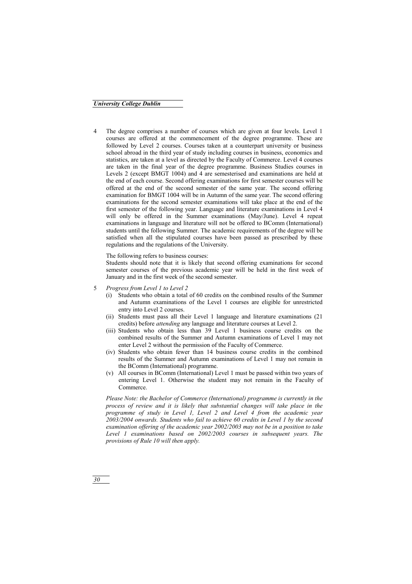4 The degree comprises a number of courses which are given at four levels. Level 1 courses are offered at the commencement of the degree programme. These are followed by Level 2 courses. Courses taken at a counterpart university or business school abroad in the third year of study including courses in business, economics and statistics, are taken at a level as directed by the Faculty of Commerce. Level 4 courses are taken in the final year of the degree programme. Business Studies courses in Levels 2 (except BMGT 1004) and 4 are semesterised and examinations are held at the end of each course. Second offering examinations for first semester courses will be offered at the end of the second semester of the same year. The second offering examination for BMGT 1004 will be in Autumn of the same year. The second offering examinations for the second semester examinations will take place at the end of the first semester of the following year. Language and literature examinations in Level 4 will only be offered in the Summer examinations (May/June). Level 4 repeat examinations in language and literature will not be offered to BComm (International) students until the following Summer. The academic requirements of the degree will be satisfied when all the stipulated courses have been passed as prescribed by these regulations and the regulations of the University.

The following refers to business courses:

Students should note that it is likely that second offering examinations for second semester courses of the previous academic year will be held in the first week of January and in the first week of the second semester.

- 5 *Progress from Level 1 to Level 2*
	- (i) Students who obtain a total of 60 credits on the combined results of the Summer and Autumn examinations of the Level 1 courses are eligible for unrestricted entry into Level 2 courses.
	- (ii) Students must pass all their Level 1 language and literature examinations (21 credits) before *attending* any language and literature courses at Level 2.
	- (iii) Students who obtain less than 39 Level 1 business course credits on the combined results of the Summer and Autumn examinations of Level 1 may not enter Level 2 without the permission of the Faculty of Commerce.
	- (iv) Students who obtain fewer than 14 business course credits in the combined results of the Summer and Autumn examinations of Level 1 may not remain in the BComm (International) programme.
	- (v) All courses in BComm (International) Level 1 must be passed within two years of entering Level 1. Otherwise the student may not remain in the Faculty of Commerce.

*Please Note: the Bachelor of Commerce (International) programme is currently in the process of review and it is likely that substantial changes will take place in the programme of study in Level 1, Level 2 and Level 4 from the academic year 2003/2004 onwards. Students who fail to achieve 60 credits in Level 1 by the second examination offering of the academic year 2002/2003 may not be in a position to take Level 1 examinations based on 2002/2003 courses in subsequent years. The provisions of Rule 10 will then apply.*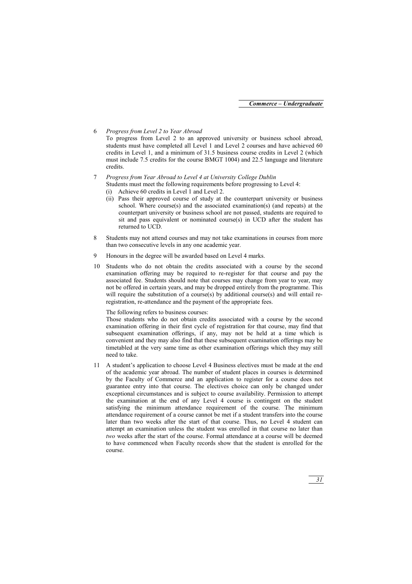#### 6 *Progress from Level 2 to Year Abroad*

To progress from Level 2 to an approved university or business school abroad, students must have completed all Level 1 and Level 2 courses and have achieved 60 credits in Level 1, and a minimum of 31.5 business course credits in Level 2 (which must include 7.5 credits for the course BMGT 1004) and 22.5 language and literature credits.

- 7 *Progress from Year Abroad to Level 4 at University College Dublin* Students must meet the following requirements before progressing to Level 4:
	- (i) Achieve 60 credits in Level 1 and Level 2.
	- (ii) Pass their approved course of study at the counterpart university or business school. Where course(s) and the associated examination(s) (and repeats) at the counterpart university or business school are not passed, students are required to sit and pass equivalent or nominated course $(s)$  in UCD after the student has returned to UCD.
- 8 Students may not attend courses and may not take examinations in courses from more than two consecutive levels in any one academic year.
- 9 Honours in the degree will be awarded based on Level 4 marks.
- 10 Students who do not obtain the credits associated with a course by the second examination offering may be required to re-register for that course and pay the associated fee. Students should note that courses may change from year to year, may not be offered in certain years, and may be dropped entirely from the programme. This will require the substitution of a course(s) by additional course(s) and will entail reregistration, re-attendance and the payment of the appropriate fees.

The following refers to business courses:

Those students who do not obtain credits associated with a course by the second examination offering in their first cycle of registration for that course, may find that subsequent examination offerings, if any, may not be held at a time which is convenient and they may also find that these subsequent examination offerings may be timetabled at the very same time as other examination offerings which they may still need to take.

11 A student's application to choose Level 4 Business electives must be made at the end of the academic year abroad. The number of student places in courses is determined by the Faculty of Commerce and an application to register for a course does not guarantee entry into that course. The electives choice can only be changed under exceptional circumstances and is subject to course availability. Permission to attempt the examination at the end of any Level 4 course is contingent on the student satisfying the minimum attendance requirement of the course. The minimum attendance requirement of a course cannot be met if a student transfers into the course later than two weeks after the start of that course. Thus, no Level 4 student can attempt an examination unless the student was enrolled in that course no later than *two* weeks after the start of the course. Formal attendance at a course will be deemed to have commenced when Faculty records show that the student is enrolled for the course.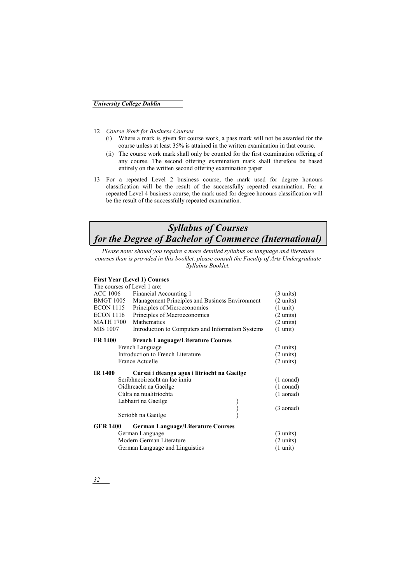- 12 *Course Work for Business Courses*
	- (i) Where a mark is given for course work, a pass mark will not be awarded for the course unless at least 35% is attained in the written examination in that course.
	- (ii) The course work mark shall only be counted for the first examination offering of any course. The second offering examination mark shall therefore be based entirely on the written second offering examination paper.
- 13 For a repeated Level 2 business course, the mark used for degree honours classification will be the result of the successfully repeated examination. For a repeated Level 4 business course, the mark used for degree honours classification will be the result of the successfully repeated examination.

## *Syllabus of Courses for the Degree of Bachelor of Commerce (International)*

*Please note: should you require a more detailed syllabus on language and literature courses than is provided in this booklet, please consult the Faculty of Arts Undergraduate Syllabus Booklet.* 

#### **First Year (Level 1) Courses**

|                  | The courses of Level 1 are:                       |                     |
|------------------|---------------------------------------------------|---------------------|
| ACC 1006         | Financial Accounting 1                            | $(3 \text{ units})$ |
| <b>BMGT 1005</b> | Management Principles and Business Environment    | $(2 \text{ units})$ |
| <b>ECON 1115</b> | Principles of Microeconomics                      | $(1 \text{ unit})$  |
| <b>ECON 1116</b> | Principles of Macroeconomics                      | $(2 \text{ units})$ |
| <b>MATH 1700</b> | Mathematics                                       | $(2 \text{ units})$ |
| MIS 1007         | Introduction to Computers and Information Systems | $(1 \text{ unit})$  |
| <b>FR 1400</b>   | <b>French Language/Literature Courses</b>         |                     |
|                  | French Language                                   | $(2 \text{ units})$ |
|                  | Introduction to French Literature                 | $(2 \text{ units})$ |
|                  | <b>France Actuelle</b>                            | $(2 \text{ units})$ |
|                  |                                                   |                     |
| <b>IR 1400</b>   | Cúrsaí i dteanga agus i litríocht na Gaeilge      |                     |
|                  | Scríbhneoireacht an lae inniu                     | $(1$ aonad)         |
|                  | Oidhreacht na Gaeilge                             | $(1$ aonad)         |
|                  | Cúlra na nualitríochta                            | $(1$ aonad)         |
|                  | Labhairt na Gaeilge                               |                     |
|                  |                                                   | $(3 \text{ aonad})$ |
|                  | Scríobh na Gaeilge                                |                     |
| <b>GER 1400</b>  | <b>German Language/Literature Courses</b>         |                     |
|                  | German Language                                   | $(3 \text{ units})$ |
|                  | Modern German Literature                          | $(2 \text{ units})$ |
|                  | German Language and Linguistics                   | $(1 \text{ unit})$  |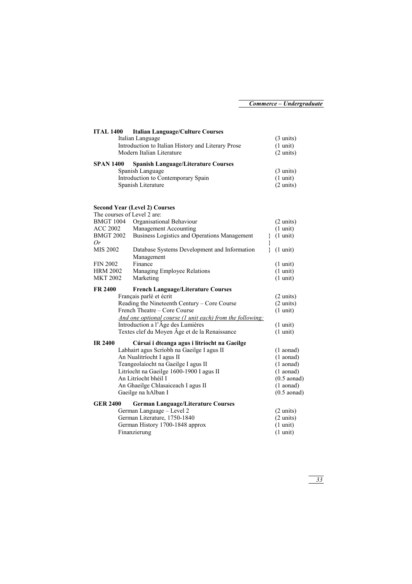| <b>ITAL 1400</b> | <b>Italian Language/Culture Courses</b>            |                     |
|------------------|----------------------------------------------------|---------------------|
|                  | Italian Language                                   | $(3 \text{ units})$ |
|                  | Introduction to Italian History and Literary Prose | $(1 \text{ unit})$  |
|                  | Modern Italian Literature                          | $(2 \text{ units})$ |
| <b>SPAN 1400</b> | <b>Spanish Language/Literature Courses</b>         |                     |
|                  | Spanish Language                                   | $(3 \text{ units})$ |
|                  | Introduction to Contemporary Spain                 | $(1 \text{ unit})$  |
|                  | Spanish Literature                                 | $(2 \text{ units})$ |

#### **Second Year (Level 2) Courses**

|                  | The courses of Level 2 are:                                |                         |
|------------------|------------------------------------------------------------|-------------------------|
| <b>BMGT 1004</b> | Organisational Behaviour                                   | $(2 \text{ units})$     |
| <b>ACC 2002</b>  | Management Accounting                                      | $(1 \text{ unit})$      |
| <b>BMGT 2002</b> | Business Logistics and Operations Management               | $(1 \text{ unit})$<br>∤ |
| 0r               |                                                            | }<br>}                  |
| MIS 2002         | Database Systems Development and Information<br>Management | $(1 \text{ unit})$      |
| <b>FIN 2002</b>  | Finance                                                    | $(1 \text{ unit})$      |
| <b>HRM 2002</b>  | Managing Employee Relations                                | $(1 \text{ unit})$      |
| <b>MKT 2002</b>  | Marketing                                                  | $(1 \text{ unit})$      |
| <b>FR 2400</b>   | <b>French Language/Literature Courses</b>                  |                         |
|                  | Français parlé et écrit                                    | $(2 \text{ units})$     |
|                  | Reading the Nineteenth Century - Core Course               | $(2 \text{ units})$     |
|                  | French Theatre – Core Course                               | $(1 \text{ unit})$      |
|                  | And one optional course (1 unit each) from the following:  |                         |
|                  | Introduction a l'Âge des Lumières                          | $(1 \text{ unit})$      |
|                  | Textes clef du Moyen Âge et de la Renaissance              | $(1 \text{ unit})$      |
| <b>IR 2400</b>   | Cúrsaí i dteanga agus i litríocht na Gaeilge               |                         |
|                  | Labhairt agus Scríobh na Gaeilge I agus II                 | $(1$ aonad)             |
|                  | An Nualitríocht I agus II                                  | $(1$ aonad)             |
|                  | Teangeolaíocht na Gaeilge I agus II                        | $(1$ aonad)             |
|                  | Litríocht na Gaeilge 1600-1900 I agus II                   | $(1$ aonad)             |
|                  | An Litríocht bhéil I                                       | $(0.5$ aonad)           |
|                  | An Ghaeilge Chlasaiceach I agus II                         | $(1$ aonad)             |
|                  | Gaeilge na hAlban I                                        | $(0.5$ aonad)           |
| <b>GER 2400</b>  | <b>German Language/Literature Courses</b>                  |                         |
|                  | German Language - Level 2                                  | $(2 \text{ units})$     |
|                  | German Literature, 1750-1840                               | $(2 \text{ units})$     |
|                  | German History 1700-1848 approx                            | $(1 \text{ unit})$      |
|                  | Finanzierung                                               | $(1 \text{ unit})$      |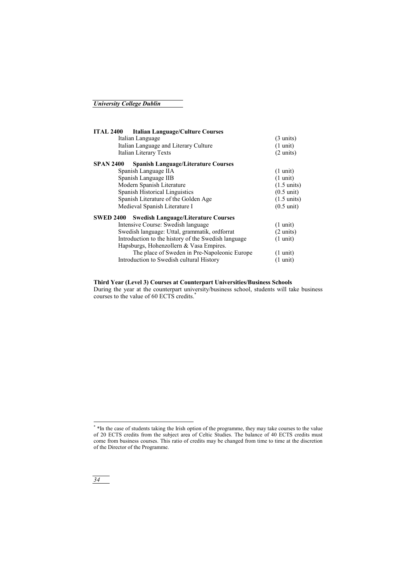| <b>ITAL 2400</b><br><b>Italian Language/Culture Courses</b>    |                       |
|----------------------------------------------------------------|-----------------------|
| Italian Language                                               | $(3 \text{ units})$   |
| Italian Language and Literary Culture                          | $(1 \text{ unit})$    |
| Italian Literary Texts                                         | $(2 \text{ units})$   |
| <b>SPAN 2400</b><br><b>Spanish Language/Literature Courses</b> |                       |
| Spanish Language IIA                                           | $(1 \text{ unit})$    |
| Spanish Language IIB                                           | $(1 \text{ unit})$    |
| Modern Spanish Literature                                      | $(1.5 \text{ units})$ |
| Spanish Historical Linguistics                                 | $(0.5 \text{ unit})$  |
| Spanish Literature of the Golden Age                           | $(1.5 \text{ units})$ |
| Medieval Spanish Literature I                                  | $(0.5 \text{ unit})$  |
| <b>SWED 2400</b><br><b>Swedish Language/Literature Courses</b> |                       |
| Intensive Course: Swedish language                             | $(1 \text{ unit})$    |
| Swedish language: Uttal, grammatik, ordforrat                  | $(2 \text{ units})$   |
| Introduction to the history of the Swedish language            | $(1 \text{ unit})$    |
| Hapsburgs, Hohenzollern & Vasa Empires.                        |                       |
| The place of Sweden in Pre-Napoleonic Europe                   | $(1 \text{ unit})$    |
| Introduction to Swedish cultural History                       | $(1 \text{ unit})$    |

#### **Third Year (Level 3) Courses at Counterpart Universities/Business Schools**

During the year at the counterpart university/business school, students will take business courses to the value of 60 ECTS credits.\*

l

<sup>\* \*</sup>In the case of students taking the Irish option of the programme, they may take courses to the value of 20 ECTS credits from the subject area of Celtic Studies. The balance of 40 ECTS credits must come from business courses. This ratio of credits may be changed from time to time at the discretion of the Director of the Programme.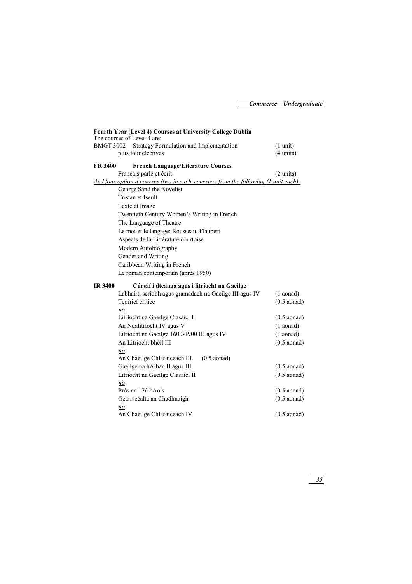|                                                                                    | Fourth Year (Level 4) Courses at University College Dublin     |                                           |  |  |  |
|------------------------------------------------------------------------------------|----------------------------------------------------------------|-------------------------------------------|--|--|--|
| <b>BMGT 3002</b>                                                                   | The courses of Level 4 are:                                    |                                           |  |  |  |
|                                                                                    | Strategy Formulation and Implementation<br>plus four electives | $(1 \text{ unit})$<br>$(4 \text{ units})$ |  |  |  |
|                                                                                    |                                                                |                                           |  |  |  |
| <b>FR 3400</b>                                                                     | <b>French Language/Literature Courses</b>                      |                                           |  |  |  |
|                                                                                    | Français parlé et écrit                                        | $(2 \text{ units})$                       |  |  |  |
| And four optional courses (two in each semester) from the following (1 unit each): |                                                                |                                           |  |  |  |
|                                                                                    | George Sand the Novelist                                       |                                           |  |  |  |
|                                                                                    | Tristan et Iseult                                              |                                           |  |  |  |
| Texte et Image                                                                     |                                                                |                                           |  |  |  |
| Twentieth Century Women's Writing in French                                        |                                                                |                                           |  |  |  |
| The Language of Theatre                                                            |                                                                |                                           |  |  |  |
|                                                                                    | Le moi et le langage: Rousseau, Flaubert                       |                                           |  |  |  |
|                                                                                    | Aspects de la Littérature courtoise                            |                                           |  |  |  |
|                                                                                    | Modern Autobiography                                           |                                           |  |  |  |
|                                                                                    | Gender and Writing                                             |                                           |  |  |  |
|                                                                                    | Caribbean Writing in French                                    |                                           |  |  |  |
|                                                                                    | Le roman contemporain (après 1950)                             |                                           |  |  |  |
| <b>IR 3400</b><br>Cúrsaí i dteanga agus i litríocht na Gaeilge                     |                                                                |                                           |  |  |  |
|                                                                                    | Labhairt, scríobh agus gramadach na Gaeilge III agus IV        | $(1$ aonad)                               |  |  |  |
|                                                                                    | Teoiricí critice                                               | $(0.5$ aonad)                             |  |  |  |
|                                                                                    | nó                                                             |                                           |  |  |  |
|                                                                                    | Litríocht na Gaeilge Clasaicí I                                | $(0.5$ aonad)                             |  |  |  |
|                                                                                    | An Nualitríocht IV agus V                                      | $(1$ aonad)                               |  |  |  |
|                                                                                    | Litríocht na Gaeilge 1600-1900 III agus IV                     | $(1$ aonad)                               |  |  |  |
|                                                                                    | An Litríocht bhéil III                                         | $(0.5$ aonad)                             |  |  |  |
|                                                                                    | nó                                                             |                                           |  |  |  |
|                                                                                    | An Ghaeilge Chlasaiceach III<br>$(0.5$ aonad)                  |                                           |  |  |  |
|                                                                                    | Gaeilge na hAlban II agus III                                  | $(0.5$ aonad)                             |  |  |  |
|                                                                                    | Litríocht na Gaeilge Clasaicí II                               | $(0.5$ aonad)                             |  |  |  |
|                                                                                    | nó                                                             |                                           |  |  |  |
|                                                                                    | Prós an 17ú hAois                                              | $(0.5$ aonad)                             |  |  |  |
|                                                                                    | Gearrscéalta an Chadhnaigh                                     | $(0.5$ aonad)                             |  |  |  |
|                                                                                    | nó                                                             |                                           |  |  |  |
|                                                                                    | An Ghaeilge Chlasaiceach IV                                    | $(0.5$ aonad)                             |  |  |  |
|                                                                                    |                                                                |                                           |  |  |  |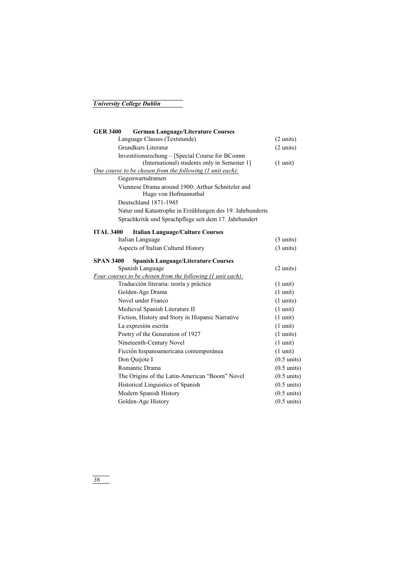| <b>GER 3400</b>                                  | <b>German Language/Literature Courses</b>                                  |                       |
|--------------------------------------------------|----------------------------------------------------------------------------|-----------------------|
|                                                  | Language Classes (Textstunde)                                              | $(2 \text{ units})$   |
|                                                  | Grundkurs Literatur                                                        | $(2 \text{ units})$   |
|                                                  | Investitionsrechung - [Special Course for BComm                            |                       |
|                                                  | (International) students only in Semester 1]                               | $(1 \text{ unit})$    |
|                                                  | <u>One course to be chosen from the following (1 unit each):</u>           |                       |
|                                                  | Gegenwartsdramen                                                           |                       |
|                                                  | Viennese Drama around 1900: Arthur Schnitzler and<br>Hugo von Hofmannsthal |                       |
|                                                  | Deutschland 1871-1945                                                      |                       |
|                                                  | Natur und Katastrophe in Erzählungen des 19. Jahrhunderts                  |                       |
|                                                  | Sprachkritik und Sprachpflege seit dem 17. Jahrhundert                     |                       |
| <b>ITAL 3400</b>                                 | <b>Italian Language/Culture Courses</b>                                    |                       |
|                                                  | Italian Language                                                           | $(3 \text{ units})$   |
|                                                  | Aspects of Italian Cultural History                                        | $(3 \text{ units})$   |
| SPAN 3400                                        | <b>Spanish Language/Literature Courses</b>                                 |                       |
|                                                  | Spanish Language                                                           | $(2 \text{ units})$   |
|                                                  | Four courses to be chosen from the following (1 unit each):                |                       |
|                                                  | Traducción literaria: teoría y práctica                                    | $(1 \text{ unit})$    |
| Golden-Age Drama                                 |                                                                            | $(1 \text{ unit})$    |
| Novel under Franco                               |                                                                            | $(1 \text{ units})$   |
| Medieval Spanish Literature II                   |                                                                            | $(1 \text{ unit})$    |
| Fiction, History and Story in Hispanic Narrative |                                                                            | $(1 \text{ unit})$    |
|                                                  | La expresión escrita                                                       | $(1 \text{ unit})$    |
|                                                  | Poetry of the Generation of 1927                                           | $(1 \text{ units})$   |
|                                                  | Nineteenth-Century Novel                                                   | $(1 \text{ unit})$    |
|                                                  | Ficción hispanoamericana contemporánea                                     | $(1 \text{ unit})$    |
|                                                  | Don Quijote I                                                              | $(0.5 \text{ units})$ |
|                                                  | Romantic Drama                                                             | $(0.5 \text{ units})$ |
|                                                  | The Origins of the Latin-American "Boom" Novel                             | $(0.5 \text{ units})$ |
|                                                  | Historical Linguistics of Spanish                                          | $(0.5 \text{ units})$ |
|                                                  | Modern Spanish History                                                     | $(0.5 \text{ units})$ |
|                                                  | Golden-Age History                                                         | $(0.5 \text{ units})$ |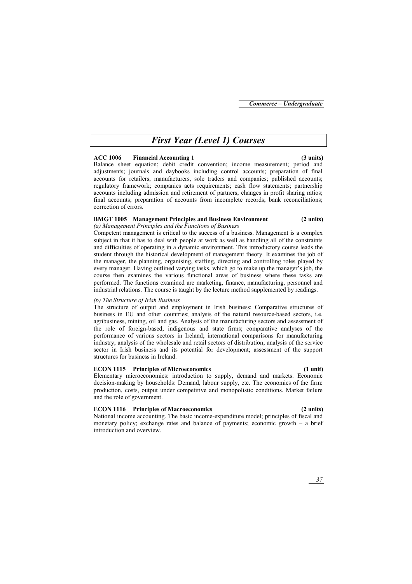# *First Year (Level 1) Courses*

## **ACC 1006 Financial Accounting 1 (3 units)**

Balance sheet equation; debit credit convention; income measurement; period and adjustments; journals and daybooks including control accounts; preparation of final accounts for retailers, manufacturers, sole traders and companies; published accounts; regulatory framework; companies acts requirements; cash flow statements; partnership accounts including admission and retirement of partners; changes in profit sharing ratios; final accounts; preparation of accounts from incomplete records; bank reconciliations; correction of errors.

## **BMGT 1005 Management Principles and Business Environment (2 units)**

## *(a) Management Principles and the Functions of Business*

Competent management is critical to the success of a business. Management is a complex subject in that it has to deal with people at work as well as handling all of the constraints and difficulties of operating in a dynamic environment. This introductory course leads the student through the historical development of management theory. It examines the job of the manager, the planning, organising, staffing, directing and controlling roles played by every manager. Having outlined varying tasks, which go to make up the manager's job, the course then examines the various functional areas of business where these tasks are performed. The functions examined are marketing, finance, manufacturing, personnel and industrial relations. The course is taught by the lecture method supplemented by readings.

## *(b) The Structure of Irish Business*

The structure of output and employment in Irish business: Comparative structures of business in EU and other countries; analysis of the natural resource-based sectors, i.e. agribusiness, mining, oil and gas. Analysis of the manufacturing sectors and assessment of the role of foreign-based, indigenous and state firms; comparative analyses of the performance of various sectors in Ireland; international comparisons for manufacturing industry; analysis of the wholesale and retail sectors of distribution; analysis of the service sector in Irish business and its potential for development; assessment of the support structures for business in Ireland.

## **ECON 1115 Principles of Microeconomics (1 unit)**

Elementary microeconomics: introduction to supply, demand and markets. Economic decision-making by households: Demand, labour supply, etc. The economics of the firm: production, costs, output under competitive and monopolistic conditions. Market failure and the role of government.

## **ECON 1116 Principles of Macroeconomics (2 units)**

National income accounting. The basic income-expenditure model; principles of fiscal and monetary policy; exchange rates and balance of payments; economic growth – a brief introduction and overview.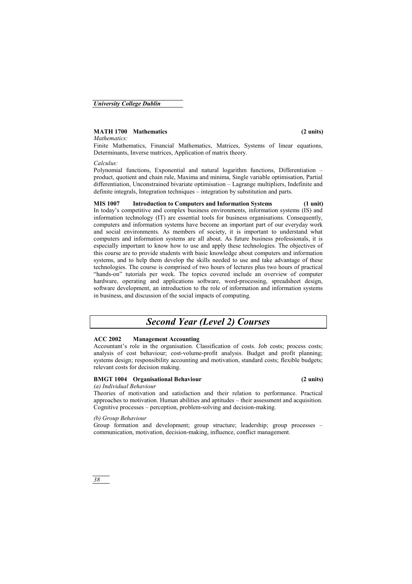## **MATH 1700 Mathematics (2 units)**

## *Mathematics:*

Finite Mathematics, Financial Mathematics, Matrices, Systems of linear equations, Determinants, Inverse matrices, Application of matrix theory.

## *Calculus:*

Polynomial functions, Exponential and natural logarithm functions, Differentiation – product, quotient and chain rule, Maxima and minima, Single variable optimisation, Partial differentiation, Unconstrained bivariate optimisation – Lagrange multipliers, Indefinite and definite integrals, Integration techniques – integration by substitution and parts.

## **MIS 1007 Introduction to Computers and Information Systems (1 unit)**  In today's competitive and complex business environments, information systems (IS) and information technology (IT) are essential tools for business organisations. Consequently, computers and information systems have become an important part of our everyday work and social environments. As members of society, it is important to understand what computers and information systems are all about. As future business professionals, it is especially important to know how to use and apply these technologies. The objectives of this course are to provide students with basic knowledge about computers and information systems, and to help them develop the skills needed to use and take advantage of these technologies. The course is comprised of two hours of lectures plus two hours of practical "hands-on" tutorials per week. The topics covered include an overview of computer hardware, operating and applications software, word-processing, spreadsheet design, software development, an introduction to the role of information and information systems in business, and discussion of the social impacts of computing.

# *Second Year (Level 2) Courses*

## **ACC 2002 Management Accounting**

Accountant's role in the organisation. Classification of costs. Job costs; process costs; analysis of cost behaviour; cost-volume-profit analysis. Budget and profit planning; systems design; responsibility accounting and motivation, standard costs; flexible budgets; relevant costs for decision making.

## **BMGT 1004 Organisational Behaviour (2 units)**

## *(a) Individual Behaviour*

Theories of motivation and satisfaction and their relation to performance. Practical approaches to motivation. Human abilities and aptitudes – their assessment and acquisition. Cognitive processes – perception, problem-solving and decision-making.

## *(b) Group Behaviour*

Group formation and development; group structure; leadership; group processes – communication, motivation, decision-making, influence, conflict management.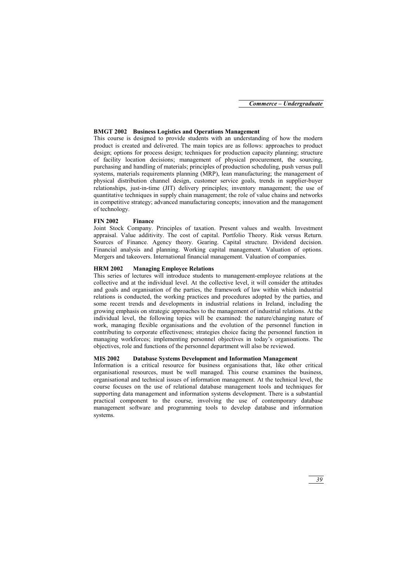## **BMGT 2002 Business Logistics and Operations Management**

This course is designed to provide students with an understanding of how the modern product is created and delivered. The main topics are as follows: approaches to product design; options for process design; techniques for production capacity planning; structure of facility location decisions; management of physical procurement, the sourcing, purchasing and handling of materials; principles of production scheduling, push versus pull systems, materials requirements planning (MRP), lean manufacturing; the management of physical distribution channel design, customer service goals, trends in supplier-buyer relationships, just-in-time (JIT) delivery principles; inventory management; the use of quantitative techniques in supply chain management; the role of value chains and networks in competitive strategy; advanced manufacturing concepts; innovation and the management of technology.

## **FIN 2002 Finance**

Joint Stock Company. Principles of taxation. Present values and wealth. Investment appraisal. Value additivity. The cost of capital. Portfolio Theory. Risk versus Return. Sources of Finance. Agency theory. Gearing. Capital structure. Dividend decision. Financial analysis and planning. Working capital management. Valuation of options. Mergers and takeovers. International financial management. Valuation of companies.

## **HRM 2002 Managing Employee Relations**

This series of lectures will introduce students to management-employee relations at the collective and at the individual level. At the collective level, it will consider the attitudes and goals and organisation of the parties, the framework of law within which industrial relations is conducted, the working practices and procedures adopted by the parties, and some recent trends and developments in industrial relations in Ireland, including the growing emphasis on strategic approaches to the management of industrial relations. At the individual level, the following topics will be examined: the nature/changing nature of work, managing flexible organisations and the evolution of the personnel function in contributing to corporate effectiveness; strategies choice facing the personnel function in managing workforces; implementing personnel objectives in today's organisations. The objectives, role and functions of the personnel department will also be reviewed.

## **MIS 2002 Database Systems Development and Information Management**

Information is a critical resource for business organisations that, like other critical organisational resources, must be well managed. This course examines the business, organisational and technical issues of information management. At the technical level, the course focuses on the use of relational database management tools and techniques for supporting data management and information systems development. There is a substantial practical component to the course, involving the use of contemporary database management software and programming tools to develop database and information systems.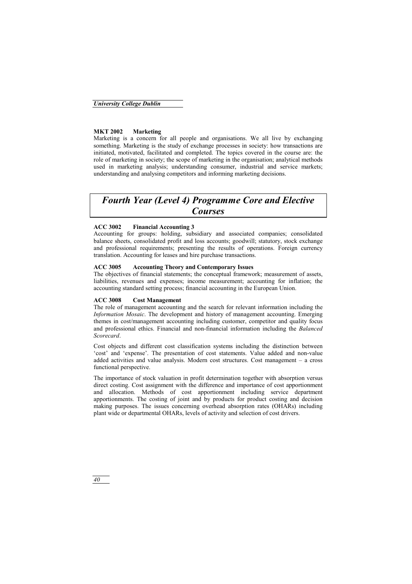## **MKT 2002 Marketing**

Marketing is a concern for all people and organisations. We all live by exchanging something. Marketing is the study of exchange processes in society: how transactions are initiated, motivated, facilitated and completed. The topics covered in the course are: the role of marketing in society; the scope of marketing in the organisation; analytical methods used in marketing analysis; understanding consumer, industrial and service markets; understanding and analysing competitors and informing marketing decisions.

# *Fourth Year (Level 4) Programme Core and Elective Courses*

## **ACC 3002 Financial Accounting 3**

Accounting for groups: holding, subsidiary and associated companies; consolidated balance sheets, consolidated profit and loss accounts; goodwill; statutory, stock exchange and professional requirements; presenting the results of operations. Foreign currency translation. Accounting for leases and hire purchase transactions.

## **ACC 3005 Accounting Theory and Contemporary Issues**

The objectives of financial statements; the conceptual framework; measurement of assets, liabilities, revenues and expenses; income measurement; accounting for inflation; the accounting standard setting process; financial accounting in the European Union.

## **ACC 3008 Cost Management**

The role of management accounting and the search for relevant information including the *Information Mosaic*. The development and history of management accounting. Emerging themes in cost/management accounting including customer, competitor and quality focus and professional ethics. Financial and non-financial information including the *Balanced Scorecard*.

Cost objects and different cost classification systems including the distinction between 'cost' and 'expense'. The presentation of cost statements. Value added and non-value added activities and value analysis. Modern cost structures. Cost management – a cross functional perspective.

The importance of stock valuation in profit determination together with absorption versus direct costing. Cost assignment with the difference and importance of cost apportionment and allocation. Methods of cost apportionment including service department apportionments. The costing of joint and by products for product costing and decision making purposes. The issues concerning overhead absorption rates (OHARs) including plant wide or departmental OHARs, levels of activity and selection of cost drivers.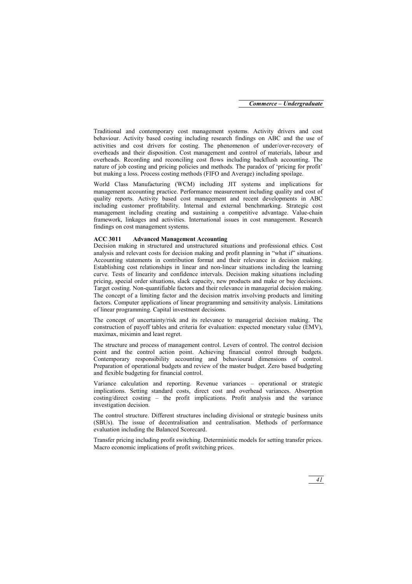Traditional and contemporary cost management systems. Activity drivers and cost behaviour. Activity based costing including research findings on ABC and the use of activities and cost drivers for costing. The phenomenon of under/over-recovery of overheads and their disposition. Cost management and control of materials, labour and overheads. Recording and reconciling cost flows including backflush accounting. The nature of job costing and pricing policies and methods. The paradox of 'pricing for profit' but making a loss. Process costing methods (FIFO and Average) including spoilage.

World Class Manufacturing (WCM) including JIT systems and implications for management accounting practice. Performance measurement including quality and cost of quality reports. Activity based cost management and recent developments in ABC including customer profitability. Internal and external benchmarking. Strategic cost management including creating and sustaining a competitive advantage. Value-chain framework, linkages and activities. International issues in cost management. Research findings on cost management systems.

## **ACC 3011 Advanced Management Accounting**

Decision making in structured and unstructured situations and professional ethics. Cost analysis and relevant costs for decision making and profit planning in "what if" situations. Accounting statements in contribution format and their relevance in decision making. Establishing cost relationships in linear and non-linear situations including the learning curve. Tests of linearity and confidence intervals. Decision making situations including pricing, special order situations, slack capacity, new products and make or buy decisions. Target costing. Non-quantifiable factors and their relevance in managerial decision making. The concept of a limiting factor and the decision matrix involving products and limiting factors. Computer applications of linear programming and sensitivity analysis. Limitations of linear programming. Capital investment decisions.

The concept of uncertainty/risk and its relevance to managerial decision making. The construction of payoff tables and criteria for evaluation: expected monetary value (EMV), maximax, miximin and least regret.

The structure and process of management control. Levers of control. The control decision point and the control action point. Achieving financial control through budgets. Contemporary responsibility accounting and behavioural dimensions of control. Preparation of operational budgets and review of the master budget. Zero based budgeting and flexible budgeting for financial control.

Variance calculation and reporting. Revenue variances – operational or strategic implications. Setting standard costs, direct cost and overhead variances. Absorption costing/direct costing – the profit implications. Profit analysis and the variance investigation decision.

The control structure. Different structures including divisional or strategic business units (SBUs). The issue of decentralisation and centralisation. Methods of performance evaluation including the Balanced Scorecard.

Transfer pricing including profit switching. Deterministic models for setting transfer prices. Macro economic implications of profit switching prices.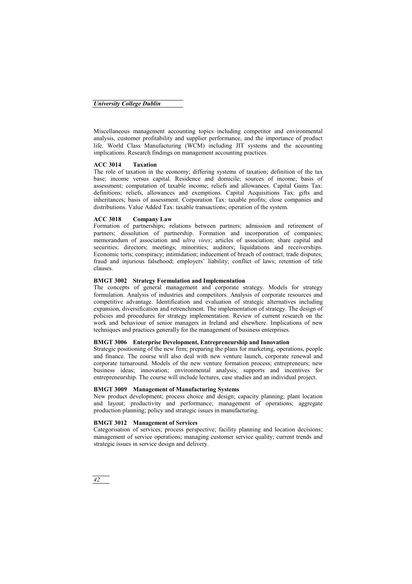## *University College Dublin*

Miscellaneous management accounting topics including competitor and environmental analysis, customer profitability and supplier performance, and the importance of product life. World Class Manufacturing (WCM) including JIT systems and the accounting implications. Research findings on management accounting practices.

## **ACC 3014 Taxation**

The role of taxation in the economy; differing systems of taxation; definition of the tax base; income versus capital. Residence and domicile; sources of income; basis of assessment; computation of taxable income; reliefs and allowances. Capital Gains Tax: definitions; reliefs, allowances and exemptions. Capital Acquisitions Tax: gifts and inheritances; basis of assessment. Corporation Tax: taxable profits; close companies and distributions. Value Added Tax: taxable transactions; operation of the system.

## **ACC 3018 Company Law**

Formation of partnerships; relations between partners; admission and retirement of partners; dissolution of partnership. Formation and incorporation of companies; memorandum of association and *ultra vires*; articles of association; share capital and securities; directors; meetings; minorities; auditors; liquidations and receiverships. Economic torts; conspiracy; intimidation; inducement of breach of contract; trade disputes; fraud and injurious falsehood; employers' liability; conflict of laws; retention of title clauses.

## **BMGT 3002 Strategy Formulation and Implementation**

The concepts of general management and corporate strategy. Models for strategy formulation. Analysis of industries and competitors. Analysis of corporate resources and competitive advantage. Identification and evaluation of strategic alternatives including expansion, diversification and retrenchment. The implementation of strategy. The design of policies and procedures for strategy implementation. Review of current research on the work and behaviour of senior managers in Ireland and elsewhere. Implications of new techniques and practices generally for the management of business enterprises.

## **BMGT 3006 Enterprise Development, Entrepreneurship and Innovation**

Strategic positioning of the new firm; preparing the plans for marketing, operations, people and finance. The course will also deal with new venture launch, corporate renewal and corporate turnaround. Models of the new venture formation process; entrepreneurs; new business ideas; innovation; environmental analysis; supports and incentives for entrepreneurship. The course will include lectures, case studies and an individual project.

## **BMGT 3009 Management of Manufacturing Systems**

New product development; process choice and design; capacity planning; plant location and layout; productivity and performance; management of operations; aggregate production planning; policy and strategic issues in manufacturing.

## **BMGT 3012 Management of Services**

Categorisation of services; process perspective; facility planning and location decisions; management of service operations; managing customer service quality; current trends and strategic issues in service design and delivery.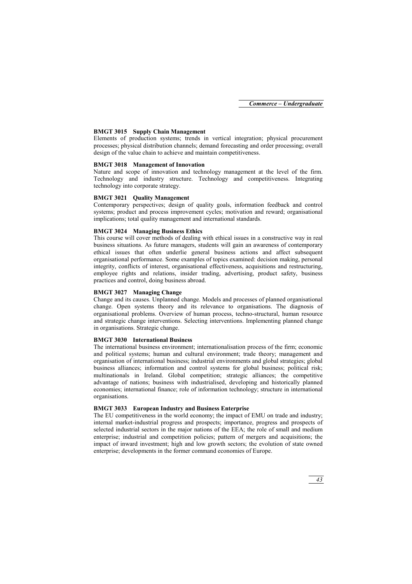## **BMGT 3015 Supply Chain Management**

Elements of production systems; trends in vertical integration; physical procurement processes; physical distribution channels; demand forecasting and order processing; overall design of the value chain to achieve and maintain competitiveness.

## **BMGT 3018 Management of Innovation**

Nature and scope of innovation and technology management at the level of the firm. Technology and industry structure. Technology and competitiveness. Integrating technology into corporate strategy.

## **BMGT 3021 Quality Management**

Contemporary perspectives; design of quality goals, information feedback and control systems; product and process improvement cycles; motivation and reward; organisational implications; total quality management and international standards.

## **BMGT 3024 Managing Business Ethics**

This course will cover methods of dealing with ethical issues in a constructive way in real business situations. As future managers, students will gain an awareness of contemporary ethical issues that often underlie general business actions and affect subsequent organisational performance. Some examples of topics examined: decision making, personal integrity, conflicts of interest, organisational effectiveness, acquisitions and restructuring, employee rights and relations, insider trading, advertising, product safety, business practices and control, doing business abroad.

## **BMGT 3027 Managing Change**

Change and its causes. Unplanned change. Models and processes of planned organisational change. Open systems theory and its relevance to organisations. The diagnosis of organisational problems. Overview of human process, techno-structural, human resource and strategic change interventions. Selecting interventions. Implementing planned change in organisations. Strategic change.

## **BMGT 3030 International Business**

The international business environment; internationalisation process of the firm; economic and political systems; human and cultural environment; trade theory; management and organisation of international business; industrial environments and global strategies; global business alliances; information and control systems for global business; political risk; multinationals in Ireland. Global competition; strategic alliances; the competitive advantage of nations; business with industrialised, developing and historically planned economies; international finance; role of information technology; structure in international organisations.

## **BMGT 3033 European Industry and Business Enterprise**

The EU competitiveness in the world economy; the impact of EMU on trade and industry; internal market-industrial progress and prospects; importance, progress and prospects of selected industrial sectors in the major nations of the EEA; the role of small and medium enterprise; industrial and competition policies; pattern of mergers and acquisitions; the impact of inward investment; high and low growth sectors; the evolution of state owned enterprise; developments in the former command economies of Europe.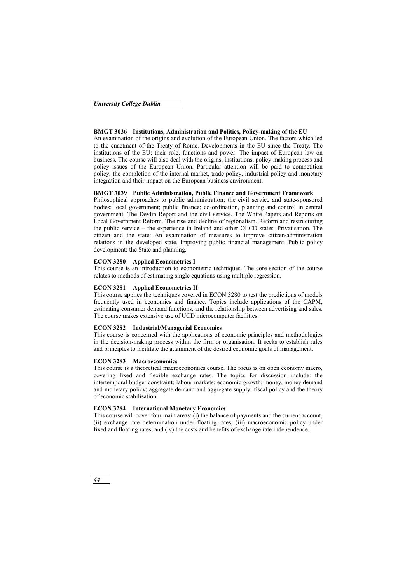## *University College Dublin*

## **BMGT 3036 Institutions, Administration and Politics, Policy-making of the EU**

An examination of the origins and evolution of the European Union. The factors which led to the enactment of the Treaty of Rome. Developments in the EU since the Treaty. The institutions of the EU: their role, functions and power. The impact of European law on business. The course will also deal with the origins, institutions, policy-making process and policy issues of the European Union. Particular attention will be paid to competition policy, the completion of the internal market, trade policy, industrial policy and monetary integration and their impact on the European business environment.

## **BMGT 3039 Public Administration, Public Finance and Government Framework**

Philosophical approaches to public administration; the civil service and state-sponsored bodies; local government; public finance; co-ordination, planning and control in central government. The Devlin Report and the civil service. The White Papers and Reports on Local Government Reform. The rise and decline of regionalism. Reform and restructuring the public service – the experience in Ireland and other OECD states. Privatisation. The citizen and the state: An examination of measures to improve citizen/administration relations in the developed state. Improving public financial management. Public policy development: the State and planning.

## **ECON 3280 Applied Econometrics I**

This course is an introduction to econometric techniques. The core section of the course relates to methods of estimating single equations using multiple regression.

## **ECON 3281 Applied Econometrics II**

This course applies the techniques covered in ECON 3280 to test the predictions of models frequently used in economics and finance. Topics include applications of the CAPM, estimating consumer demand functions, and the relationship between advertising and sales. The course makes extensive use of UCD microcomputer facilities.

## **ECON 3282 Industrial/Managerial Economics**

This course is concerned with the applications of economic principles and methodologies in the decision-making process within the firm or organisation. It seeks to establish rules and principles to facilitate the attainment of the desired economic goals of management.

## **ECON 3283 Macroeconomics**

This course is a theoretical macroeconomics course. The focus is on open economy macro, covering fixed and flexible exchange rates. The topics for discussion include: the intertemporal budget constraint; labour markets; economic growth; money, money demand and monetary policy; aggregate demand and aggregate supply; fiscal policy and the theory of economic stabilisation.

## **ECON 3284 International Monetary Economics**

This course will cover four main areas: (i) the balance of payments and the current account, (ii) exchange rate determination under floating rates, (iii) macroeconomic policy under fixed and floating rates, and (iv) the costs and benefits of exchange rate independence.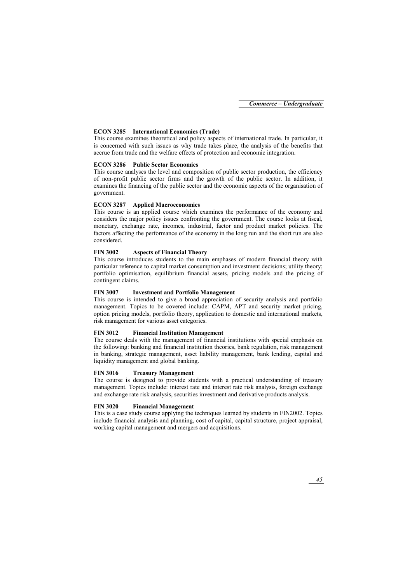## **ECON 3285 International Economics (Trade)**

This course examines theoretical and policy aspects of international trade. In particular, it is concerned with such issues as why trade takes place, the analysis of the benefits that accrue from trade and the welfare effects of protection and economic integration.

## **ECON 3286 Public Sector Economics**

This course analyses the level and composition of public sector production, the efficiency of non-profit public sector firms and the growth of the public sector. In addition, it examines the financing of the public sector and the economic aspects of the organisation of government.

## **ECON 3287 Applied Macroeconomics**

This course is an applied course which examines the performance of the economy and considers the major policy issues confronting the government. The course looks at fiscal, monetary, exchange rate, incomes, industrial, factor and product market policies. The factors affecting the performance of the economy in the long run and the short run are also considered.

## **FIN 3002 Aspects of Financial Theory**

This course introduces students to the main emphases of modern financial theory with particular reference to capital market consumption and investment decisions; utility theory; portfolio optimisation, equilibrium financial assets, pricing models and the pricing of contingent claims.

## **FIN 3007 Investment and Portfolio Management**

This course is intended to give a broad appreciation of security analysis and portfolio management. Topics to be covered include: CAPM, APT and security market pricing, option pricing models, portfolio theory, application to domestic and international markets, risk management for various asset categories.

## **FIN 3012 Financial Institution Management**

The course deals with the management of financial institutions with special emphasis on the following: banking and financial institution theories, bank regulation, risk management in banking, strategic management, asset liability management, bank lending, capital and liquidity management and global banking.

## **FIN 3016 Treasury Management**

The course is designed to provide students with a practical understanding of treasury management. Topics include: interest rate and interest rate risk analysis, foreign exchange and exchange rate risk analysis, securities investment and derivative products analysis.

## **FIN 3020 Financial Management**

This is a case study course applying the techniques learned by students in FIN2002. Topics include financial analysis and planning, cost of capital, capital structure, project appraisal, working capital management and mergers and acquisitions.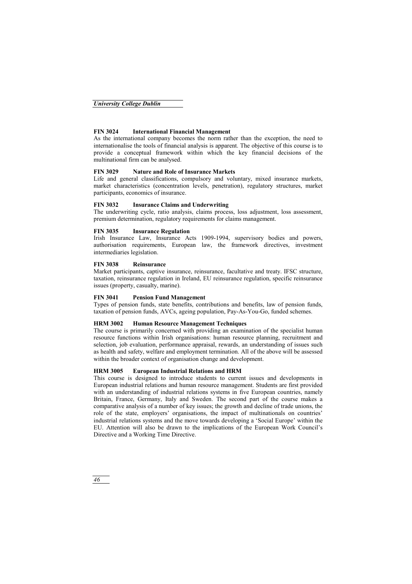## **FIN 3024 International Financial Management**

As the international company becomes the norm rather than the exception, the need to internationalise the tools of financial analysis is apparent. The objective of this course is to provide a conceptual framework within which the key financial decisions of the multinational firm can be analysed.

## **FIN 3029 Nature and Role of Insurance Markets**

Life and general classifications, compulsory and voluntary, mixed insurance markets, market characteristics (concentration levels, penetration), regulatory structures, market participants, economics of insurance.

## **FIN 3032 Insurance Claims and Underwriting**

The underwriting cycle, ratio analysis, claims process, loss adjustment, loss assessment, premium determination, regulatory requirements for claims management.

## **FIN 3035 Insurance Regulation**

Irish Insurance Law, Insurance Acts 1909-1994, supervisory bodies and powers, authorisation requirements, European law, the framework directives, investment intermediaries legislation.

## **FIN 3038 Reinsurance**

Market participants, captive insurance, reinsurance, facultative and treaty. IFSC structure, taxation, reinsurance regulation in Ireland, EU reinsurance regulation, specific reinsurance issues (property, casualty, marine).

## **FIN 3041 Pension Fund Management**

Types of pension funds, state benefits, contributions and benefits, law of pension funds, taxation of pension funds, AVCs, ageing population, Pay-As-You-Go, funded schemes.

## **HRM 3002 Human Resource Management Techniques**

The course is primarily concerned with providing an examination of the specialist human resource functions within Irish organisations: human resource planning, recruitment and selection, job evaluation, performance appraisal, rewards, an understanding of issues such as health and safety, welfare and employment termination. All of the above will be assessed within the broader context of organisation change and development.

## **HRM 3005 European Industrial Relations and HRM**

This course is designed to introduce students to current issues and developments in European industrial relations and human resource management. Students are first provided with an understanding of industrial relations systems in five European countries, namely Britain, France, Germany, Italy and Sweden. The second part of the course makes a comparative analysis of a number of key issues; the growth and decline of trade unions, the role of the state, employers' organisations, the impact of multinationals on countries' industrial relations systems and the move towards developing a 'Social Europe' within the EU. Attention will also be drawn to the implications of the European Work Council's Directive and a Working Time Directive.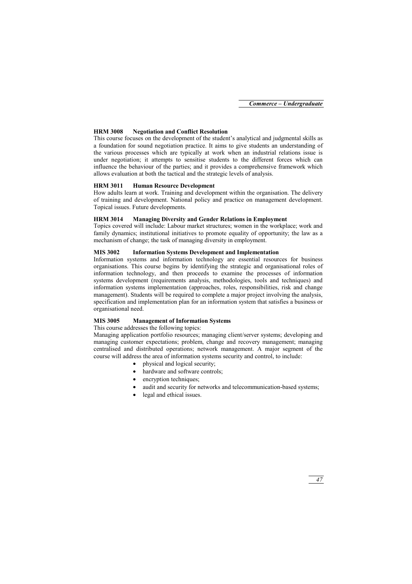## **HRM 3008 Negotiation and Conflict Resolution**

This course focuses on the development of the student's analytical and judgmental skills as a foundation for sound negotiation practice. It aims to give students an understanding of the various processes which are typically at work when an industrial relations issue is under negotiation; it attempts to sensitise students to the different forces which can influence the behaviour of the parties; and it provides a comprehensive framework which allows evaluation at both the tactical and the strategic levels of analysis.

## **HRM 3011 Human Resource Development**

How adults learn at work. Training and development within the organisation. The delivery of training and development. National policy and practice on management development. Topical issues. Future developments.

## **HRM 3014 Managing Diversity and Gender Relations in Employment**

Topics covered will include: Labour market structures; women in the workplace; work and family dynamics; institutional initiatives to promote equality of opportunity; the law as a mechanism of change; the task of managing diversity in employment.

## **MIS 3002 Information Systems Development and Implementation**

Information systems and information technology are essential resources for business organisations. This course begins by identifying the strategic and organisational roles of information technology, and then proceeds to examine the processes of information systems development (requirements analysis, methodologies, tools and techniques) and information systems implementation (approaches, roles, responsibilities, risk and change management). Students will be required to complete a major project involving the analysis, specification and implementation plan for an information system that satisfies a business or organisational need.

## **MIS 3005 Management of Information Systems**

This course addresses the following topics:

Managing application portfolio resources; managing client/server systems; developing and managing customer expectations; problem, change and recovery management; managing centralised and distributed operations; network management. A major segment of the course will address the area of information systems security and control, to include:

- physical and logical security;
- hardware and software controls:
- encryption techniques;
- audit and security for networks and telecommunication-based systems;
- legal and ethical issues.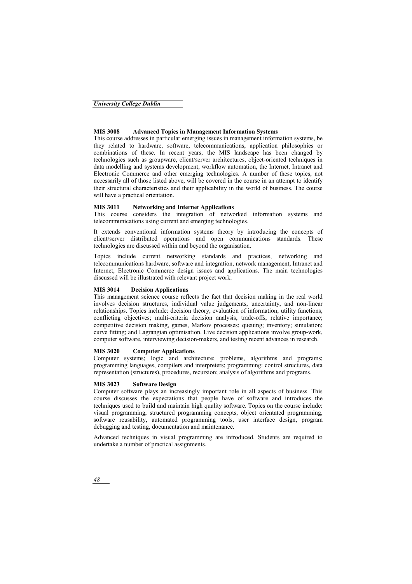## *University College Dublin*

## **MIS 3008 Advanced Topics in Management Information Systems**

This course addresses in particular emerging issues in management information systems, be they related to hardware, software, telecommunications, application philosophies or combinations of these. In recent years, the MIS landscape has been changed by technologies such as groupware, client/server architectures, object-oriented techniques in data modelling and systems development, workflow automation, the Internet, Intranet and Electronic Commerce and other emerging technologies. A number of these topics, not necessarily all of those listed above, will be covered in the course in an attempt to identify their structural characteristics and their applicability in the world of business. The course will have a practical orientation.

## **MIS 3011 Networking and Internet Applications**

This course considers the integration of networked information systems and telecommunications using current and emerging technologies.

It extends conventional information systems theory by introducing the concepts of client/server distributed operations and open communications standards. These technologies are discussed within and beyond the organisation.

Topics include current networking standards and practices, networking and telecommunications hardware, software and integration, network management, Intranet and Internet, Electronic Commerce design issues and applications. The main technologies discussed will be illustrated with relevant project work.

## **MIS 3014 Decision Applications**

This management science course reflects the fact that decision making in the real world involves decision structures, individual value judgements, uncertainty, and non-linear relationships. Topics include: decision theory, evaluation of information; utility functions, conflicting objectives; multi-criteria decision analysis, trade-offs, relative importance; competitive decision making, games, Markov processes; queuing; inventory; simulation; curve fitting; and Lagrangian optimisation. Live decision applications involve group-work, computer software, interviewing decision-makers, and testing recent advances in research.

## **MIS 3020 Computer Applications**

Computer systems; logic and architecture; problems, algorithms and programs; programming languages, compilers and interpreters; programming: control structures, data representation (structures), procedures, recursion; analysis of algorithms and programs.

## **MIS 3023 Software Design**

Computer software plays an increasingly important role in all aspects of business. This course discusses the expectations that people have of software and introduces the techniques used to build and maintain high quality software. Topics on the course include: visual programming, structured programming concepts, object orientated programming, software reusability, automated programming tools, user interface design, program debugging and testing, documentation and maintenance.

Advanced techniques in visual programming are introduced. Students are required to undertake a number of practical assignments.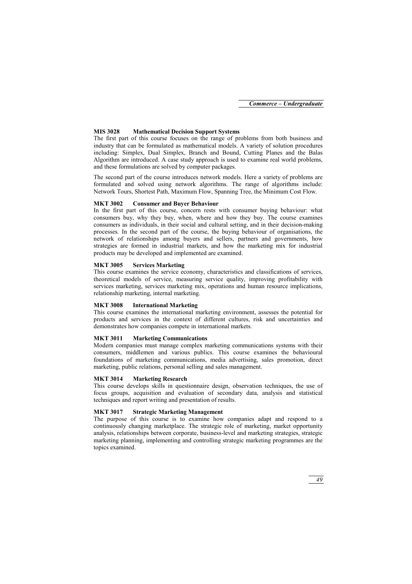## **MIS 3028 Mathematical Decision Support Systems**

The first part of this course focuses on the range of problems from both business and industry that can be formulated as mathematical models. A variety of solution procedures including: Simplex, Dual Simplex, Branch and Bound, Cutting Planes and the Balas Algorithm are introduced. A case study approach is used to examine real world problems, and these formulations are solved by computer packages.

The second part of the course introduces network models. Here a variety of problems are formulated and solved using network algorithms. The range of algorithms include: Network Tours, Shortest Path, Maximum Flow, Spanning Tree, the Minimum Cost Flow.

## **MKT 3002 Consumer and Buyer Behaviour**

In the first part of this course, concern rests with consumer buying behaviour: what consumers buy, why they buy, when, where and how they buy. The course examines consumers as individuals, in their social and cultural setting, and in their decision-making processes. In the second part of the course, the buying behaviour of organisations, the network of relationships among buyers and sellers, partners and governments, how strategies are formed in industrial markets, and how the marketing mix for industrial products may be developed and implemented are examined.

## **MKT 3005 Services Marketing**

This course examines the service economy, characteristics and classifications of services, theoretical models of service, measuring service quality, improving profitability with services marketing, services marketing mix, operations and human resource implications, relationship marketing, internal marketing.

## **MKT 3008 International Marketing**

This course examines the international marketing environment, assesses the potential for products and services in the context of different cultures, risk and uncertainties and demonstrates how companies compete in international markets.

## **MKT 3011 Marketing Communications**

Modern companies must manage complex marketing communications systems with their consumers, middlemen and various publics. This course examines the behavioural foundations of marketing communications, media advertising, sales promotion, direct marketing, public relations, personal selling and sales management.

## **MKT 3014 Marketing Research**

This course develops skills in questionnaire design, observation techniques, the use of focus groups, acquisition and evaluation of secondary data, analysis and statistical techniques and report writing and presentation of results.

## **MKT 3017 Strategic Marketing Management**

The purpose of this course is to examine how companies adapt and respond to a continuously changing marketplace. The strategic role of marketing, market opportunity analysis, relationships between corporate, business-level and marketing strategies, strategic marketing planning, implementing and controlling strategic marketing programmes are the topics examined.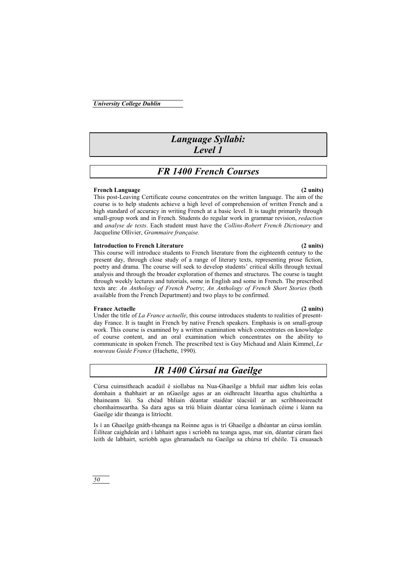## *Language Syllabi: Level 1*

# *FR 1400 French Courses*

## **French Language (2 units)**

This post-Leaving Certificate course concentrates on the written language. The aim of the course is to help students achieve a high level of comprehension of written French and a high standard of accuracy in writing French at a basic level. It is taught primarily through small-group work and in French. Students do regular work in grammar revision, *redaction* and *analyse de texts*. Each student must have the *Collins-Robert French Dictionary* and Jacqueline Ollivier, *Grammaire française.* 

## **Introduction to French Literature (2 units)**

This course will introduce students to French literature from the eighteenth century to the present day, through close study of a range of literary texts, representing prose fiction, poetry and drama. The course will seek to develop students' critical skills through textual analysis and through the broader exploration of themes and structures. The course is taught through weekly lectures and tutorials, some in English and some in French. The prescribed texts are: *An Anthology of French Poetry*; *An Anthology of French Short Stories* (both available from the French Department) and two plays to be confirmed.

## **France Actuelle (2 units)**

Under the title of *La France actuelle*, this course introduces students to realities of presentday France. It is taught in French by native French speakers. Emphasis is on small-group work. This course is examined by a written examination which concentrates on knowledge of course content, and an oral examination which concentrates on the ability to communicate in spoken French. The prescribed text is Guy Michaud and Alain Kimmel, *Le nouveau Guide France* (Hachette, 1990).

# *IR 1400 Cúrsaí na Gaeilge*

Cúrsa cuimsitheach acadúil é siollabas na Nua-Ghaeilge a bhfuil mar aidhm leis eolas domhain a thabhairt ar an nGaeilge agus ar an oidhreacht liteartha agus chultúrtha a bhaineann léi. Sa chéad bhliain déantar staidéar téacsúil ar an scríbhneoireacht chomhaimseartha. Sa dara agus sa tríú bliain déantar cúrsa leanúnach céime i léann na Gaeilge idir theanga is litríocht.

Is í an Ghaeilge gnáth-theanga na Roinne agus is trí Ghaeilge a dhéantar an cúrsa iomlán. Éilítear caighdeán ard i labhairt agus i scríobh na teanga agus, mar sin, déantar cúram faoi leith de labhairt, scríobh agus ghramadach na Gaeilge sa chúrsa trí chéile. Tá cnuasach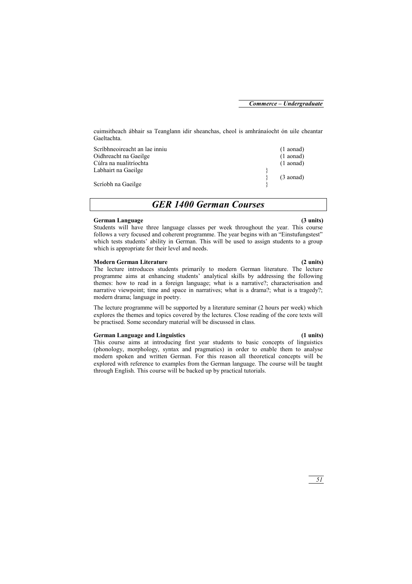*51* 

cuimsitheach ábhair sa Teanglann idir sheanchas, cheol is amhránaíocht ón uile cheantar Gaeltachta.

Scríbhneoireacht an lae inniu (1 aonad) Oidhreacht na Gaeilge (1 aonad) Cúlra na nualitríochta (1 aonad) Labhairt na Gaeilge } (3 aonad) Scríobh na Gaeilge

*GER 1400 German Courses* 

## **German Language (3 units)**

Students will have three language classes per week throughout the year. This course follows a very focused and coherent programme. The year begins with an "Einstufungstest" which tests students' ability in German. This will be used to assign students to a group which is appropriate for their level and needs.

## **Modern German Literature (2 units)**

The lecture introduces students primarily to modern German literature. The lecture programme aims at enhancing students' analytical skills by addressing the following themes: how to read in a foreign language; what is a narrative?; characterisation and narrative viewpoint; time and space in narratives; what is a drama?; what is a tragedy?; modern drama; language in poetry.

The lecture programme will be supported by a literature seminar (2 hours per week) which explores the themes and topics covered by the lectures. Close reading of the core texts will be practised. Some secondary material will be discussed in class.

## **German Language and Linguistics (1 units)**

This course aims at introducing first year students to basic concepts of linguistics (phonology, morphology, syntax and pragmatics) in order to enable them to analyse modern spoken and written German. For this reason all theoretical concepts will be explored with reference to examples from the German language. The course will be taught through English. This course will be backed up by practical tutorials.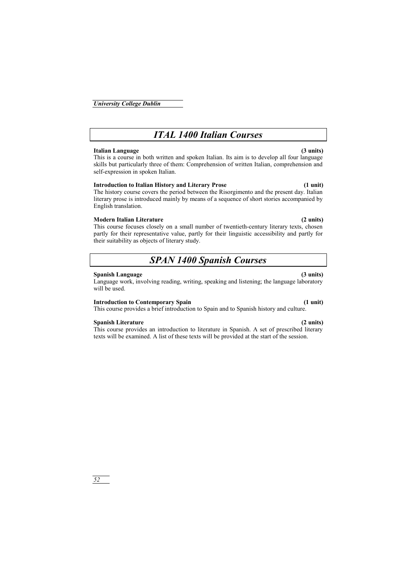# *ITAL 1400 Italian Courses*

## **Italian Language (3 units)**

This is a course in both written and spoken Italian. Its aim is to develop all four language skills but particularly three of them: Comprehension of written Italian, comprehension and self-expression in spoken Italian.

## **Introduction to Italian History and Literary Prose (1 unit)**

The history course covers the period between the Risorgimento and the present day. Italian literary prose is introduced mainly by means of a sequence of short stories accompanied by English translation.

## **Modern Italian Literature (2 units)**

This course focuses closely on a small number of twentieth-century literary texts, chosen partly for their representative value, partly for their linguistic accessibility and partly for their suitability as objects of literary study.

# *SPAN 1400 Spanish Courses*

## **Spanish Language (3 units)**

Language work, involving reading, writing, speaking and listening; the language laboratory will be used.

## **Introduction to Contemporary Spain (1 unit)**

This course provides a brief introduction to Spain and to Spanish history and culture.

## **Spanish Literature (2 units)**

This course provides an introduction to literature in Spanish. A set of prescribed literary texts will be examined. A list of these texts will be provided at the start of the session.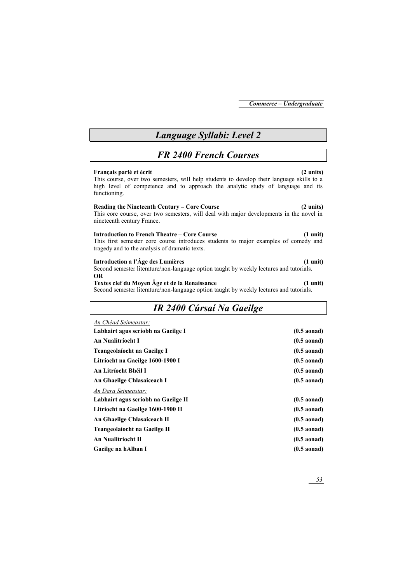# *Language Syllabi: Level 2*

# *FR 2400 French Courses*

## **Français parlé et écrit (2 units)**

This course, over two semesters, will help students to develop their language skills to a high level of competence and to approach the analytic study of language and its functioning.

## **Reading the Nineteenth Century – Core Course (2 units)**

This core course, over two semesters, will deal with major developments in the novel in nineteenth century France.

## **Introduction to French Theatre – Core Course (1 unit)**

This first semester core course introduces students to major examples of comedy and tragedy and to the analysis of dramatic texts.

## **Introduction a l'Âge des Lumières (1 unit)**

Second semester literature/non-language option taught by weekly lectures and tutorials. **OR** 

## **Textes clef du Moyen Âge et de la Renaissance (1 unit)**

Second semester literature/non-language option taught by weekly lectures and tutorials.

# *IR 2400 Cúrsaí Na Gaeilge*

| An Chéad Seimeastar:                |               |
|-------------------------------------|---------------|
| Labhairt agus scríobh na Gaeilge I  | $(0.5$ aonad) |
| An Nualitríocht I                   | $(0.5$ aonad) |
| Teangeolaíocht na Gaeilge I         | $(0.5$ aonad) |
| Litríocht na Gaeilge 1600-1900 I    | $(0.5$ aonad) |
| An Litríocht Bhéil I                | $(0.5$ aonad) |
| An Ghaeilge Chlasaiceach I          | $(0.5$ aonad) |
| An Dara Seimeastar:                 |               |
| Labhairt agus scríobh na Gaeilge II | $(0.5$ aonad) |
| Litríocht na Gaeilge 1600-1900 II   | $(0.5$ aonad) |
| An Ghaeilge Chlasaiceach II         | $(0.5$ aonad) |
| Teangeolaíocht na Gaeilge II        | $(0.5$ aonad) |
| An Nualitríocht II                  | $(0.5$ aonad) |
| Gaeilge na hAlban I                 | $(0.5$ aonad) |
|                                     |               |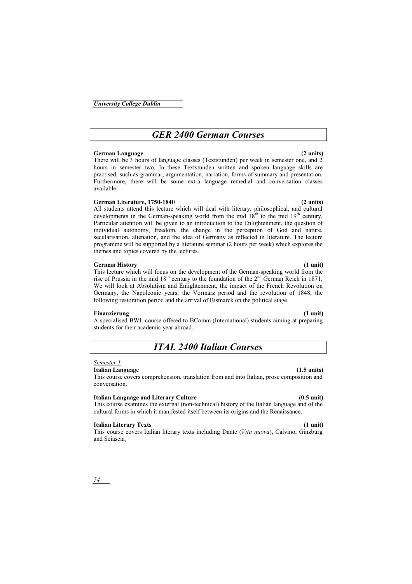# *GER 2400 German Courses*

## **German Language (2 units)**

There will be 3 hours of language classes (Textstunden) per week in semester one, and 2 hours in semester two. In these Textstunden written and spoken language skills are practised, such as grammar, argumentation, narration, forms of summary and presentation. Furthermore, there will be some extra language remedial and conversation classes available.

## **German Literature, 1750-1840 (2 units)**

All students attend this lecture which will deal with literary, philosophical, and cultural developments in the German-speaking world from the mid  $18<sup>th</sup>$  to the mid  $19<sup>th</sup>$  century. Particular attention will be given to an introduction to the Enlightenment, the question of individual autonomy, freedom, the change in the perception of God and nature, secularisation, alienation, and the idea of Germany as reflected in literature. The lecture programme will be supported by a literature seminar (2 hours per week) which explores the themes and topics covered by the lectures.

## **German History (1 unit)**

This lecture which will focus on the development of the German-speaking world from the rise of Prussia in the mid  $18<sup>th</sup>$  century to the foundation of the  $2<sup>nd</sup>$  German Reich in 1871. We will look at Absolutism and Enlightenment, the impact of the French Revolution on Germany, the Napoleonic years, the Vormärz period and the revolution of 1848, the following restoration period and the arrival of Bismarck on the political stage.

## **Finanzierung (1 unit)**

A specialised BWL course offered to BComm (International) students aiming at preparing students for their academic year abroad.

# *ITAL 2400 Italian Courses*

## *Semester 1*

## **Italian Language (1.5 units)**

This course covers comprehension, translation from and into Italian, prose composition and conversation.

## **Italian Language and Literary Culture (0.5 unit)**

This course examines the external (non-technical) history of the Italian language and of the cultural forms in which it manifested itself between its origins and the Renaissance.

## **Italian Literary Texts (1 unit)**

This course covers Italian literary texts including Dante (*Vita nuova*), Calvino, Ginzburg and Sciascia*.*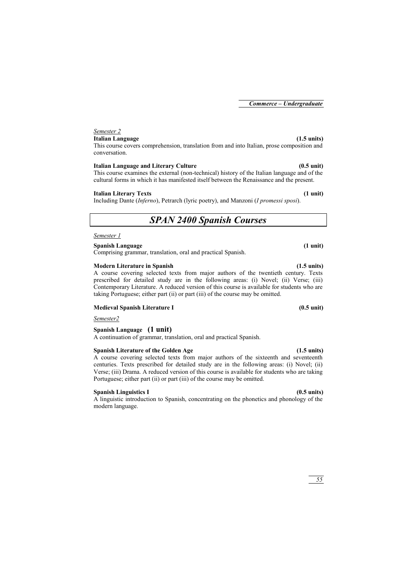## *Semester 2*

## **Italian Language (1.5 units)**

This course covers comprehension, translation from and into Italian, prose composition and conversation.

## **Italian Language and Literary Culture (0.5 unit)**

This course examines the external (non-technical) history of the Italian language and of the cultural forms in which it has manifested itself between the Renaissance and the present.

## **Italian Literary Texts (1 unit)**

Including Dante (*Inferno*), Petrarch (lyric poetry), and Manzoni (*I promessi sposi*).

# *SPAN 2400 Spanish Courses*

## *Semester 1*

## **Spanish Language (1 unit)**

Comprising grammar, translation, oral and practical Spanish.

## **Modern Literature in Spanish (1.5 units)**

A course covering selected texts from major authors of the twentieth century. Texts prescribed for detailed study are in the following areas: (i) Novel; (ii) Verse; (iii) Contemporary Literature. A reduced version of this course is available for students who are taking Portuguese; either part (ii) or part (iii) of the course may be omitted.

## **Medieval Spanish Literature I (0.5 unit)**

*Semester2*

## **Spanish Language (1 unit)**

A continuation of grammar, translation, oral and practical Spanish.

## **Spanish Literature of the Golden Age (1.5 units)**

A course covering selected texts from major authors of the sixteenth and seventeenth centuries. Texts prescribed for detailed study are in the following areas: (i) Novel; (ii) Verse; (iii) Drama. A reduced version of this course is available for students who are taking Portuguese; either part (ii) or part (iii) of the course may be omitted.

## **Spanish Linguistics I (0.5 units)**

A linguistic introduction to Spanish, concentrating on the phonetics and phonology of the modern language.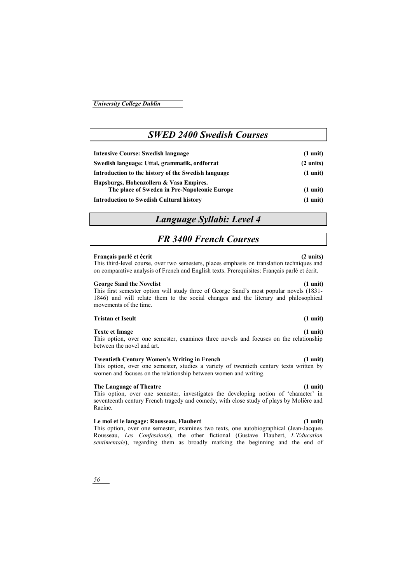## This option, over one semester, examines three novels and focuses on the relationship between the novel and art.

## **Twentieth Century Women's Writing in French (1 unit)**

This option, over one semester, studies a variety of twentieth century texts written by women and focuses on the relationship between women and writing.

## **The Language of Theatre (1 unit)**

This option, over one semester, investigates the developing notion of 'character' in seventeenth century French tragedy and comedy, with close study of plays by Molière and Racine.

## **Le moi et le langage: Rousseau, Flaubert (1 unit)**

This option, over one semester, examines two texts, one autobiographical (Jean-Jacques Rousseau, *Les Confessions*), the other fictional (Gustave Flaubert, *L'Education sentimentale*), regarding them as broadly marking the beginning and the end of

## **Français parlé et écrit (2 units)**

This third-level course, over two semesters, places emphasis on translation techniques and on comparative analysis of French and English texts. Prerequisites: Français parlé et écrit.

## **George Sand the Novelist (1 unit)**

This first semester option will study three of George Sand's most popular novels (1831- 1846) and will relate them to the social changes and the literary and philosophical movements of the time.

## **Swedish language: Uttal, grammatik, ordforrat (2 units) Introduction to the history of the Swedish language (1 unit)**

- **Hapsburgs, Hohenzollern & Vasa Empires. The place of Sweden in Pre-Napoleonic Europe (1 unit)**
- **Introduction to Swedish Cultural history (1 unit)**

# *Language Syllabi: Level 4*

# *FR 3400 French Courses*

# *SWED 2400 Swedish Courses*

**Intensive Course: Swedish language (1 unit)** 

## **Texte et Image (1 unit)**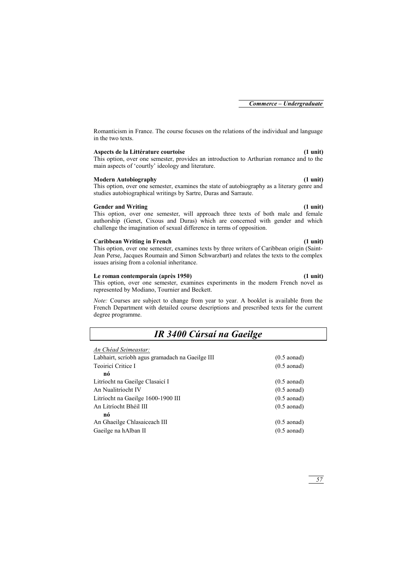Romanticism in France. The course focuses on the relations of the individual and language in the two texts.

## **Aspects de la Littérature courtoise (1 unit)**

This option, over one semester, provides an introduction to Arthurian romance and to the main aspects of 'courtly' ideology and literature.

## **Modern Autobiography (1 unit)**

This option, over one semester, examines the state of autobiography as a literary genre and studies autobiographical writings by Sartre, Duras and Sarraute.

## **Gender and Writing (1 unit)**

This option, over one semester, will approach three texts of both male and female authorship (Genet, Cixous and Duras) which are concerned with gender and which challenge the imagination of sexual difference in terms of opposition.

## **Caribbean Writing in French (1 unit)**

This option, over one semester, examines texts by three writers of Caribbean origin (Saint-Jean Perse, Jacques Roumain and Simon Schwarzbart) and relates the texts to the complex issues arising from a colonial inheritance.

## **Le roman contemporain (après 1950) (1 unit)**

This option, over one semester, examines experiments in the modern French novel as represented by Modiano, Tournier and Beckett.

*Note:* Courses are subject to change from year to year. A booklet is available from the French Department with detailed course descriptions and prescribed texts for the current degree programme.

# *IR 3400 Cúrsaí na Gaeilge*

|  |  |  | An Chéad Seimeastar: |  |
|--|--|--|----------------------|--|
|--|--|--|----------------------|--|

| Teoiricí Critice I<br>$(0.5$ aonad)                         |  |
|-------------------------------------------------------------|--|
| nó                                                          |  |
| Litríocht na Gaeilge Clasaicí I<br>$(0.5 \text{ aonad})$    |  |
| An Nualitríocht IV<br>$(0.5 \text{ aonad})$                 |  |
| Litríocht na Gaeilge 1600-1900 III<br>$(0.5 \text{ aonad})$ |  |
| An Litríocht Bhéil III<br>$(0.5 \text{ aonad})$             |  |
| nó                                                          |  |
| An Ghaeilge Chlasaiceach III<br>$(0.5 \text{ aonad})$       |  |
| Gaeilge na hAlban II<br>$(0.5$ aonad)                       |  |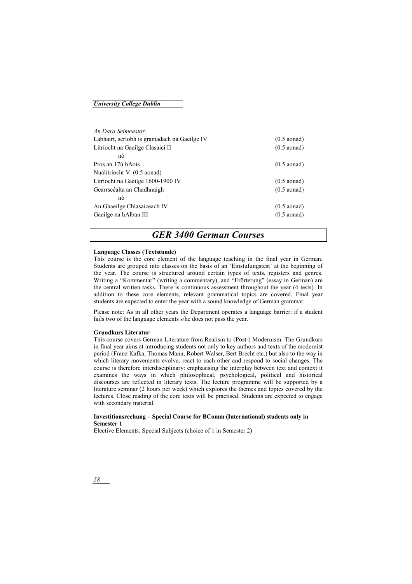## *University College Dublin*

| An Dara Seimeastar:                          |                       |
|----------------------------------------------|-----------------------|
| Labhairt, scríobh is gramadach na Gaeilge IV | $(0.5 \text{ aonad})$ |
| Litríocht na Gaeilge Clasaicí II             | $(0.5 \text{ aonad})$ |
| nó                                           |                       |
| Prós an 17ú hAois                            | $(0.5 \text{ aonad})$ |
| Nualitríocht V (0.5 aonad)                   |                       |
| Litríocht na Gaeilge 1600-1900 IV            | $(0.5 \text{ aonad})$ |
| Gearrscéalta an Chadhnaigh                   | $(0.5 \text{ aonad})$ |
| nó                                           |                       |
| An Ghaeilge Chlasaiceach IV                  | $(0.5 \text{ aonad})$ |
| Gaeilge na hAlban III                        | $(0.5 \text{ aonad})$ |
|                                              |                       |

## *GER 3400 German Courses*

## **Language Classes (Textstunde)**

This course is the core element of the language teaching in the final year in German. Students are grouped into classes on the basis of an 'Einstufungstest' at the beginning of the year. The course is structured around certain types of texts, registers and genres. Writing a "Kommentar" (writing a commentary), and "Erörterung" (essay in German) are the central written tasks. There is continuous assessment throughout the year (4 tests). In addition to these core elements, relevant grammatical topics are covered. Final year students are expected to enter the year with a sound knowledge of German grammar.

Please note: As in all other years the Department operates a language barrier: if a student fails two of the language elements s/he does not pass the year.

## **Grundkurs Literatur**

This course covers German Literature from Realism to (Post-) Modernism. The Grundkurs in final year aims at introducing students not only to key authors and texts of the modernist period (Franz Kafka, Thomas Mann, Robert Walser, Bert Brecht etc.) but also to the way in which literary movements evolve, react to each other and respond to social changes. The course is therefore interdisciplinary: emphasising the interplay between text and context it examines the ways in which philosophical, psychological, political and historical discourses are reflected in literary texts. The lecture programme will be supported by a literature seminar (2 hours per week) which explores the themes and topics covered by the lectures. Close reading of the core texts will be practised. Students are expected to engage with secondary material.

## **Investitionsrechung – Special Course for BComm (International) students only in Semester 1**

Elective Elements: Special Subjects (choice of 1 in Semester 2)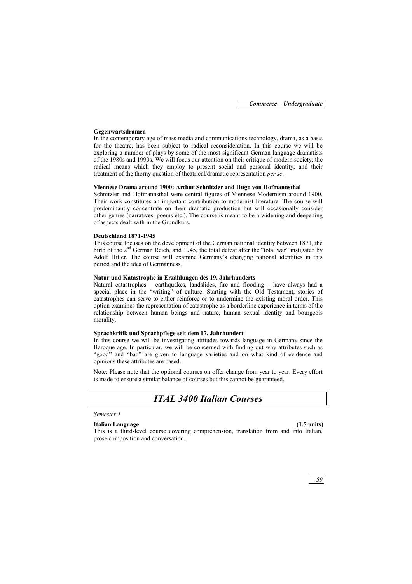## **Gegenwartsdramen**

In the contemporary age of mass media and communications technology, drama, as a basis for the theatre, has been subject to radical reconsideration. In this course we will be exploring a number of plays by some of the most significant German language dramatists of the 1980s and 1990s. We will focus our attention on their critique of modern society; the radical means which they employ to present social and personal identity; and their treatment of the thorny question of theatrical/dramatic representation *per se*.

## **Viennese Drama around 1900: Arthur Schnitzler and Hugo von Hofmannsthal**

Schnitzler and Hofmannsthal were central figures of Viennese Modernism around 1900. Their work constitutes an important contribution to modernist literature. The course will predominantly concentrate on their dramatic production but will occasionally consider other genres (narratives, poems etc.). The course is meant to be a widening and deepening of aspects dealt with in the Grundkurs.

## **Deutschland 1871-1945**

This course focuses on the development of the German national identity between 1871, the birth of the 2<sup>nd</sup> German Reich, and 1945, the total defeat after the "total war" instigated by Adolf Hitler. The course will examine Germany's changing national identities in this period and the idea of Germanness.

## **Natur und Katastrophe in Erzählungen des 19. Jahrhunderts**

Natural catastrophes – earthquakes, landslides, fire and flooding – have always had a special place in the "writing" of culture. Starting with the Old Testament, stories of catastrophes can serve to either reinforce or to undermine the existing moral order. This option examines the representation of catastrophe as a borderline experience in terms of the relationship between human beings and nature, human sexual identity and bourgeois morality.

## **Sprachkritik und Sprachpflege seit dem 17. Jahrhundert**

In this course we will be investigating attitudes towards language in Germany since the Baroque age. In particular, we will be concerned with finding out why attributes such as "good" and "bad" are given to language varieties and on what kind of evidence and opinions these attributes are based.

Note: Please note that the optional courses on offer change from year to year. Every effort is made to ensure a similar balance of courses but this cannot be guaranteed.

# *ITAL 3400 Italian Courses*

## *Semester 1*

## **Italian Language (1.5 units)**

This is a third-level course covering comprehension, translation from and into Italian, prose composition and conversation.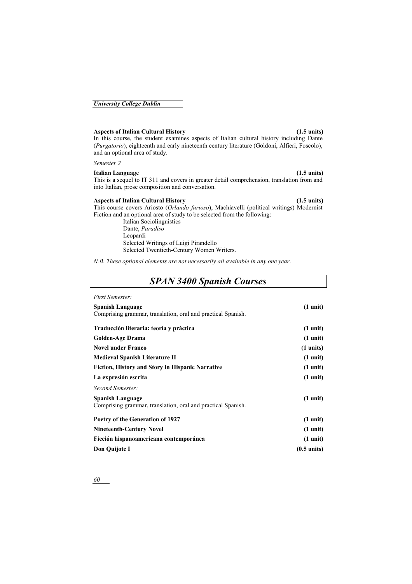## **Aspects of Italian Cultural History (1.5 units)**

In this course, the student examines aspects of Italian cultural history including Dante (*Purgatorio*), eighteenth and early nineteenth century literature (Goldoni, Alfieri, Foscolo), and an optional area of study.

## *Semester 2*

## **Italian Language (1.5 units)**

This is a sequel to IT 311 and covers in greater detail comprehension, translation from and into Italian, prose composition and conversation.

## **Aspects of Italian Cultural History (1.5 units)**

This course covers Ariosto (*Orlando furioso*), Machiavelli (political writings) Modernist Fiction and an optional area of study to be selected from the following:

> Italian Sociolinguistics Dante, *Paradiso* Leopardi Selected Writings of Luigi Pirandello Selected Twentieth-Century Women Writers.

*N.B. These optional elements are not necessarily all available in any one year*.

# *SPAN 3400 Spanish Courses*

| <b>First Semester:</b>                                       |                       |
|--------------------------------------------------------------|-----------------------|
| <b>Spanish Language</b>                                      | $(1 \text{ unit})$    |
| Comprising grammar, translation, oral and practical Spanish. |                       |
| Traducción literaria: teoría y práctica                      | $(1 \text{ unit})$    |
|                                                              |                       |
| <b>Golden-Age Drama</b>                                      | $(1 \text{ unit})$    |
| <b>Novel under Franco</b>                                    | $(1 \text{ units})$   |
| <b>Medieval Spanish Literature II</b>                        | $(1 \text{ unit})$    |
| <b>Fiction, History and Story in Hispanic Narrative</b>      | $(1 \text{ unit})$    |
| La expresión escrita                                         | $(1 \text{ unit})$    |
| Second Semester:                                             |                       |
| <b>Spanish Language</b>                                      | $(1 \text{ unit})$    |
| Comprising grammar, translation, oral and practical Spanish. |                       |
| Poetry of the Generation of 1927                             | $(1 \text{ unit})$    |
| <b>Nineteenth-Century Novel</b>                              | $(1 \text{ unit})$    |
| Ficción hispanoamericana contemporánea                       | $(1 \text{ unit})$    |
| Don Quijote I                                                | $(0.5 \text{ units})$ |
|                                                              |                       |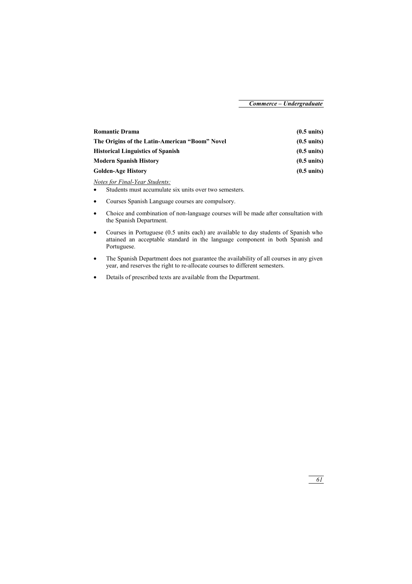| <b>Romantic Drama</b>                          | $(0.5 \text{ units})$ |
|------------------------------------------------|-----------------------|
| The Origins of the Latin-American "Boom" Novel | $(0.5 \text{ units})$ |
| <b>Historical Linguistics of Spanish</b>       | $(0.5 \text{ units})$ |
| <b>Modern Spanish History</b>                  | $(0.5 \text{ units})$ |
| <b>Golden-Age History</b>                      | $(0.5 \text{ units})$ |

*Notes for Final-Year Students:*

- Students must accumulate six units over two semesters.
- Courses Spanish Language courses are compulsory.
- Choice and combination of non-language courses will be made after consultation with the Spanish Department.
- Courses in Portuguese (0.5 units each) are available to day students of Spanish who attained an acceptable standard in the language component in both Spanish and Portuguese.
- The Spanish Department does not guarantee the availability of all courses in any given year, and reserves the right to re-allocate courses to different semesters.
- Details of prescribed texts are available from the Department.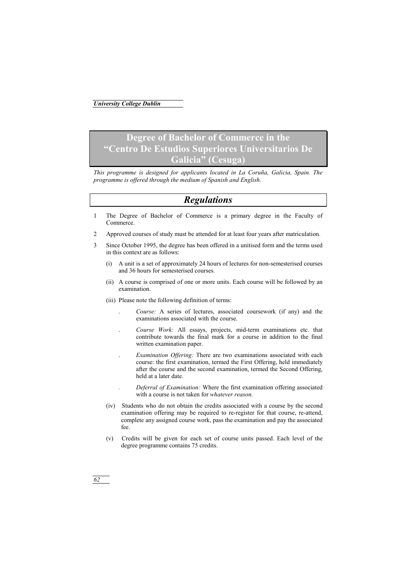# **Degree of Bachelor of Commerce in the "Centro De Estudios Superiores Universitarios De Galicia" (Cesuga)**

*This programme is designed for applicants located in La Coruña, Galicia, Spain. The programme is offered through the medium of Spanish and English.* 

# *Regulations*

- 1 The Degree of Bachelor of Commerce is a primary degree in the Faculty of Commerce.
- 2 Approved courses of study must be attended for at least four years after matriculation.
- 3 Since October 1995, the degree has been offered in a unitised form and the terms used in this context are as follows:
	- (i) A unit is a set of approximately 24 hours of lectures for non-semesterised courses and 36 hours for semesterised courses.
	- (ii) A course is comprised of one or more units. Each course will be followed by an examination.
	- (iii) Please note the following definition of terms:
		- . *Course:* A series of lectures, associated coursework (if any) and the examinations associated with the course.
		- . *Course Work:* All essays, projects, mid-term examinations etc. that contribute towards the final mark for a course in addition to the final written examination paper.
		- . *Examination Offering:* There are two examinations associated with each course: the first examination, termed the First Offering, held immediately after the course and the second examination, termed the Second Offering, held at a later date.

*. Deferral of Examination:* Where the first examination offering associated with a course is not taken for *whatever reason.* 

- (iv) Students who do not obtain the credits associated with a course by the second examination offering may be required to re-register for that course, re-attend, complete any assigned course work, pass the examination and pay the associated fee.
- (v) Credits will be given for each set of course units passed. Each level of the degree programme contains 75 credits.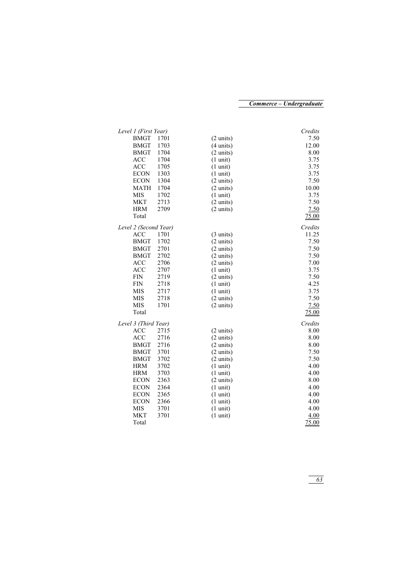| Level 1 (First Year)  |      |                     | Credits |
|-----------------------|------|---------------------|---------|
| <b>BMGT</b>           | 1701 | $(2 \text{ units})$ | 7.50    |
| <b>BMGT</b>           | 1703 | $(4 \text{ units})$ | 12.00   |
| <b>BMGT</b>           | 1704 | $(2 \text{ units})$ | 8.00    |
| <b>ACC</b>            | 1704 | $(1 \text{ unit})$  | 3.75    |
| <b>ACC</b>            | 1705 | $(1 \text{ unit})$  | 3.75    |
| <b>ECON</b>           | 1303 | $(1 \text{ unit})$  | 3.75    |
| <b>ECON</b>           | 1304 | $(2 \text{ units})$ | 7.50    |
| <b>MATH</b>           | 1704 | $(2 \text{ units})$ | 10.00   |
| <b>MIS</b>            | 1702 | $(1 \text{ unit})$  | 3.75    |
| <b>MKT</b>            | 2713 | $(2 \text{ units})$ | 7.50    |
| <b>HRM</b>            | 2709 | $(2 \text{ units})$ | 7.50    |
| Total                 |      |                     | 75.00   |
| Level 2 (Second Year) |      |                     | Credits |
| <b>ACC</b>            | 1701 | $(3 \text{ units})$ | 11.25   |
| <b>BMGT</b>           | 1702 | $(2 \text{ units})$ | 7.50    |
| <b>BMGT</b>           | 2701 | $(2 \text{ units})$ | 7.50    |
| <b>BMGT</b>           | 2702 | $(2 \text{ units})$ | 7.50    |
| <b>ACC</b>            | 2706 | $(2 \text{ units})$ | 7.00    |
| <b>ACC</b>            | 2707 | $(1 \text{ unit})$  | 3.75    |
| <b>FIN</b>            | 2719 | $(2 \text{ units})$ | 7.50    |
| <b>FIN</b>            | 2718 | $(1 \text{ unit})$  | 4.25    |
| <b>MIS</b>            | 2717 | $(1 \text{ unit})$  | 3.75    |
| <b>MIS</b>            | 2718 | $(2 \text{ units})$ | 7.50    |
| <b>MIS</b>            | 1701 | $(2 \text{ units})$ | 7.50    |
| Total                 |      |                     |         |
|                       |      |                     | 75.00   |
| Level 3 (Third Year)  |      |                     | Credits |
| <b>ACC</b>            | 2715 | $(2 \text{ units})$ | 8.00    |
| <b>ACC</b>            | 2716 | $(2 \text{ units})$ | 8.00    |
| <b>BMGT</b>           | 2716 | $(2 \text{ units})$ | 8.00    |
| <b>BMGT</b>           | 3701 | $(2 \text{ units})$ | 7.50    |
| <b>BMGT</b>           | 3702 | $(2 \text{ units})$ | 7.50    |
| <b>HRM</b>            | 3702 | $(1 \text{ unit})$  | 4.00    |
| <b>HRM</b>            | 3703 | $(1 \text{ unit})$  | 4.00    |
| <b>ECON</b>           | 2363 | $(2 \text{ units})$ | 8.00    |
| <b>ECON</b>           | 2364 | $(1 \text{ unit})$  | 4.00    |
| <b>ECON</b>           | 2365 | $(1 \text{ unit})$  | 4.00    |
| <b>ECON</b>           | 2366 | $(1 \text{ unit})$  | 4.00    |
| <b>MIS</b>            | 3701 | $(1 \text{ unit})$  | 4.00    |
| MKT                   | 3701 | $(1 \text{ unit})$  | 4.00    |
| Total                 |      |                     | 75.00   |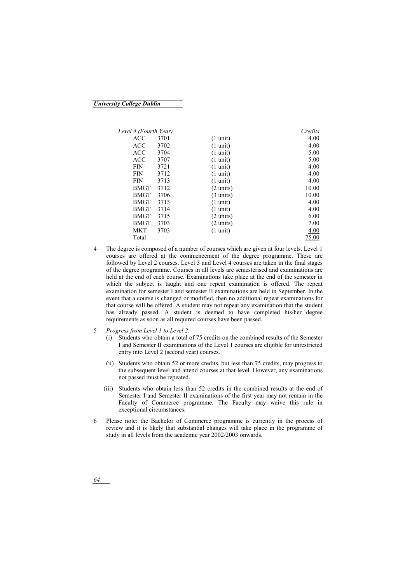## *University College Dublin*

| Level 4 (Fourth Year) |      |                     | Credits |
|-----------------------|------|---------------------|---------|
| ACC                   | 3701 | $(1 \text{ unit})$  | 4.00    |
| <b>ACC</b>            | 3702 | $(1 \text{ unit})$  | 4.00    |
| <b>ACC</b>            | 3704 | $(1 \text{ unit})$  | 5.00    |
| <b>ACC</b>            | 3707 | $(1 \text{ unit})$  | 5.00    |
| FIN                   | 3721 | $(1 \text{ unit})$  | 4.00    |
| <b>FIN</b>            | 3712 | $(1 \text{ unit})$  | 4.00    |
| FIN                   | 3713 | $(1 \text{ unit})$  | 4.00    |
| <b>BMGT</b>           | 3712 | $(2 \text{ units})$ | 10.00   |
| BMGT                  | 3706 | $(3 \text{ units})$ | 10.00   |
| BMGT                  | 3713 | $(1 \text{ unit})$  | 4.00    |
| <b>BMGT</b>           | 3714 | $(1 \text{ unit})$  | 4.00    |
| BMGT                  | 3715 | $(2 \text{ units})$ | 6.00    |
| BMGT                  | 3703 | $(2 \text{ units})$ | 7.00    |
| <b>MKT</b>            | 3703 | $(1 \text{ unit})$  | 4.00    |
| Total                 |      |                     | 75.00   |

- 4 The degree is composed of a number of courses which are given at four levels. Level 1 courses are offered at the commencement of the degree programme. These are followed by Level 2 courses. Level 3 and Level 4 courses are taken in the final stages of the degree programme. Courses in all levels are semesterised and examinations are held at the end of each course. Examinations take place at the end of the semester in which the subject is taught and one repeat examination is offered. The repeat examination for semester I and semester II examinations are held in September. In the event that a course is changed or modified, then no additional repeat examinations for that course will be offered. A student may not repeat any examination that the student has already passed. A student is deemed to have completed his/her degree requirements as soon as all required courses have been passed.
- 5 *Progress from Level 1 to Level 2:*
	- (i) Students who obtain a total of 75 credits on the combined results of the Semester I and Semester II examinations of the Level 1 courses are eligible for unrestricted entry into Level 2 (second year) courses.
	- (ii) Students who obtain 52 or more credits, but less than 75 credits, may progress to the subsequent level and attend courses at that level. However, any examinations not passed must be repeated.
	- (iii) Students who obtain less than 52 credits in the combined results at the end of Semester I and Semester II examinations of the first year may not remain in the Faculty of Commerce programme. The Faculty may waive this rule in exceptional circumstances.
- 6 Please note: the Bachelor of Commerce programme is currently in the process of review and it is likely that substantial changes will take place in the programme of study in all levels from the academic year 2002/2003 onwards.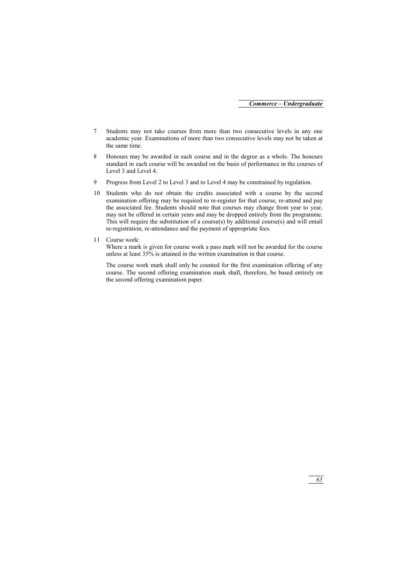- 7 Students may not take courses from more than two consecutive levels in any one academic year. Examinations of more than two consecutive levels may not be taken at the same time.
- 8 Honours may be awarded in each course and in the degree as a whole. The honours standard in each course will be awarded on the basis of performance in the courses of Level 3 and Level 4.
- 9 Progress from Level 2 to Level 3 and to Level 4 may be constrained by regulation.
- 10 Students who do not obtain the credits associated with a course by the second examination offering may be required to re-register for that course, re-attend and pay the associated fee. Students should note that courses may change from year to year, may not be offered in certain years and may be dropped entirely from the programme. This will require the substitution of a course(s) by additional course(s) and will entail re-registration, re-attendance and the payment of appropriate fees.
- 11 Course work:

Where a mark is given for course work a pass mark will not be awarded for the course unless at least 35% is attained in the written examination in that course.

The course work mark shall only be counted for the first examination offering of any course. The second offering examination mark shall, therefore, be based entirely on the second offering examination paper.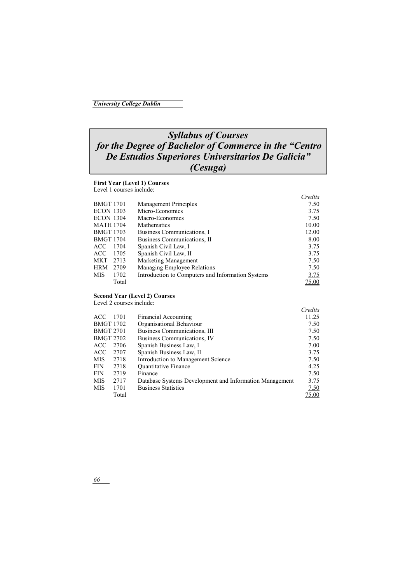## *Syllabus of Courses for the Degree of Bachelor of Commerce in the "Centro De Estudios Superiores Universitarios De Galicia" (Cesuga)*

## **First Year (Level 1) Courses**

Level 1 courses include:

|                  |       |                                                   | Credits |
|------------------|-------|---------------------------------------------------|---------|
| <b>BMGT 1701</b> |       | Management Principles                             | 7.50    |
| <b>ECON 1303</b> |       | Micro-Economics                                   | 3.75    |
| <b>ECON 1304</b> |       | Macro-Economics                                   | 7.50    |
| <b>MATH 1704</b> |       | Mathematics                                       | 10.00   |
| <b>BMGT 1703</b> |       | Business Communications, I                        | 12.00   |
| <b>BMGT 1704</b> |       | Business Communications, II                       | 8.00    |
| ACC.             | 1704  | Spanish Civil Law, I                              | 3.75    |
| ACC.             | 1705  | Spanish Civil Law, II                             | 3.75    |
| <b>MKT</b>       | 2713  | Marketing Management                              | 7.50    |
| <b>HRM</b>       | 2709  | Managing Employee Relations                       | 7.50    |
| <b>MIS</b>       | 1702  | Introduction to Computers and Information Systems | 3.75    |
|                  | Total |                                                   | 75.00   |

## **Second Year (Level 2) Courses**

Level 2 courses include:

|                  |       |                                                         | Credits |
|------------------|-------|---------------------------------------------------------|---------|
| ACC.             | 1701  | <b>Financial Accounting</b>                             | 11.25   |
| <b>BMGT 1702</b> |       | Organisational Behaviour                                | 7.50    |
| <b>BMGT 2701</b> |       | Business Communications, III                            | 7.50    |
| <b>BMGT 2702</b> |       | Business Communications, IV                             | 7.50    |
| ACC.             | 2706  | Spanish Business Law, I                                 | 7.00    |
| <b>ACC</b>       | 2707  | Spanish Business Law, II                                | 3.75    |
| <b>MIS</b>       | 2718  | Introduction to Management Science                      | 7.50    |
| <b>FIN</b>       | 2718  | <b>Ouantitative Finance</b>                             | 4.25    |
| <b>FIN</b>       | 2719  | Finance                                                 | 7.50    |
| <b>MIS</b>       | 2717  | Database Systems Development and Information Management | 3.75    |
| <b>MIS</b>       | 1701  | <b>Business Statistics</b>                              | 7.50    |
|                  | Total |                                                         | 75.00   |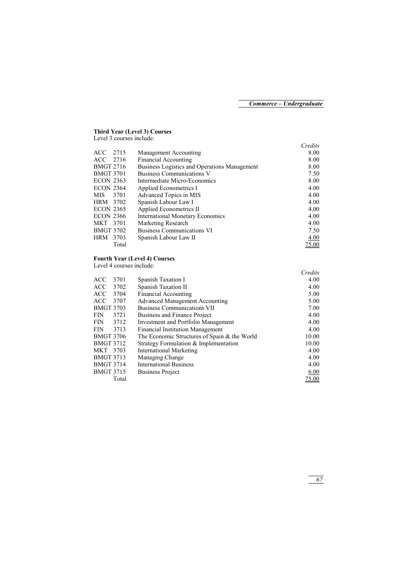## **Third Year (Level 3) Courses**

Level 3 courses include:

|                  |       |                                              | Credits |
|------------------|-------|----------------------------------------------|---------|
| ACC 2715         |       | Management Accounting                        | 8.00    |
| ACC 2716         |       | <b>Financial Accounting</b>                  | 8.00    |
| <b>BMGT 2716</b> |       | Business Logistics and Operations Management | 8.00    |
| <b>BMGT 3701</b> |       | Business Communications V                    | 7.50    |
| <b>ECON 2363</b> |       | Intermediate Micro-Economics                 | 8.00    |
| <b>ECON 2364</b> |       | Applied Econometrics I                       | 4.00    |
| MIS.             | 3701  | Advanced Topics in MIS                       | 4.00    |
| HRM 3702         |       | Spanish Labour Law I                         | 4.00    |
| <b>ECON 2365</b> |       | Applied Econometrics II                      | 4.00    |
| <b>ECON 2366</b> |       | <b>International Monetary Economics</b>      | 4.00    |
| MKT 3701         |       | Marketing Research                           | 4.00    |
| <b>BMGT 3702</b> |       | <b>Business Communications VI</b>            | 7.50    |
| <b>HRM</b>       | 3703  | Spanish Labour Law II                        | 4.00    |
|                  | Total |                                              | 75.00   |

## **Fourth Year (Level 4) Courses**

Level 4 courses include:

|                    |                                              | Credits      |
|--------------------|----------------------------------------------|--------------|
| <b>ACC</b><br>3701 | Spanish Taxation I                           | 4.00         |
| <b>ACC</b><br>3702 | Spanish Taxation II                          | 4.00         |
| <b>ACC</b><br>3704 | <b>Financial Accounting</b>                  | 5.00         |
| <b>ACC</b><br>3707 | <b>Advanced Management Accounting</b>        | 5.00         |
| <b>BMGT 3703</b>   | <b>Business Communications VII</b>           | 7.00         |
| <b>FIN</b><br>3721 | Business and Finance Project                 | 4.00         |
| 3712<br><b>FIN</b> | Investment and Portfolio Management          | 4.00         |
| 3713<br><b>FIN</b> | <b>Financial Institution Management</b>      | 4.00         |
| <b>BMGT 3706</b>   | The Economic Structures of Spain & the World | 10.00        |
| <b>BMGT 3712</b>   | Strategy Formulation & Implementation        | 10.00        |
| MKT 3703           | <b>International Marketing</b>               | 4.00         |
| <b>BMGT 3713</b>   | Managing Change                              | 4.00         |
| <b>BMGT 3714</b>   | <b>International Business</b>                | 4.00         |
| <b>BMGT 3715</b>   | <b>Business Project</b>                      | 6.00         |
| Total              |                                              | <u>75.00</u> |
|                    |                                              |              |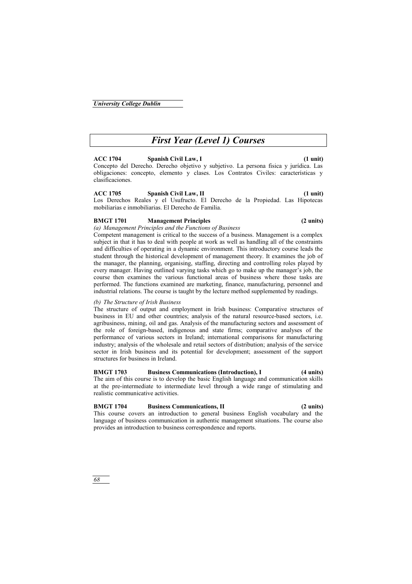# *First Year (Level 1) Courses*

## **ACC 1704 Spanish Civil Law, I (1 unit)**

Concepto del Derecho. Derecho objetivo y subjetivo. La persona fisica y jurídica. Las obligaciones: concepto, elemento y clases. Los Contratos Civiles: características y clasificaciones.

## **ACC 1705 Spanish Civil Law, II (1 unit)**

Los Derechos Reales y el Usufructo. El Derecho de la Propiedad. Las Hipotecas mobiliarias e inmobiliarias. El Derecho de Familia.

## **BMGT 1701 Management Principles (2 units)**

*(a) Management Principles and the Functions of Business* 

Competent management is critical to the success of a business. Management is a complex subject in that it has to deal with people at work as well as handling all of the constraints and difficulties of operating in a dynamic environment. This introductory course leads the student through the historical development of management theory. It examines the job of the manager, the planning, organising, staffing, directing and controlling roles played by every manager. Having outlined varying tasks which go to make up the manager's job, the course then examines the various functional areas of business where those tasks are performed. The functions examined are marketing, finance, manufacturing, personnel and industrial relations. The course is taught by the lecture method supplemented by readings.

## *(b) The Structure of Irish Business*

The structure of output and employment in Irish business: Comparative structures of business in EU and other countries; analysis of the natural resource-based sectors, i.e. agribusiness, mining, oil and gas. Analysis of the manufacturing sectors and assessment of the role of foreign-based, indigenous and state firms; comparative analyses of the performance of various sectors in Ireland; international comparisons for manufacturing industry; analysis of the wholesale and retail sectors of distribution; analysis of the service sector in Irish business and its potential for development; assessment of the support structures for business in Ireland.

## **BMGT 1703 Business Communications (Introduction), I (4 units)**

The aim of this course is to develop the basic English language and communication skills at the pre-intermediate to intermediate level through a wide range of stimulating and realistic communicative activities.

# **BMGT 1704 Business Communications, II (2 units)**

This course covers an introduction to general business English vocabulary and the language of business communication in authentic management situations. The course also provides an introduction to business correspondence and reports.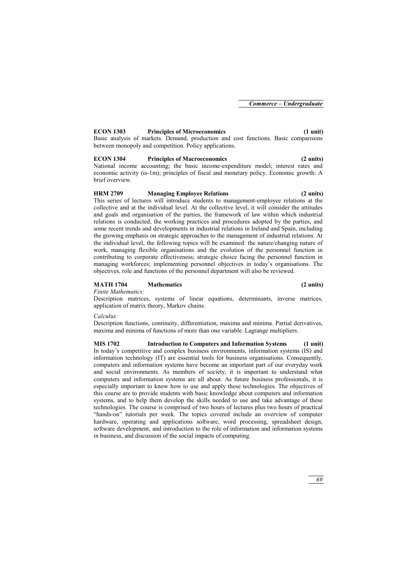## **ECON 1303 Principles of Microeconomics (1 unit)**

Basic analysis of markets. Demand, production and cost functions. Basic comparisons between monopoly and competition. Policy applications.

## **ECON 1304 Principles of Macroeconomics (2 units)**

National income accounting; the basic income-expenditure model; interest rates and economic activity (is-1m); principles of fiscal and monetary policy. Economic growth: A brief overview.

## **HRM 2709 Managing Employee Relations (2 units)**

This series of lectures will introduce students to management-employee relations at the collective and at the individual level. At the collective level, it will consider the attitudes and goals and organisation of the parties, the framework of law within which industrial relations is conducted, the working practices and procedures adopted by the parties, and some recent trends and developments in industrial relations in Ireland and Spain, including the growing emphasis on strategic approaches to the management of industrial relations. At the individual level, the following topics will be examined: the nature/changing nature of work, managing flexible organisations and the evolution of the personnel function in contributing to corporate effectiveness; strategic choice facing the personnel function in managing workforces; implementing personnel objectives in today's organisations. The objectives, role and functions of the personnel department will also be reviewed.

## **MATH 1704 Mathematics (2 units)**

*Finite Mathematics:* 

Description matrices, systems of linear equations, determinants, inverse matrices, application of matrix theory, Markov chains.

## *Calculus:*

Description functions, continuity, differentiation, maxima and minima. Partial derivatives, maxima and minima of functions of more than one variable. Lagrange multipliers.

**MIS 1702 Introduction to Computers and Information Systems (1 unit)**  In today's competitive and complex business environments, information systems (IS) and information technology (IT) are essential tools for business organisations. Consequently, computers and information systems have become an important part of our everyday work and social environments. As members of society, it is important to understand what computers and information systems are all about. As future business professionals, it is especially important to know how to use and apply these technologies. The objectives of this course are to provide students with basic knowledge about computers and information systems, and to help them develop the skills needed to use and take advantage of these technologies. The course is comprised of two hours of lectures plus two hours of practical "hands-on" tutorials per week. The topics covered include an overview of computer hardware, operating and applications software, word processing, spreadsheet design, software development, and introduction to the role of information and information systems in business, and discussion of the social impacts of computing.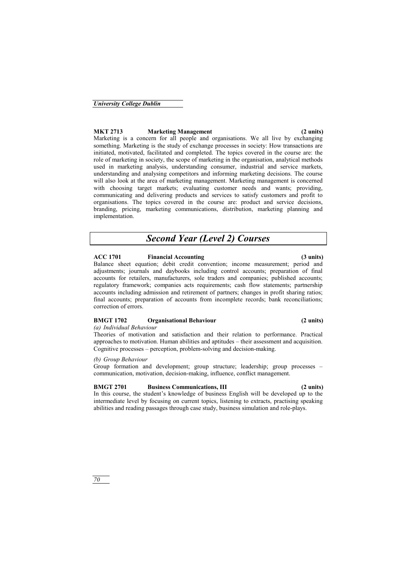*70* 

## **MKT 2713 Marketing Management (2 units)**

Marketing is a concern for all people and organisations. We all live by exchanging something. Marketing is the study of exchange processes in society: How transactions are initiated, motivated, facilitated and completed. The topics covered in the course are: the role of marketing in society, the scope of marketing in the organisation, analytical methods used in marketing analysis, understanding consumer, industrial and service markets, understanding and analysing competitors and informing marketing decisions. The course will also look at the area of marketing management. Marketing management is concerned with choosing target markets; evaluating customer needs and wants; providing, communicating and delivering products and services to satisfy customers and profit to organisations. The topics covered in the course are: product and service decisions, branding, pricing, marketing communications, distribution, marketing planning and implementation.

# *Second Year (Level 2) Courses*

## **ACC 1701 Financial Accounting (3 units)**

Balance sheet equation; debit credit convention; income measurement; period and adjustments; journals and daybooks including control accounts; preparation of final accounts for retailers, manufacturers, sole traders and companies; published accounts; regulatory framework; companies acts requirements; cash flow statements; partnership accounts including admission and retirement of partners; changes in profit sharing ratios; final accounts; preparation of accounts from incomplete records; bank reconciliations; correction of errors.

## **BMGT 1702 Organisational Behaviour (2 units)**

## *(a) Individual Behaviour*

Theories of motivation and satisfaction and their relation to performance. Practical approaches to motivation. Human abilities and aptitudes – their assessment and acquisition. Cognitive processes – perception, problem-solving and decision-making.

## *(b) Group Behaviour*

Group formation and development; group structure; leadership; group processes – communication, motivation, decision-making, influence, conflict management.

## **BMGT 2701 Business Communications, III (2 units)**

In this course, the student's knowledge of business English will be developed up to the intermediate level by focusing on current topics, listening to extracts, practising speaking abilities and reading passages through case study, business simulation and role-plays.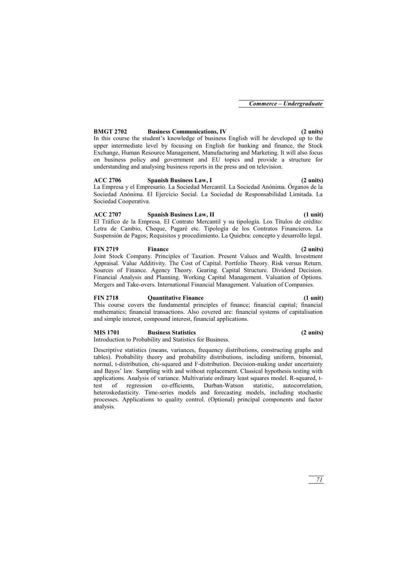## **BMGT 2702 Business Communications, IV (2 units)**

In this course the student's knowledge of business English will be developed up to the upper intermediate level by focusing on English for banking and finance, the Stock Exchange, Human Resource Management, Manufacturing and Marketing. It will also focus on business policy and government and EU topics and provide a structure for understanding and analysing business reports in the press and on television.

## **ACC 2706 Spanish Business Law, I (2 units)**

La Empresa y el Empresario. La Sociedad Mercantil. La Sociedad Anónima. Órganos de la Sociedad Anónima. El Ejercicio Social. La Sociedad de Responsabilidad Limitada. La Sociedad Cooperativa.

## **ACC 2707 Spanish Business Law, II (1 unit)**

El Tráfico de la Empresa. El Contrato Mercantil y su tipología. Los Títulos de crédito: Letra de Cambio, Cheque, Pagaré etc. Tipología de los Contratos Financieros. La Suspensión de Pagos; Requisitos y procedimiento. La Quiebra: concepto y desarrollo legal.

## **FIN 2719 Finance (2 units)**

Joint Stock Company. Principles of Taxation. Present Values and Wealth. Investment Appraisal. Value Additivity. The Cost of Capital. Portfolio Theory. Risk versus Return. Sources of Finance. Agency Theory. Gearing. Capital Structure. Dividend Decision. Financial Analysis and Planning. Working Capital Management. Valuation of Options. Mergers and Take-overs. International Financial Management. Valuation of Companies.

## **FIN 2718 Quantitative Finance (1 unit)**

This course covers the fundamental principles of finance; financial capital; financial mathematics; financial transactions. Also covered are: financial systems of capitalisation and simple interest, compound interest, financial applications.

## **MIS 1701 Business Statistics (2 units)**

Introduction to Probability and Statistics for Business.

Descriptive statistics (means, variances, frequency distributions, constructing graphs and tables). Probability theory and probability distributions, including uniform, binomial, normal, t-distribution, chi-squared and F-distribution. Decision-making under uncertainty and Bayes' law. Sampling with and without replacement. Classical hypothesis testing with applications. Analysis of variance. Multivariate ordinary least squares model. R-squared, ttest of regression co-efficients, Durban-Watson statistic, autocorrelation, heteroskedasticity. Time-series models and forecasting models, including stochastic processes. Applications to quality control. (Optional) principal components and factor analysis.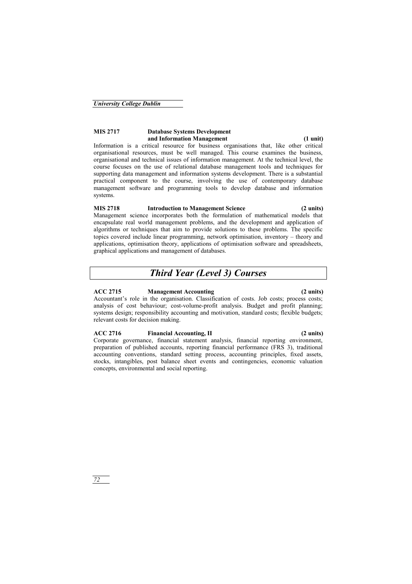## **MIS 2717 Database Systems Development and Information Management** (1 unit)

Information is a critical resource for business organisations that, like other critical organisational resources, must be well managed. This course examines the business, organisational and technical issues of information management. At the technical level, the course focuses on the use of relational database management tools and techniques for supporting data management and information systems development. There is a substantial practical component to the course, involving the use of contemporary database management software and programming tools to develop database and information systems.

## **MIS 2718 Introduction to Management Science (2 units)**

Management science incorporates both the formulation of mathematical models that encapsulate real world management problems, and the development and application of algorithms or techniques that aim to provide solutions to these problems. The specific topics covered include linear programming, network optimisation, inventory – theory and applications, optimisation theory, applications of optimisation software and spreadsheets, graphical applications and management of databases.

# *Third Year (Level 3) Courses*

## **ACC 2715 Management Accounting (2 units)**

Accountant's role in the organisation. Classification of costs. Job costs; process costs; analysis of cost behaviour; cost-volume-profit analysis. Budget and profit planning; systems design; responsibility accounting and motivation, standard costs; flexible budgets; relevant costs for decision making.

## **ACC 2716 Financial Accounting, II (2 units)**

Corporate governance, financial statement analysis, financial reporting environment, preparation of published accounts, reporting financial performance (FRS 3), traditional accounting conventions, standard setting process, accounting principles, fixed assets, stocks, intangibles, post balance sheet events and contingencies, economic valuation concepts, environmental and social reporting.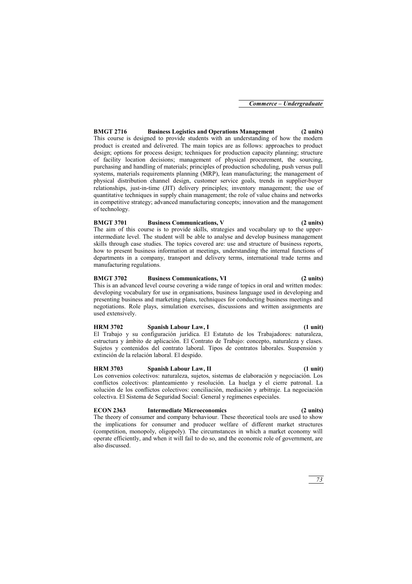**BMGT 2716 Business Logistics and Operations Management (2 units)**  This course is designed to provide students with an understanding of how the modern product is created and delivered. The main topics are as follows: approaches to product design; options for process design; techniques for production capacity planning; structure of facility location decisions; management of physical procurement, the sourcing, purchasing and handling of materials; principles of production scheduling, push versus pull systems, materials requirements planning (MRP), lean manufacturing; the management of physical distribution channel design, customer service goals, trends in supplier-buyer relationships, just-in-time (JIT) delivery principles; inventory management; the use of quantitative techniques in supply chain management; the role of value chains and networks in competitive strategy; advanced manufacturing concepts; innovation and the management of technology.

### **BMGT 3701 Business Communications, V (2 units)**

The aim of this course is to provide skills, strategies and vocabulary up to the upperintermediate level. The student will be able to analyse and develop business management skills through case studies. The topics covered are: use and structure of business reports, how to present business information at meetings, understanding the internal functions of departments in a company, transport and delivery terms, international trade terms and manufacturing regulations.

#### **BMGT 3702 Business Communications, VI (2 units)**  This is an advanced level course covering a wide range of topics in oral and written modes: developing vocabulary for use in organisations, business language used in developing and presenting business and marketing plans, techniques for conducting business meetings and negotiations. Role plays, simulation exercises, discussions and written assignments are used extensively.

## **HRM 3702 Spanish Labour Law, I (1 unit)**

El Trabajo y su configuración jurídica. El Estatuto de los Trabajadores: naturaleza, estructura y ámbito de aplicación. El Contrato de Trabajo: concepto, naturaleza y clases. Sujetos y contenidos del contrato laboral. Tipos de contratos laborales. Suspensión y extinción de la relación laboral. El despido.

## **HRM 3703 Spanish Labour Law, II (1 unit)**

Los convenios colectivos: naturaleza, sujetos, sistemas de elaboración y negociación. Los conflictos colectivos: planteamiento y resolución. La huelga y el cierre patronal. La solución de los conflictos colectivos: conciliación, mediación y arbitraje. La negociación colectiva. El Sistema de Seguridad Social: General y regímenes especiales.

## **ECON 2363 Intermediate Microeconomics (2 units)**

The theory of consumer and company behaviour. These theoretical tools are used to show the implications for consumer and producer welfare of different market structures (competition, monopoly, oligopoly). The circumstances in which a market economy will operate efficiently, and when it will fail to do so, and the economic role of government, are also discussed.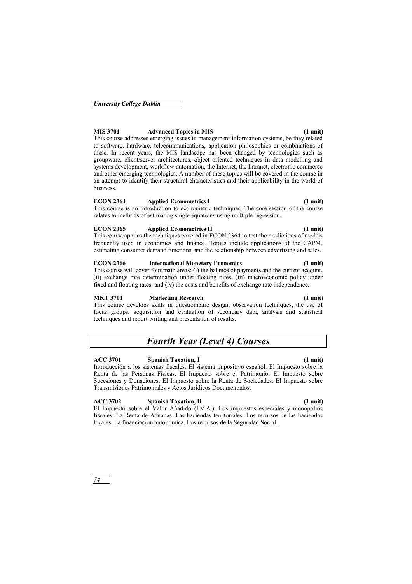## **MIS 3701 Advanced Topics in MIS (1 unit)**

This course addresses emerging issues in management information systems, be they related to software, hardware, telecommunications, application philosophies or combinations of these. In recent years, the MIS landscape has been changed by technologies such as groupware, client/server architectures, object oriented techniques in data modelling and systems development, workflow automation, the Internet, the Intranet, electronic commerce and other emerging technologies. A number of these topics will be covered in the course in an attempt to identify their structural characteristics and their applicability in the world of business.

### **ECON 2364 Applied Econometrics I (1 unit)**

This course is an introduction to econometric techniques. The core section of the course relates to methods of estimating single equations using multiple regression.

### **ECON 2365 Applied Econometrics II (1 unit)**

This course applies the techniques covered in ECON 2364 to test the predictions of models frequently used in economics and finance. Topics include applications of the CAPM, estimating consumer demand functions, and the relationship between advertising and sales.

### **ECON 2366 International Monetary Economics (1 unit)**

This course will cover four main areas; (i) the balance of payments and the current account, (ii) exchange rate determination under floating rates, (iii) macroeconomic policy under fixed and floating rates, and (iv) the costs and benefits of exchange rate independence.

#### **MKT 3701 Marketing Research (1 unit)**

This course develops skills in questionnaire design, observation techniques, the use of focus groups, acquisition and evaluation of secondary data, analysis and statistical techniques and report writing and presentation of results.

# *Fourth Year (Level 4) Courses*

### **ACC 3701 Spanish Taxation, I (1 unit)**

Introducción a los sistemas fiscales. El sistema impositivo español. El Impuesto sobre la Renta de las Personas Físicas. El Impuesto sobre el Patrimonio. El Impuesto sobre Sucesiones y Donaciones. El Impuesto sobre la Renta de Sociedades. El Impuesto sobre Transmisiones Patrimoniales y Actos Jurídicos Documentados.

### **ACC 3702 Spanish Taxation, II (1 unit)**

El Impuesto sobre el Valor Añadido (I.V.A.). Los impuestos especiales y monopolios fiscales. La Renta de Aduanas. Las haciendas territoriales. Los recursos de las haciendas locales. La financiación autonómica. Los recursos de la Seguridad Social.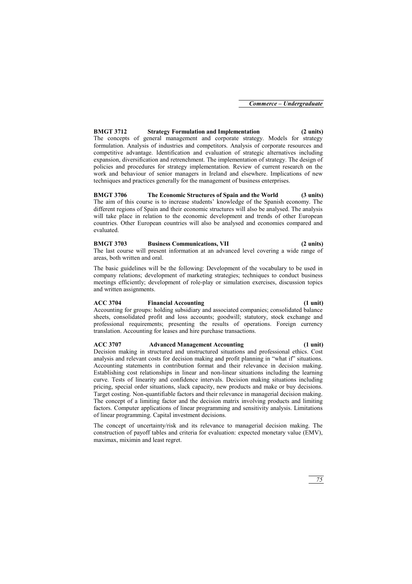## **BMGT 3712 Strategy Formulation and Implementation (2 units)**

The concepts of general management and corporate strategy. Models for strategy formulation. Analysis of industries and competitors. Analysis of corporate resources and competitive advantage. Identification and evaluation of strategic alternatives including expansion, diversification and retrenchment. The implementation of strategy. The design of policies and procedures for strategy implementation. Review of current research on the work and behaviour of senior managers in Ireland and elsewhere. Implications of new techniques and practices generally for the management of business enterprises.

### **BMGT 3706 The Economic Structures of Spain and the World (3 units)**  The aim of this course is to increase students' knowledge of the Spanish economy. The different regions of Spain and their economic structures will also be analysed. The analysis will take place in relation to the economic development and trends of other European countries. Other European countries will also be analysed and economies compared and evaluated.

## **BMGT 3703 Business Communications, VII (2 units)**

The last course will present information at an advanced level covering a wide range of areas, both written and oral.

The basic guidelines will be the following: Development of the vocabulary to be used in company relations; development of marketing strategies; techniques to conduct business meetings efficiently; development of role-play or simulation exercises, discussion topics and written assignments.

## **ACC 3704 Financial Accounting (1 unit)**

Accounting for groups: holding subsidiary and associated companies; consolidated balance sheets, consolidated profit and loss accounts; goodwill; statutory, stock exchange and professional requirements; presenting the results of operations. Foreign currency translation. Accounting for leases and hire purchase transactions.

## **ACC 3707 Advanced Management Accounting (1 unit)**

Decision making in structured and unstructured situations and professional ethics. Cost analysis and relevant costs for decision making and profit planning in "what if" situations. Accounting statements in contribution format and their relevance in decision making. Establishing cost relationships in linear and non-linear situations including the learning curve. Tests of linearity and confidence intervals. Decision making situations including pricing, special order situations, slack capacity, new products and make or buy decisions. Target costing. Non-quantifiable factors and their relevance in managerial decision making. The concept of a limiting factor and the decision matrix involving products and limiting factors. Computer applications of linear programming and sensitivity analysis. Limitations of linear programming. Capital investment decisions.

The concept of uncertainty/risk and its relevance to managerial decision making. The construction of payoff tables and criteria for evaluation: expected monetary value (EMV), maximax, miximin and least regret.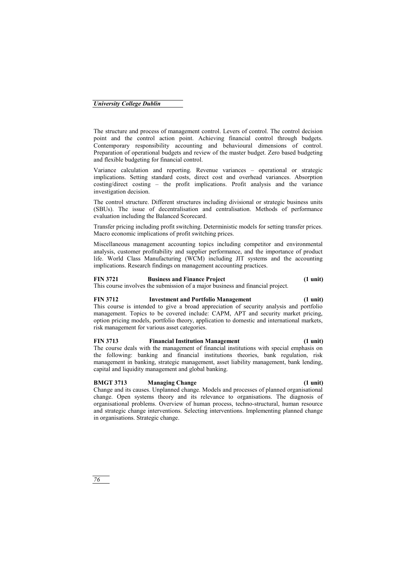*76* 

### *University College Dublin*

The structure and process of management control. Levers of control. The control decision point and the control action point. Achieving financial control through budgets. Contemporary responsibility accounting and behavioural dimensions of control. Preparation of operational budgets and review of the master budget. Zero based budgeting and flexible budgeting for financial control.

Variance calculation and reporting. Revenue variances – operational or strategic implications. Setting standard costs, direct cost and overhead variances. Absorption costing/direct costing – the profit implications. Profit analysis and the variance investigation decision.

The control structure. Different structures including divisional or strategic business units (SBUs). The issue of decentralisation and centralisation. Methods of performance evaluation including the Balanced Scorecard.

Transfer pricing including profit switching. Deterministic models for setting transfer prices. Macro economic implications of profit switching prices.

Miscellaneous management accounting topics including competitor and environmental analysis, customer profitability and supplier performance, and the importance of product life. World Class Manufacturing (WCM) including JIT systems and the accounting implications. Research findings on management accounting practices.

#### **FIN 3721 Business and Finance Project (1 unit)**

This course involves the submission of a major business and financial project.

#### **FIN 3712 Investment and Portfolio Management (1 unit)**

This course is intended to give a broad appreciation of security analysis and portfolio management. Topics to be covered include: CAPM, APT and security market pricing, option pricing models, portfolio theory, application to domestic and international markets, risk management for various asset categories.

### **FIN 3713 Financial Institution Management (1 unit)**

The course deals with the management of financial institutions with special emphasis on the following: banking and financial institutions theories, bank regulation, risk management in banking, strategic management, asset liability management, bank lending, capital and liquidity management and global banking.

### **BMGT 3713 Managing Change (1 unit)**

Change and its causes. Unplanned change. Models and processes of planned organisational change. Open systems theory and its relevance to organisations. The diagnosis of organisational problems. Overview of human process, techno-structural, human resource and strategic change interventions. Selecting interventions. Implementing planned change in organisations. Strategic change.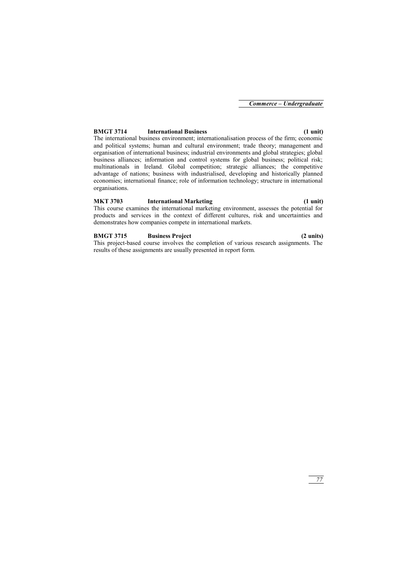### **BMGT 3714 International Business (1 unit)**

The international business environment; internationalisation process of the firm; economic and political systems; human and cultural environment; trade theory; management and organisation of international business; industrial environments and global strategies; global business alliances; information and control systems for global business; political risk; multinationals in Ireland. Global competition; strategic alliances; the competitive advantage of nations; business with industrialised, developing and historically planned economies; international finance; role of information technology; structure in international organisations.

### **MKT 3703 International Marketing (1 unit)**

This course examines the international marketing environment, assesses the potential for products and services in the context of different cultures, risk and uncertainties and demonstrates how companies compete in international markets.

### **BMGT 3715 Business Project (2 units)**

This project-based course involves the completion of various research assignments. The results of these assignments are usually presented in report form.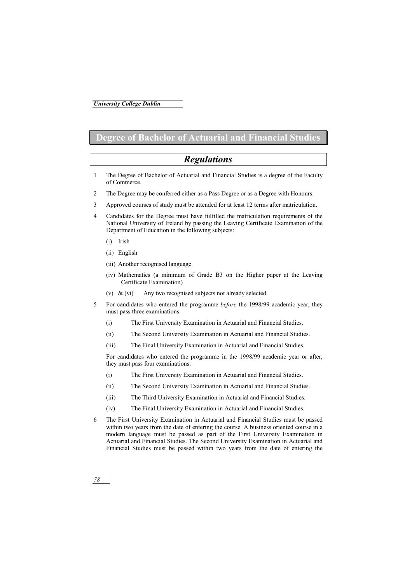# **Degree of Bachelor of Actuarial and Financial Studies**

# *Regulations*

- 1 The Degree of Bachelor of Actuarial and Financial Studies is a degree of the Faculty of Commerce.
- 2 The Degree may be conferred either as a Pass Degree or as a Degree with Honours.
- 3 Approved courses of study must be attended for at least 12 terms after matriculation.
- 4 Candidates for the Degree must have fulfilled the matriculation requirements of the National University of Ireland by passing the Leaving Certificate Examination of the Department of Education in the following subjects:
	- (i) Irish
	- (ii) English
	- (iii) Another recognised language
	- (iv) Mathematics (a minimum of Grade B3 on the Higher paper at the Leaving Certificate Examination)
	- (v) & (vi) Any two recognised subjects not already selected.
- 5 For candidates who entered the programme *before* the 1998/99 academic year, they must pass three examinations:
	- (i) The First University Examination in Actuarial and Financial Studies.
	- (ii) The Second University Examination in Actuarial and Financial Studies.
	- (iii) The Final University Examination in Actuarial and Financial Studies.

For candidates who entered the programme in the 1998/99 academic year or after, they must pass four examinations:

- (i) The First University Examination in Actuarial and Financial Studies.
- (ii) The Second University Examination in Actuarial and Financial Studies.
- (iii) The Third University Examination in Actuarial and Financial Studies.
- (iv) The Final University Examination in Actuarial and Financial Studies.
- 6 The First University Examination in Actuarial and Financial Studies must be passed within two years from the date of entering the course. A business oriented course in a modern language must be passed as part of the First University Examination in Actuarial and Financial Studies. The Second University Examination in Actuarial and Financial Studies must be passed within two years from the date of entering the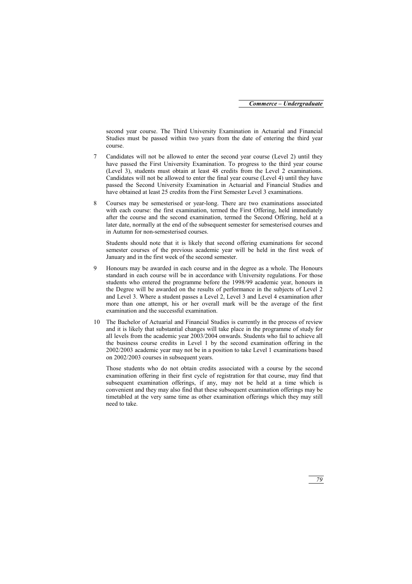second year course. The Third University Examination in Actuarial and Financial Studies must be passed within two years from the date of entering the third year course.

- 7 Candidates will not be allowed to enter the second year course (Level 2) until they have passed the First University Examination. To progress to the third year course (Level 3), students must obtain at least 48 credits from the Level 2 examinations. Candidates will not be allowed to enter the final year course (Level 4) until they have passed the Second University Examination in Actuarial and Financial Studies and have obtained at least 25 credits from the First Semester Level 3 examinations.
- 8 Courses may be semesterised or year-long. There are two examinations associated with each course: the first examination, termed the First Offering, held immediately after the course and the second examination, termed the Second Offering, held at a later date, normally at the end of the subsequent semester for semesterised courses and in Autumn for non-semesterised courses.

Students should note that it is likely that second offering examinations for second semester courses of the previous academic year will be held in the first week of January and in the first week of the second semester.

- 9 Honours may be awarded in each course and in the degree as a whole. The Honours standard in each course will be in accordance with University regulations. For those students who entered the programme before the 1998/99 academic year, honours in the Degree will be awarded on the results of performance in the subjects of Level 2 and Level 3. Where a student passes a Level 2, Level 3 and Level 4 examination after more than one attempt, his or her overall mark will be the average of the first examination and the successful examination.
- 10 The Bachelor of Actuarial and Financial Studies is currently in the process of review and it is likely that substantial changes will take place in the programme of study for all levels from the academic year 2003/2004 onwards. Students who fail to achieve all the business course credits in Level 1 by the second examination offering in the 2002/2003 academic year may not be in a position to take Level 1 examinations based on 2002/2003 courses in subsequent years.

Those students who do not obtain credits associated with a course by the second examination offering in their first cycle of registration for that course, may find that subsequent examination offerings, if any, may not be held at a time which is convenient and they may also find that these subsequent examination offerings may be timetabled at the very same time as other examination offerings which they may still need to take.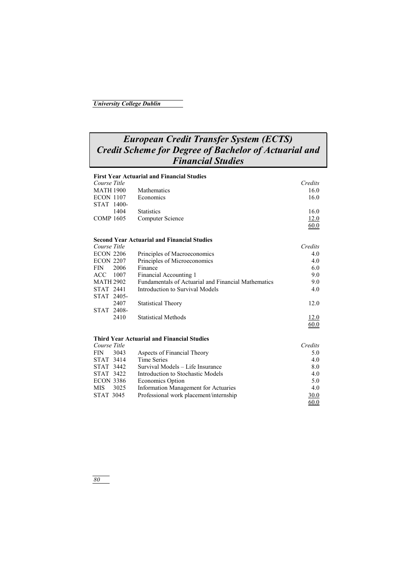# *European Credit Transfer System (ECTS) Credit Scheme for Degree of Bachelor of Actuarial and Financial Studies*

### **First Year Actuarial and Financial Studies**  *Course Title Credits*  MATH 1900 Mathematics 16.0<br>
ECON 1107 Economics 16.0 ECON 1107 Economics STAT 1400- 1404 Statistics 16.0 COMP 1605 Computer Science 12.0  $\sim 60.0$ **Second Year Actuarial and Financial Studies**  *Course Title Credits* **Credits Credits Credits Credits Credits Credits Credits Credits 4.0** Principles of Macroeconomics 4.0 ECON 2207 Principles of Microeconomics 4.0 FIN 2006 Finance 6.0 ACC 1007 Financial Accounting 1 9.0 MATH 2902 Fundamentals of Actuarial and Financial Mathematics 9.0<br>STAT 2441 Introduction to Survival Models 4.0 Introduction to Survival Models STAT 2405- 2407 Statistical Theory 12.0 STAT 2408- 2410 Statistical Methods  $\frac{12.0}{60.0}$  $\sim$  60.0 **Third Year Actuarial and Financial Studies**  *Course Title Credits*

| <b>FIN</b>       | 3043      | Aspects of Financial Theory            | 5.0  |
|------------------|-----------|----------------------------------------|------|
| STAT 3414        |           | Time Series                            | 4.0  |
|                  | STAT 3442 | Survival Models – Life Insurance       | 8.0  |
| STAT 3422        |           | Introduction to Stochastic Models      | 4.0  |
| <b>ECON 3386</b> |           | Economics Option                       | 5.0  |
| MIS.             | 3025      | Information Management for Actuaries   | 4.0  |
| STAT 3045        |           | Professional work placement/internship | 30.0 |
|                  |           |                                        | 60.0 |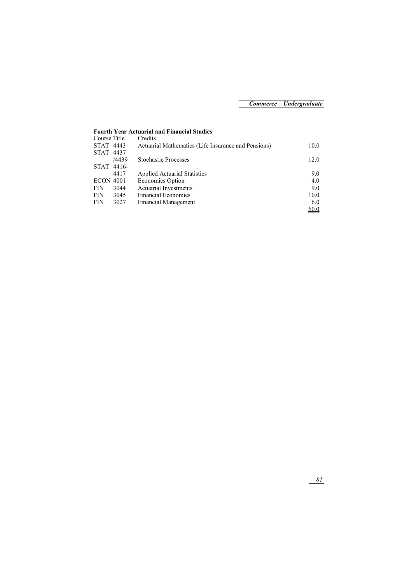## **Fourth Year Actuarial and Financial Studies**

| Course Title     |       | Credits                                             |            |
|------------------|-------|-----------------------------------------------------|------------|
| STAT 4443        |       | Actuarial Mathematics (Life Insurance and Pensions) | 10.0       |
| STAT 4437        |       |                                                     |            |
|                  | /4439 | <b>Stochastic Processes</b>                         | 12.0       |
| STAT 4416-       |       |                                                     |            |
|                  | 4417  | <b>Applied Actuarial Statistics</b>                 | 9.0        |
| <b>ECON 4001</b> |       | <b>Economics Option</b>                             | 4.0        |
| <b>FIN</b>       | 3044  | <b>Actuarial Investments</b>                        | 9.0        |
| <b>FIN</b>       | 3045  | <b>Financial Economics</b>                          | 10.0       |
| <b>FIN</b>       | 3027  | <b>Financial Management</b>                         | <u>6.0</u> |
|                  |       |                                                     | 60.0       |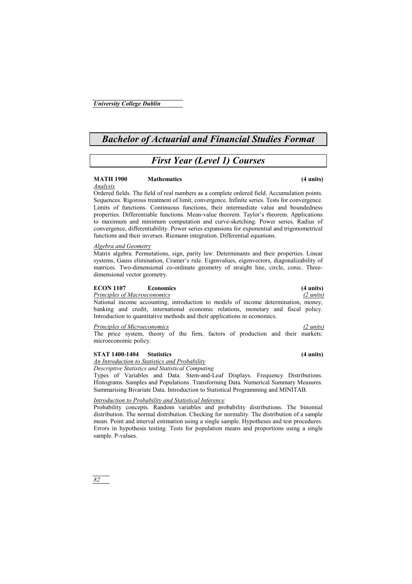*82* 

## *University College Dublin*

# *Bachelor of Actuarial and Financial Studies Format*

# *First Year (Level 1) Courses*

# **MATH 1900 Mathematics (4 units)**

*Analysis*

Ordered fields. The field of real numbers as a complete ordered field. Accumulation points. Sequences. Rigorous treatment of limit, convergence. Infinite series. Tests for convergence. Limits of functions. Continuous functions, their intermediate value and boundedness properties. Differentiable functions. Mean-value theorem. Taylor's theorem. Applications to maximum and minimum computation and curve-sketching. Power series. Radius of convergence, differentiability. Power series expansions for exponential and trigonometrical functions and their inverses. Riemann integration. Differential equations.

#### *Algebra and Geometry*

Matrix algebra. Permutations, sign, parity law. Determinants and their properties. Linear systems, Gauss elimination, Cramer's rule. Eigenvalues, eigenvectors, diagonalizability of matrices. Two-dimensional co-ordinate geometry of straight line, circle, conic. Threedimensional vector geometry.

### **ECON 1107 Economics (4 units)**

*Principles of Macroeconomics (2 units)*

National income accounting, introduction to models of income determination, money, banking and credit, international economic relations, monetary and fiscal policy. Introduction to quantitative methods and their applications in economics.

#### *Principles of Microeconomics (2 units)*

The price system, theory of the firm, factors of production and their markets: microeconomic policy.

### **STAT 1400-1404 Statistics (4 units)**

*An Introduction to Statistics and Probability*

*Descriptive Statistics and Statistical Computing* 

Types of Variables and Data. Stem-and-Leaf Displays. Frequency Distributions. Histograms. Samples and Populations. Transforming Data. Numerical Summary Measures. Summarising Bivariate Data. Introduction to Statistical Programming and MINITAB.

*Introduction to Probability and Statistical Inference*

Probability concepts. Random variables and probability distributions. The binomial distribution. The normal distribution. Checking for normality. The distribution of a sample mean. Point and interval estimation using a single sample. Hypotheses and test procedures. Errors in hypothesis testing. Tests for population means and proportions using a single sample. P-values.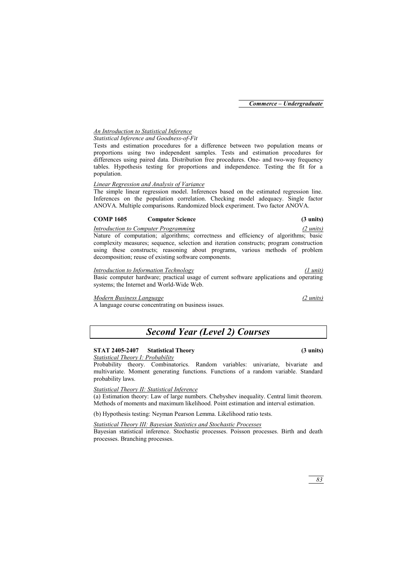# *An Introduction to Statistical Inference*

# *Statistical Inference and Goodness-of-Fit*

Tests and estimation procedures for a difference between two population means or proportions using two independent samples. Tests and estimation procedures for differences using paired data. Distribution free procedures. One- and two-way frequency tables. Hypothesis testing for proportions and independence. Testing the fit for a population.

## *Linear Regression and Analysis of Variance*

The simple linear regression model. Inferences based on the estimated regression line. Inferences on the population correlation. Checking model adequacy. Single factor ANOVA. Multiple comparisons. Randomized block experiment. Two factor ANOVA.

## **COMP 1605 Computer Science (3 units)**

## *Introduction to Computer Programming (2 units)*

Nature of computation; algorithms; correctness and efficiency of algorithms; basic complexity measures; sequence, selection and iteration constructs; program construction using these constructs; reasoning about programs, various methods of problem decomposition; reuse of existing software components.

## *Introduction to Information Technology (1 unit)*

Basic computer hardware; practical usage of current software applications and operating systems; the Internet and World-Wide Web.

## *Modern Business Language (2 units)*

A language course concentrating on business issues.

# *Second Year (Level 2) Courses*

# **STAT 2405-2407 Statistical Theory (3 units)**

## *Statistical Theory I: Probability*

Probability theory. Combinatorics. Random variables: univariate bivariate and multivariate. Moment generating functions. Functions of a random variable. Standard probability laws.

## *Statistical Theory II: Statistical Inference*

(a) Estimation theory: Law of large numbers. Chebyshev inequality. Central limit theorem. Methods of moments and maximum likelihood. Point estimation and interval estimation.

(b) Hypothesis testing: Neyman Pearson Lemma. Likelihood ratio tests.

## *Statistical Theory III: Bayesian Statistics and Stochastic Processes*

Bayesian statistical inference. Stochastic processes. Poisson processes. Birth and death processes. Branching processes.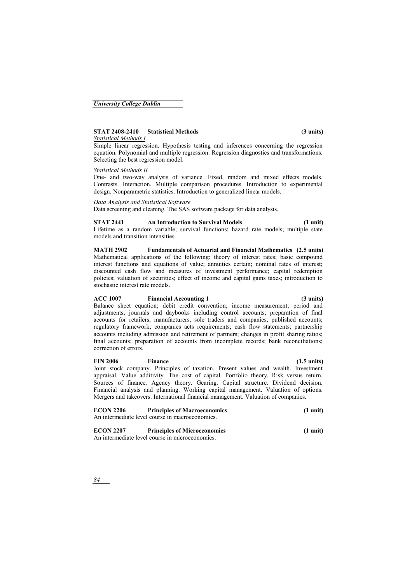# **STAT 2408-2410 Statistical Methods (3 units)**

## *Statistical Methods I*

Simple linear regression. Hypothesis testing and inferences concerning the regression equation. Polynomial and multiple regression. Regression diagnostics and transformations. Selecting the best regression model.

## *Statistical Methods II*

One- and two-way analysis of variance. Fixed, random and mixed effects models. Contrasts. Interaction. Multiple comparison procedures. Introduction to experimental design. Nonparametric statistics. Introduction to generalized linear models.

## *Data Analysis and Statistical Software*

Data screening and cleaning. The SAS software package for data analysis.

## **STAT 2441 An Introduction to Survival Models (1 unit)**

Lifetime as a random variable; survival functions; hazard rate models; multiple state models and transition intensities.

**MATH 2902 Fundamentals of Actuarial and Financial Mathematics (2.5 units)**  Mathematical applications of the following: theory of interest rates; basic compound interest functions and equations of value; annuities certain; nominal rates of interest; discounted cash flow and measures of investment performance; capital redemption policies; valuation of securities; effect of income and capital gains taxes; introduction to stochastic interest rate models.

## **ACC 1007 Financial Accounting 1 (3 units)**

Balance sheet equation; debit credit convention; income measurement; period and adjustments; journals and daybooks including control accounts; preparation of final accounts for retailers, manufacturers, sole traders and companies; published accounts; regulatory framework; companies acts requirements; cash flow statements; partnership accounts including admission and retirement of partners; changes in profit sharing ratios; final accounts; preparation of accounts from incomplete records; bank reconciliations; correction of errors.

## **FIN 2006 Finance (1.5 units)**

Joint stock company. Principles of taxation. Present values and wealth. Investment appraisal. Value additivity. The cost of capital. Portfolio theory. Risk versus return. Sources of finance. Agency theory. Gearing. Capital structure. Dividend decision. Financial analysis and planning. Working capital management. Valuation of options. Mergers and takeovers. International financial management. Valuation of companies.

# **ECON 2206 Principles of Macroeconomics (1 unit)**  An intermediate level course in macroeconomics.

# **ECON 2207 Principles of Microeconomics (1 unit)**

An intermediate level course in microeconomics.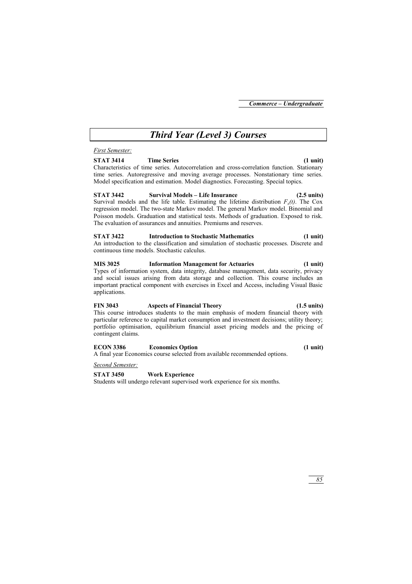# *Third Year (Level 3) Courses*

### *First Semester:*

### **STAT 3414 Time Series (1 unit)**

Characteristics of time series. Autocorrelation and cross-correlation function. Stationary time series. Autoregressive and moving average processes. Nonstationary time series. Model specification and estimation. Model diagnostics. Forecasting. Special topics.

**STAT 3442 Survival Models – Life Insurance (2.5 units)**  Survival models and the life table. Estimating the lifetime distribution  $F<sub>v</sub>(t)$ . The Cox regression model. The two-state Markov model. The general Markov model. Binomial and Poisson models. Graduation and statistical tests. Methods of graduation. Exposed to risk. The evaluation of assurances and annuities. Premiums and reserves.

### **STAT 3422 Introduction to Stochastic Mathematics (1 unit)**

An introduction to the classification and simulation of stochastic processes. Discrete and continuous time models. Stochastic calculus.

### **MIS 3025 Information Management for Actuaries (1 unit)**

Types of information system, data integrity, database management, data security, privacy and social issues arising from data storage and collection. This course includes an important practical component with exercises in Excel and Access, including Visual Basic applications.

## **FIN 3043 Aspects of Financial Theory (1.5 units)**

This course introduces students to the main emphasis of modern financial theory with particular reference to capital market consumption and investment decisions; utility theory; portfolio optimisation, equilibrium financial asset pricing models and the pricing of contingent claims.

### **ECON 3386 Economics Option (1 unit)**

A final year Economics course selected from available recommended options.

### *Second Semester:*

## **STAT 3450 Work Experience**

Students will undergo relevant supervised work experience for six months.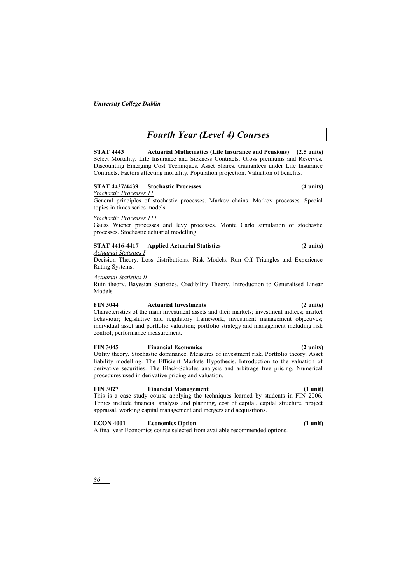# *Fourth Year (Level 4) Courses*

**STAT 4443 Actuarial Mathematics (Life Insurance and Pensions) (2.5 units)**  Select Mortality. Life Insurance and Sickness Contracts. Gross premiums and Reserves. Discounting Emerging Cost Techniques. Asset Shares. Guarantees under Life Insurance Contracts. Factors affecting mortality. Population projection. Valuation of benefits.

### **STAT 4437/4439 Stochastic Processes (4 units)**

*Stochastic Processes 11*

General principles of stochastic processes. Markov chains. Markov processes. Special topics in times series models.

### *Stochastic Processes 111*

Gauss Wiener processes and levy processes. Monte Carlo simulation of stochastic processes. Stochastic actuarial modelling.

### **STAT 4416-4417 Applied Actuarial Statistics (2 units)**

### *Actuarial Statistics I*

Decision Theory. Loss distributions. Risk Models. Run Off Triangles and Experience Rating Systems.

### *Actuarial Statistics II*

Ruin theory. Bayesian Statistics. Credibility Theory. Introduction to Generalised Linear Models.

### **FIN 3044 Actuarial Investments (2 units)**

Characteristics of the main investment assets and their markets; investment indices; market behaviour; legislative and regulatory framework; investment management objectives; individual asset and portfolio valuation; portfolio strategy and management including risk control; performance measurement.

### **FIN 3045 Financial Economics (2 units)**

Utility theory. Stochastic dominance. Measures of investment risk. Portfolio theory. Asset liability modelling. The Efficient Markets Hypothesis. Introduction to the valuation of derivative securities. The Black-Scholes analysis and arbitrage free pricing. Numerical procedures used in derivative pricing and valuation.

### **FIN 3027 Financial Management (1 unit)**

This is a case study course applying the techniques learned by students in FIN 2006. Topics include financial analysis and planning, cost of capital, capital structure, project appraisal, working capital management and mergers and acquisitions.

### **ECON 4001 Economics Option (1 unit)**

A final year Economics course selected from available recommended options.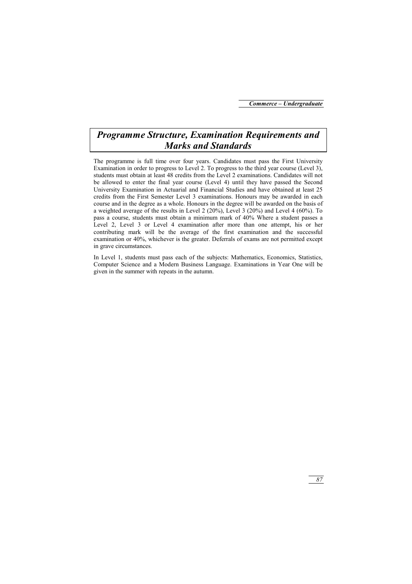# *Programme Structure, Examination Requirements and Marks and Standards*

The programme is full time over four years. Candidates must pass the First University Examination in order to progress to Level 2. To progress to the third year course (Level 3), students must obtain at least 48 credits from the Level 2 examinations. Candidates will not be allowed to enter the final year course (Level 4) until they have passed the Second University Examination in Actuarial and Financial Studies and have obtained at least 25 credits from the First Semester Level 3 examinations. Honours may be awarded in each course and in the degree as a whole. Honours in the degree will be awarded on the basis of a weighted average of the results in Level 2 (20%), Level 3 (20%) and Level 4 (60%). To pass a course, students must obtain a minimum mark of 40% Where a student passes a Level 2, Level 3 or Level 4 examination after more than one attempt, his or her contributing mark will be the average of the first examination and the successful examination or 40%, whichever is the greater. Deferrals of exams are not permitted except in grave circumstances.

In Level 1, students must pass each of the subjects: Mathematics, Economics, Statistics, Computer Science and a Modern Business Language. Examinations in Year One will be given in the summer with repeats in the autumn.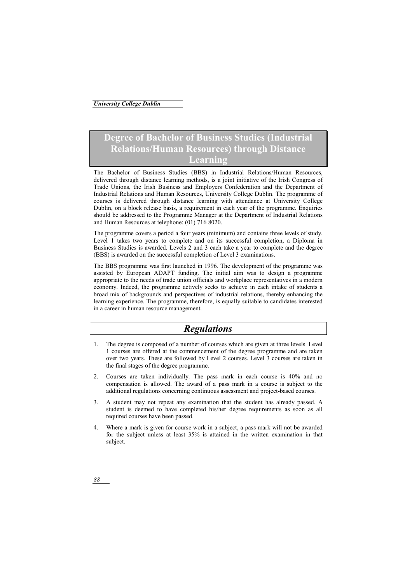# **Degree of Bachelor of Business Studies (Industrial Relations/Human Resources) through Distance Learning**

The Bachelor of Business Studies (BBS) in Industrial Relations/Human Resources, delivered through distance learning methods, is a joint initiative of the Irish Congress of Trade Unions, the Irish Business and Employers Confederation and the Department of Industrial Relations and Human Resources, University College Dublin. The programme of courses is delivered through distance learning with attendance at University College Dublin, on a block release basis, a requirement in each year of the programme. Enquiries should be addressed to the Programme Manager at the Department of Industrial Relations and Human Resources at telephone: (01) 716 8020.

The programme covers a period a four years (minimum) and contains three levels of study. Level 1 takes two years to complete and on its successful completion, a Diploma in Business Studies is awarded. Levels 2 and 3 each take a year to complete and the degree (BBS) is awarded on the successful completion of Level 3 examinations.

The BBS programme was first launched in 1996. The development of the programme was assisted by European ADAPT funding. The initial aim was to design a programme appropriate to the needs of trade union officials and workplace representatives in a modern economy. Indeed, the programme actively seeks to achieve in each intake of students a broad mix of backgrounds and perspectives of industrial relations, thereby enhancing the learning experience. The programme, therefore, is equally suitable to candidates interested in a career in human resource management.

# *Regulations*

- 1. The degree is composed of a number of courses which are given at three levels. Level 1 courses are offered at the commencement of the degree programme and are taken over two years. These are followed by Level 2 courses. Level 3 courses are taken in the final stages of the degree programme.
- 2. Courses are taken individually. The pass mark in each course is 40% and no compensation is allowed. The award of a pass mark in a course is subject to the additional regulations concerning continuous assessment and project-based courses.
- 3. A student may not repeat any examination that the student has already passed. A student is deemed to have completed his/her degree requirements as soon as all required courses have been passed.
- 4. Where a mark is given for course work in a subject, a pass mark will not be awarded for the subject unless at least 35% is attained in the written examination in that subject.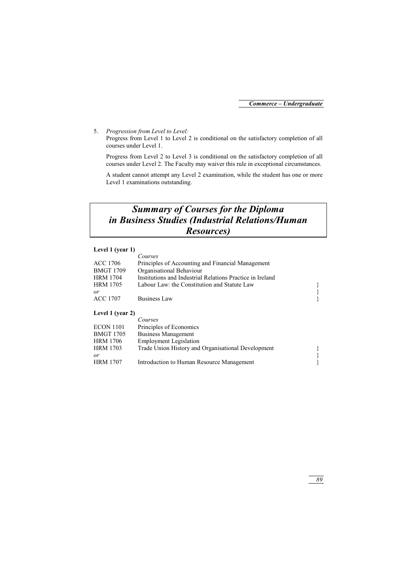5. *Progression from Level to Level:*

Progress from Level 1 to Level 2 is conditional on the satisfactory completion of all courses under Level 1.

Progress from Level 2 to Level 3 is conditional on the satisfactory completion of all courses under Level 2. The Faculty may waiver this rule in exceptional circumstances.

A student cannot attempt any Level 2 examination, while the student has one or more Level 1 examinations outstanding.

# *Summary of Courses for the Diploma in Business Studies (Industrial Relations/Human Resources)*

### **Level 1 (year 1)**

|                  | Courses                                                   |  |
|------------------|-----------------------------------------------------------|--|
| ACC 1706         | Principles of Accounting and Financial Management         |  |
| <b>BMGT 1709</b> | Organisational Behaviour                                  |  |
| <b>HRM 1704</b>  | Institutions and Industrial Relations Practice in Ireland |  |
| <b>HRM 1705</b>  | Labour Law: the Constitution and Statute Law              |  |
| or               |                                                           |  |
| ACC 1707         | Business Law                                              |  |

### **Level 1 (year 2)**

|                  | Courses                                            |  |
|------------------|----------------------------------------------------|--|
| <b>ECON 1101</b> | Principles of Economics                            |  |
| BMGT 1705        | <b>Business Management</b>                         |  |
| <b>HRM 1706</b>  | <b>Employment Legislation</b>                      |  |
| <b>HRM 1703</b>  | Trade Union History and Organisational Development |  |
| or               |                                                    |  |
| <b>HRM 1707</b>  | Introduction to Human Resource Management          |  |
|                  |                                                    |  |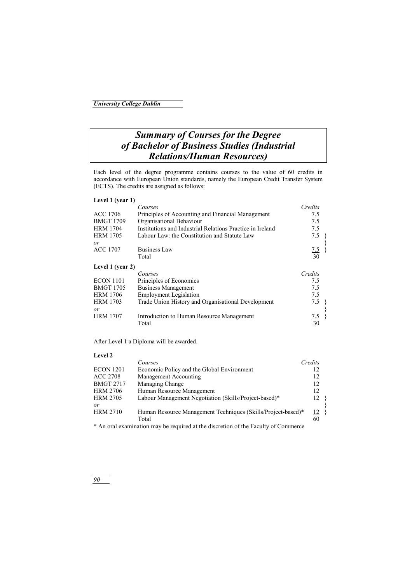# *Summary of Courses for the Degree of Bachelor of Business Studies (Industrial Relations/Human Resources)*

Each level of the degree programme contains courses to the value of 60 credits in accordance with European Union standards, namely the European Credit Transfer System (ECTS). The credits are assigned as follows:

| Level 1 (year 1) |                                                           |         |  |
|------------------|-----------------------------------------------------------|---------|--|
|                  | Courses                                                   | Credits |  |
| <b>ACC 1706</b>  | Principles of Accounting and Financial Management         | 7.5     |  |
| <b>BMGT 1709</b> | Organisational Behaviour                                  | 7.5     |  |
| <b>HRM 1704</b>  | Institutions and Industrial Relations Practice in Ireland | 7.5     |  |
| <b>HRM 1705</b>  | Labour Law: the Constitution and Statute Law              | 7.5     |  |
| or               |                                                           |         |  |
| <b>ACC 1707</b>  | Business Law                                              | 7.5     |  |
|                  | Total                                                     | 30      |  |
| Level 1 (year 2) |                                                           |         |  |
|                  | Courses                                                   | Credits |  |
| <b>ECON 1101</b> | Principles of Economics                                   | 7.5     |  |
| <b>BMGT 1705</b> | <b>Business Management</b>                                | 7.5     |  |
| <b>HRM 1706</b>  | <b>Employment Legislation</b>                             | 7.5     |  |
| <b>HRM 1703</b>  | Trade Union History and Organisational Development        | 7.5     |  |
| or               |                                                           |         |  |
| <b>HRM 1707</b>  | Introduction to Human Resource Management                 | 7.5     |  |
|                  | Total                                                     | 30      |  |

After Level 1 a Diploma will be awarded.

### **Level 2**

|                  | Courses                                                                            | Credits |  |
|------------------|------------------------------------------------------------------------------------|---------|--|
| <b>ECON 1201</b> | Economic Policy and the Global Environment                                         | 12      |  |
| <b>ACC 2708</b>  | Management Accounting                                                              | 12      |  |
| <b>BMGT 2717</b> | Managing Change                                                                    | 12      |  |
| <b>HRM 2706</b>  | Human Resource Management                                                          | 12      |  |
| <b>HRM 2705</b>  | Labour Management Negotiation (Skills/Project-based)*                              | 12      |  |
| or               |                                                                                    |         |  |
| <b>HRM 2710</b>  | Human Resource Management Techniques (Skills/Project-based)*                       | 12      |  |
|                  | Total                                                                              | 60      |  |
|                  | * An oral examination may be required at the discretion of the Eaculty of Commerce |         |  |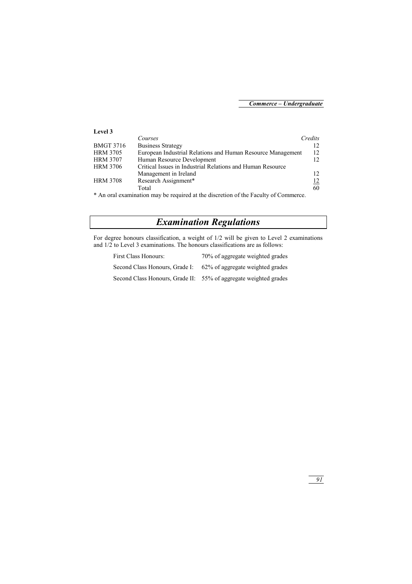| Level 3          |                                                             |         |
|------------------|-------------------------------------------------------------|---------|
|                  | Courses                                                     | Credits |
| <b>BMGT 3716</b> | <b>Business Strategy</b>                                    | 12      |
| <b>HRM 3705</b>  | European Industrial Relations and Human Resource Management | 12      |
| <b>HRM 3707</b>  | Human Resource Development                                  | 12.     |
| <b>HRM 3706</b>  | Critical Issues in Industrial Relations and Human Resource  |         |
|                  | Management in Ireland                                       | 12      |
| <b>HRM 3708</b>  | Research Assignment*                                        | 12      |
|                  | Total                                                       | 60      |
|                  |                                                             |         |

\* An oral examination may be required at the discretion of the Faculty of Commerce.

# *Examination Regulations*

For degree honours classification, a weight of 1/2 will be given to Level 2 examinations and 1/2 to Level 3 examinations. The honours classifications are as follows:

| First Class Honours:           | 70% of aggregate weighted grades                                 |
|--------------------------------|------------------------------------------------------------------|
| Second Class Honours, Grade I: | 62% of aggregate weighted grades                                 |
|                                | Second Class Honours, Grade II: 55% of aggregate weighted grades |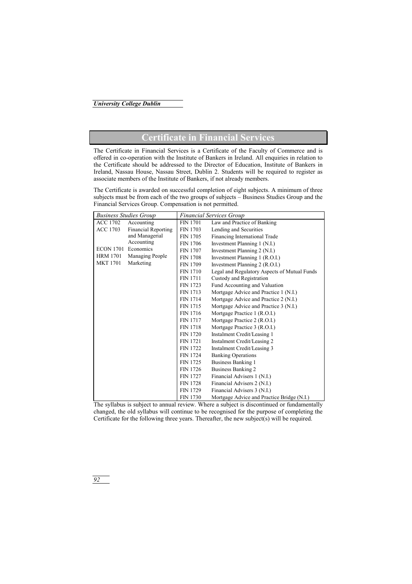# **Certificate in Financial Services**

The Certificate in Financial Services is a Certificate of the Faculty of Commerce and is offered in co-operation with the Institute of Bankers in Ireland. All enquiries in relation to the Certificate should be addressed to the Director of Education, Institute of Bankers in Ireland, Nassau House, Nassau Street, Dublin 2. Students will be required to register as associate members of the Institute of Bankers, if not already members.

The Certificate is awarded on successful completion of eight subjects. A minimum of three subjects must be from each of the two groups of subjects – Business Studies Group and the Financial Services Group. Compensation is not permitted.

|                  | <b>Business Studies Group</b> |                 | <b>Financial Services Group</b>              |
|------------------|-------------------------------|-----------------|----------------------------------------------|
| <b>ACC 1702</b>  | Accounting                    | <b>FIN 1701</b> | Law and Practice of Banking                  |
| <b>ACC 1703</b>  | <b>Financial Reporting</b>    | <b>FIN 1703</b> | Lending and Securities                       |
|                  | and Managerial                | <b>FIN 1705</b> | Financing International Trade                |
|                  | Accounting                    | <b>FIN 1706</b> | Investment Planning 1 (N.I.)                 |
| <b>ECON 1701</b> | Economics                     | <b>FIN 1707</b> | Investment Planning 2 (N.I.)                 |
| <b>HRM 1701</b>  | Managing People               | <b>FIN 1708</b> | Investment Planning 1 (R.O.I.)               |
| <b>MKT 1701</b>  | Marketing                     | <b>FIN 1709</b> | Investment Planning 2 (R.O.I.)               |
|                  |                               | <b>FIN 1710</b> | Legal and Regulatory Aspects of Mutual Funds |
|                  |                               | <b>FIN 1711</b> | Custody and Registration                     |
|                  |                               | FIN 1723        | Fund Accounting and Valuation                |
|                  |                               | FIN 1713        | Mortgage Advice and Practice 1 (N.I.)        |
|                  |                               | <b>FIN 1714</b> | Mortgage Advice and Practice 2 (N.I.)        |
|                  |                               | FIN 1715        | Mortgage Advice and Practice 3 (N.I.)        |
|                  |                               | FIN 1716        | Mortgage Practice 1 (R.O.I.)                 |
|                  |                               | <b>FIN 1717</b> | Mortgage Practice 2 (R.O.I.)                 |
|                  |                               | <b>FIN 1718</b> | Mortgage Practice 3 (R.O.I.)                 |
|                  |                               | <b>FIN 1720</b> | Instalment Credit/Leasing 1                  |
|                  |                               | FIN 1721        | Instalment Credit/Leasing 2                  |
|                  |                               | <b>FIN 1722</b> | Instalment Credit/Leasing 3                  |
|                  |                               | <b>FIN 1724</b> | <b>Banking Operations</b>                    |
|                  |                               | <b>FIN 1725</b> | <b>Business Banking 1</b>                    |
|                  |                               | <b>FIN 1726</b> | Business Banking 2                           |
|                  |                               | <b>FIN 1727</b> | Financial Advisers 1 (N.I.)                  |
|                  |                               | <b>FIN 1728</b> | Financial Advisers 2 (N.I.)                  |
|                  |                               | <b>FIN 1729</b> | Financial Advisers 3 (N.I.)                  |
|                  |                               | <b>FIN 1730</b> | Mortgage Advice and Practice Bridge (N.I.)   |

The syllabus is subject to annual review. Where a subject is discontinued or fundamentally changed, the old syllabus will continue to be recognised for the purpose of completing the Certificate for the following three years. Thereafter, the new subject(s) will be required.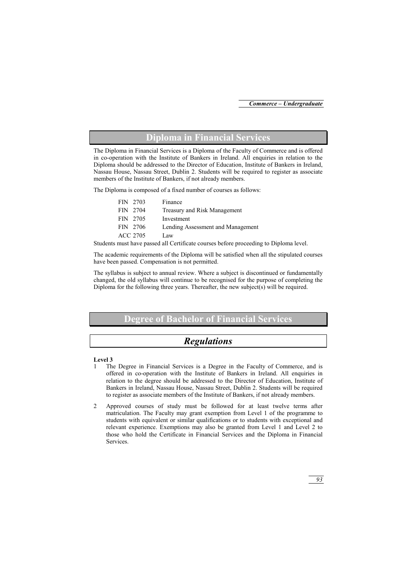# **Diploma in Financial Services**

The Diploma in Financial Services is a Diploma of the Faculty of Commerce and is offered in co-operation with the Institute of Bankers in Ireland. All enquiries in relation to the Diploma should be addressed to the Director of Education, Institute of Bankers in Ireland, Nassau House, Nassau Street, Dublin 2. Students will be required to register as associate members of the Institute of Bankers, if not already members.

The Diploma is composed of a fixed number of courses as follows:

| FIN 2703 | Finance                           |
|----------|-----------------------------------|
| FIN 2704 | Treasury and Risk Management      |
| FIN 2705 | Investment                        |
| FIN 2706 | Lending Assessment and Management |
| ACC 2705 | Law                               |

Students must have passed all Certificate courses before proceeding to Diploma level.

The academic requirements of the Diploma will be satisfied when all the stipulated courses have been passed. Compensation is not permitted.

The syllabus is subject to annual review. Where a subject is discontinued or fundamentally changed, the old syllabus will continue to be recognised for the purpose of completing the Diploma for the following three years. Thereafter, the new subject(s) will be required.

# **Degree of Bachelor of Financial Services**

# *Regulations*

### **Level 3**

- 1 The Degree in Financial Services is a Degree in the Faculty of Commerce, and is offered in co-operation with the Institute of Bankers in Ireland. All enquiries in relation to the degree should be addressed to the Director of Education, Institute of Bankers in Ireland, Nassau House, Nassau Street, Dublin 2. Students will be required to register as associate members of the Institute of Bankers, if not already members.
- 2 Approved courses of study must be followed for at least twelve terms after matriculation. The Faculty may grant exemption from Level 1 of the programme to students with equivalent or similar qualifications or to students with exceptional and relevant experience. Exemptions may also be granted from Level 1 and Level 2 to those who hold the Certificate in Financial Services and the Diploma in Financial **Services**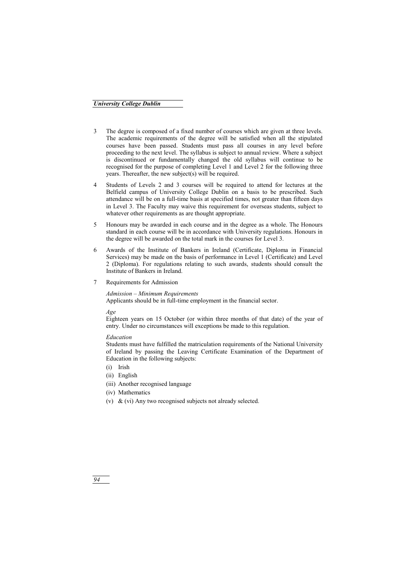- 3 The degree is composed of a fixed number of courses which are given at three levels. The academic requirements of the degree will be satisfied when all the stipulated courses have been passed. Students must pass all courses in any level before proceeding to the next level. The syllabus is subject to annual review. Where a subject is discontinued or fundamentally changed the old syllabus will continue to be recognised for the purpose of completing Level 1 and Level 2 for the following three years. Thereafter, the new subject(s) will be required.
- 4 Students of Levels 2 and 3 courses will be required to attend for lectures at the Belfield campus of University College Dublin on a basis to be prescribed. Such attendance will be on a full-time basis at specified times, not greater than fifteen days in Level 3. The Faculty may waive this requirement for overseas students, subject to whatever other requirements as are thought appropriate.
- 5 Honours may be awarded in each course and in the degree as a whole. The Honours standard in each course will be in accordance with University regulations. Honours in the degree will be awarded on the total mark in the courses for Level 3.
- 6 Awards of the Institute of Bankers in Ireland (Certificate, Diploma in Financial Services) may be made on the basis of performance in Level 1 (Certificate) and Level 2 (Diploma). For regulations relating to such awards, students should consult the Institute of Bankers in Ireland.
- 7 Requirements for Admission

#### *Admission – Minimum Requirements*

Applicants should be in full-time employment in the financial sector.

*Age* 

Eighteen years on 15 October (or within three months of that date) of the year of entry. Under no circumstances will exceptions be made to this regulation.

#### *Education*

Students must have fulfilled the matriculation requirements of the National University of Ireland by passing the Leaving Certificate Examination of the Department of Education in the following subjects:

- (i) Irish
- (ii) English
- (iii) Another recognised language
- (iv) Mathematics
- (v) & (vi) Any two recognised subjects not already selected.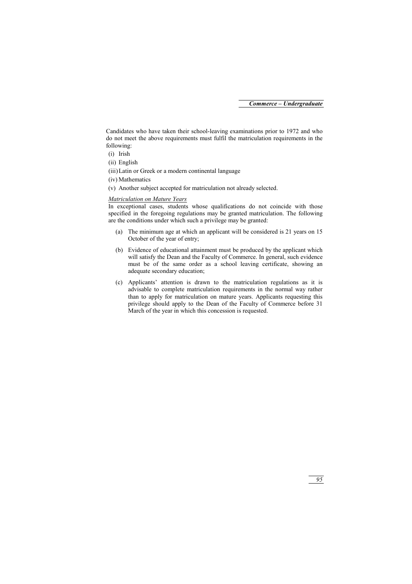Candidates who have taken their school-leaving examinations prior to 1972 and who do not meet the above requirements must fulfil the matriculation requirements in the following:

- (i) Irish
- (ii) English
- (iii) Latin or Greek or a modern continental language
- (iv) Mathematics
- (v) Another subject accepted for matriculation not already selected.

#### *Matriculation on Mature Years*

In exceptional cases, students whose qualifications do not coincide with those specified in the foregoing regulations may be granted matriculation. The following are the conditions under which such a privilege may be granted:

- (a) The minimum age at which an applicant will be considered is 21 years on 15 October of the year of entry;
- (b) Evidence of educational attainment must be produced by the applicant which will satisfy the Dean and the Faculty of Commerce. In general, such evidence must be of the same order as a school leaving certificate, showing an adequate secondary education;
- (c) Applicants' attention is drawn to the matriculation regulations as it is advisable to complete matriculation requirements in the normal way rather than to apply for matriculation on mature years. Applicants requesting this privilege should apply to the Dean of the Faculty of Commerce before 31 March of the year in which this concession is requested.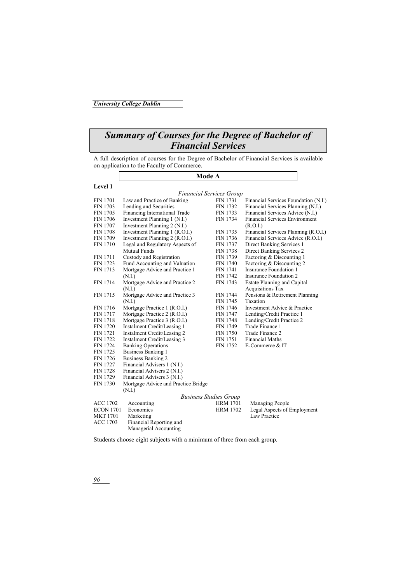# *Summary of Courses for the Degree of Bachelor of Financial Services*

A full description of courses for the Degree of Bachelor of Financial Services is available on application to the Faculty of Commerce.

### **Mode A**

#### **Level 1**

### *Financial Services Group*

|                  | r inancial services Group           |                 |                                       |
|------------------|-------------------------------------|-----------------|---------------------------------------|
| <b>FIN 1701</b>  | Law and Practice of Banking         | <b>FIN 1731</b> | Financial Services Foundation (N.I.)  |
| <b>FIN 1703</b>  | Lending and Securities              | <b>FIN 1732</b> | Financial Services Planning (N.I.)    |
| <b>FIN 1705</b>  | Financing International Trade       | FIN 1733        | Financial Services Advice (N.I.)      |
| <b>FIN 1706</b>  | Investment Planning 1 (N.I.)        | <b>FIN 1734</b> | <b>Financial Services Environment</b> |
| <b>FIN 1707</b>  | Investment Planning 2 (N.I.)        |                 | (R.O.I.)                              |
| <b>FIN 1708</b>  | Investment Planning 1 (R.O.I.)      | <b>FIN 1735</b> | Financial Services Planning (R.O.I.)  |
| <b>FIN 1709</b>  | Investment Planning 2 (R.O.I.)      | <b>FIN 1736</b> | Financial Services Advice (R.O.I.)    |
| <b>FIN 1710</b>  | Legal and Regulatory Aspects of     | <b>FIN 1737</b> | Direct Banking Services 1             |
|                  | Mutual Funds                        | <b>FIN 1738</b> | Direct Banking Services 2             |
| <b>FIN 1711</b>  | Custody and Registration            | FIN 1739        | Factoring & Discounting 1             |
| FIN 1723         | Fund Accounting and Valuation       | <b>FIN 1740</b> | Factoring & Discounting 2             |
| FIN 1713         | Mortgage Advice and Practice 1      | <b>FIN 1741</b> | Insurance Foundation 1                |
|                  | (N.I.)                              | <b>FIN 1742</b> | Insurance Foundation 2                |
| <b>FIN 1714</b>  | Mortgage Advice and Practice 2      | FIN 1743        | <b>Estate Planning and Capital</b>    |
|                  | (N.I.)                              |                 | <b>Acquisitions Tax</b>               |
| <b>FIN 1715</b>  | Mortgage Advice and Practice 3      | <b>FIN 1744</b> | Pensions & Retirement Planning        |
|                  | (N.I.)                              | FIN 1745        | Taxation                              |
| <b>FIN 1716</b>  | Mortgage Practice 1 (R.O.I.)        | <b>FIN 1746</b> | Investment Advice & Practice          |
| <b>FIN 1717</b>  | Mortgage Practice 2 (R.O.I.)        | <b>FIN 1747</b> | Lending/Credit Practice 1             |
| <b>FIN 1718</b>  | Mortgage Practice 3 (R.O.I.)        | <b>FIN 1748</b> | Lending/Credit Practice 2             |
| <b>FIN 1720</b>  | Instalment Credit/Leasing 1         | FIN 1749        | Trade Finance 1                       |
| <b>FIN 1721</b>  | Instalment Credit/Leasing 2         | <b>FIN 1750</b> | Trade Finance 2                       |
| <b>FIN 1722</b>  | Instalment Credit/Leasing 3         | <b>FIN 1751</b> | <b>Financial Maths</b>                |
| <b>FIN 1724</b>  | <b>Banking Operations</b>           | <b>FIN 1752</b> | E-Commerce & IT                       |
| <b>FIN 1725</b>  | Business Banking 1                  |                 |                                       |
| <b>FIN 1726</b>  | Business Banking 2                  |                 |                                       |
| <b>FIN 1727</b>  | Financial Advisers 1 (N.I.)         |                 |                                       |
| <b>FIN 1728</b>  | Financial Advisers 2 (N.I.)         |                 |                                       |
| <b>FIN 1729</b>  | Financial Advisers 3 (N.I.)         |                 |                                       |
| <b>FIN 1730</b>  | Mortgage Advice and Practice Bridge |                 |                                       |
|                  | (N.I.)                              |                 |                                       |
|                  | <b>Business Studies Group</b>       |                 |                                       |
| <b>ACC 1702</b>  | Accounting                          | <b>HRM 1701</b> | Managing People                       |
| <b>ECON 1701</b> | Economics                           | <b>HRM 1702</b> | Legal Aspects of Employment           |
| <b>MKT 1701</b>  | Marketing                           |                 | Law Practice                          |
| <b>ACC 1703</b>  | Financial Reporting and             |                 |                                       |

Students choose eight subjects with a minimum of three from each group.

Managerial Accounting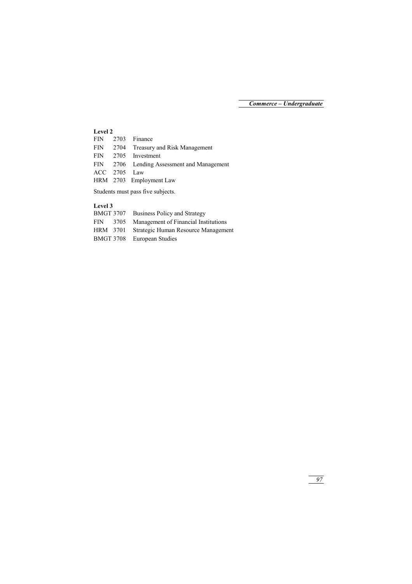## **Level 2**

|              | FIN 2703 Finance                           |
|--------------|--------------------------------------------|
|              | FIN 2704 Treasury and Risk Management      |
|              | FIN 2705 Investment                        |
|              | FIN 2706 Lending Assessment and Management |
| ACC 2705 Law |                                            |
|              | HRM 2703 Employment Law                    |
|              |                                            |

Students must pass five subjects.

## **Level 3**

| <b>BMGT 3707</b> | Business Policy and Strategy         |
|------------------|--------------------------------------|
| FIN 3705         | Management of Financial Institutions |
| HRM 3701         | Strategic Human Resource Management  |
| BMGT 3708        | European Studies                     |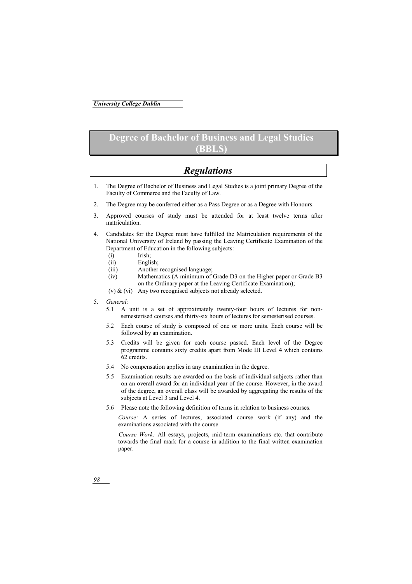# **Degree of Bachelor of Business and Legal Studies (BBLS)**

# *Regulations*

- 1. The Degree of Bachelor of Business and Legal Studies is a joint primary Degree of the Faculty of Commerce and the Faculty of Law.
- 2. The Degree may be conferred either as a Pass Degree or as a Degree with Honours.
- 3. Approved courses of study must be attended for at least twelve terms after matriculation.
- 4. Candidates for the Degree must have fulfilled the Matriculation requirements of the National University of Ireland by passing the Leaving Certificate Examination of the Department of Education in the following subjects:
	- (i) Irish;
	- (ii) English;
	- (iii) Another recognised language;
	- (iv) Mathematics (A minimum of Grade D3 on the Higher paper or Grade B3 on the Ordinary paper at the Leaving Certificate Examination);
	- (v) & (vi) Any two recognised subjects not already selected.
- 5. *General:*
	- 5.1 A unit is a set of approximately twenty-four hours of lectures for nonsemesterised courses and thirty-six hours of lectures for semesterised courses.
	- 5.2 Each course of study is composed of one or more units. Each course will be followed by an examination.
	- 5.3 Credits will be given for each course passed. Each level of the Degree programme contains sixty credits apart from Mode III Level 4 which contains 62 credits.
	- 5.4 No compensation applies in any examination in the degree.
	- 5.5 Examination results are awarded on the basis of individual subjects rather than on an overall award for an individual year of the course. However, in the award of the degree, an overall class will be awarded by aggregating the results of the subjects at Level 3 and Level 4.
	- 5.6 Please note the following definition of terms in relation to business courses:

*Course:* A series of lectures, associated course work (if any) and the examinations associated with the course.

*Course Work:* All essays, projects, mid-term examinations etc. that contribute towards the final mark for a course in addition to the final written examination paper.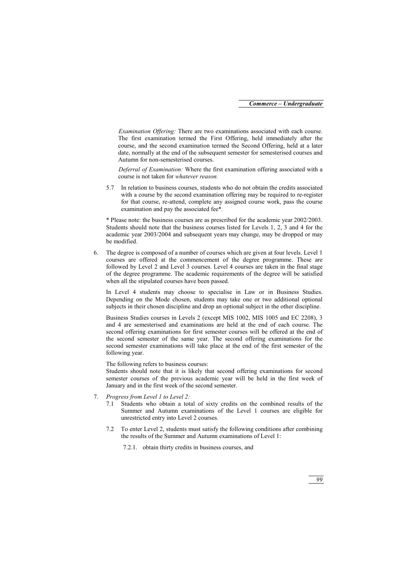*Examination Offering:* There are two examinations associated with each course. The first examination termed the First Offering, held immediately after the course, and the second examination termed the Second Offering, held at a later date, normally at the end of the subsequent semester for semesterised courses and Autumn for non-semesterised courses.

*Deferral of Examination:* Where the first examination offering associated with a course is not taken for *whatever reason.* 

5.7 In relation to business courses, students who do not obtain the credits associated with a course by the second examination offering may be required to re-register for that course, re-attend, complete any assigned course work, pass the course examination and pay the associated fee\*.

\* Please note: the business courses are as prescribed for the academic year 2002/2003. Students should note that the business courses listed for Levels 1, 2, 3 and 4 for the academic year 2003/2004 and subsequent years may change, may be dropped or may be modified.

6. The degree is composed of a number of courses which are given at four levels. Level 1 courses are offered at the commencement of the degree programme. These are followed by Level 2 and Level 3 courses. Level 4 courses are taken in the final stage of the degree programme. The academic requirements of the degree will be satisfied when all the stipulated courses have been passed.

In Level 4 students may choose to specialise in Law or in Business Studies. Depending on the Mode chosen, students may take one or two additional optional subjects in their chosen discipline and drop an optional subject in the other discipline.

Business Studies courses in Levels 2 (except MIS 1002, MIS 1005 and EC 2208), 3 and 4 are semesterised and examinations are held at the end of each course. The second offering examinations for first semester courses will be offered at the end of the second semester of the same year. The second offering examinations for the second semester examinations will take place at the end of the first semester of the following year.

The following refers to business courses:

Students should note that it is likely that second offering examinations for second semester courses of the previous academic year will be held in the first week of January and in the first week of the second semester.

- 7. *Progress from Level 1 to Level 2:*
	- 7.1 Students who obtain a total of sixty credits on the combined results of the Summer and Autumn examinations of the Level 1 courses are eligible for unrestricted entry into Level 2 courses.
	- 7.2 To enter Level 2, students must satisfy the following conditions after combining the results of the Summer and Autumn examinations of Level 1:

7.2.1. obtain thirty credits in business courses, and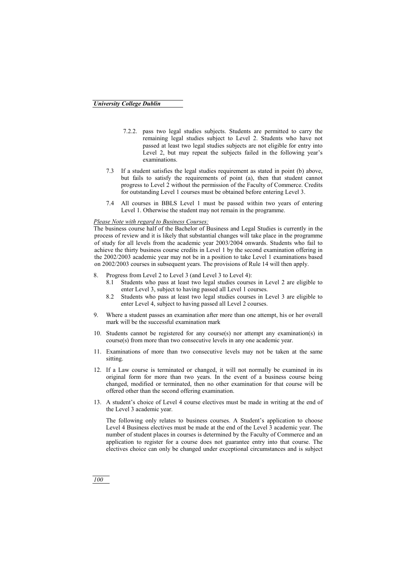- 7.2.2. pass two legal studies subjects. Students are permitted to carry the remaining legal studies subject to Level 2. Students who have not passed at least two legal studies subjects are not eligible for entry into Level 2, but may repeat the subjects failed in the following year's examinations.
- 7.3 If a student satisfies the legal studies requirement as stated in point (b) above, but fails to satisfy the requirements of point (a), then that student cannot progress to Level 2 without the permission of the Faculty of Commerce. Credits for outstanding Level 1 courses must be obtained before entering Level 3.
- 7.4 All courses in BBLS Level 1 must be passed within two years of entering Level 1. Otherwise the student may not remain in the programme.

### *Please Note with regard to Business Courses:*

The business course half of the Bachelor of Business and Legal Studies is currently in the process of review and it is likely that substantial changes will take place in the programme of study for all levels from the academic year 2003/2004 onwards. Students who fail to achieve the thirty business course credits in Level 1 by the second examination offering in the 2002/2003 academic year may not be in a position to take Level 1 examinations based on 2002/2003 courses in subsequent years. The provisions of Rule 14 will then apply.

- 8. Progress from Level 2 to Level 3 (and Level 3 to Level 4):
	- 8.1 Students who pass at least two legal studies courses in Level 2 are eligible to enter Level 3, subject to having passed all Level 1 courses.
	- 8.2 Students who pass at least two legal studies courses in Level 3 are eligible to enter Level 4, subject to having passed all Level 2 courses.
- 9. Where a student passes an examination after more than one attempt, his or her overall mark will be the successful examination mark
- 10. Students cannot be registered for any course(s) nor attempt any examination(s) in course(s) from more than two consecutive levels in any one academic year.
- 11. Examinations of more than two consecutive levels may not be taken at the same sitting.
- 12. If a Law course is terminated or changed, it will not normally be examined in its original form for more than two years. In the event of a business course being changed, modified or terminated, then no other examination for that course will be offered other than the second offering examination.
- 13. A student's choice of Level 4 course electives must be made in writing at the end of the Level 3 academic year.

The following only relates to business courses. A Student's application to choose Level 4 Business electives must be made at the end of the Level 3 academic year. The number of student places in courses is determined by the Faculty of Commerce and an application to register for a course does not guarantee entry into that course. The electives choice can only be changed under exceptional circumstances and is subject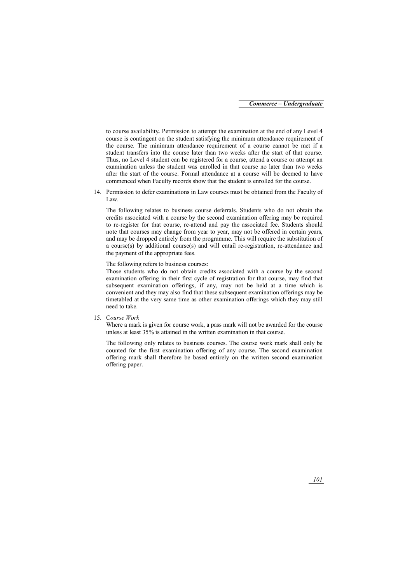to course availability*.* Permission to attempt the examination at the end of any Level 4 course is contingent on the student satisfying the minimum attendance requirement of the course. The minimum attendance requirement of a course cannot be met if a student transfers into the course later than two weeks after the start of that course. Thus, no Level 4 student can be registered for a course, attend a course or attempt an examination unless the student was enrolled in that course no later than two weeks after the start of the course. Formal attendance at a course will be deemed to have commenced when Faculty records show that the student is enrolled for the course.

14. Permission to defer examinations in Law courses must be obtained from the Faculty of Law.

The following relates to business course deferrals. Students who do not obtain the credits associated with a course by the second examination offering may be required to re-register for that course, re-attend and pay the associated fee. Students should note that courses may change from year to year, may not be offered in certain years, and may be dropped entirely from the programme. This will require the substitution of a course(s) by additional course(s) and will entail re-registration, re-attendance and the payment of the appropriate fees.

The following refers to business courses:

Those students who do not obtain credits associated with a course by the second examination offering in their first cycle of registration for that course, may find that subsequent examination offerings, if any, may not be held at a time which is convenient and they may also find that these subsequent examination offerings may be timetabled at the very same time as other examination offerings which they may still need to take.

15. C*ourse Work*

Where a mark is given for course work, a pass mark will not be awarded for the course unless at least 35% is attained in the written examination in that course.

The following only relates to business courses. The course work mark shall only be counted for the first examination offering of any course. The second examination offering mark shall therefore be based entirely on the written second examination offering paper.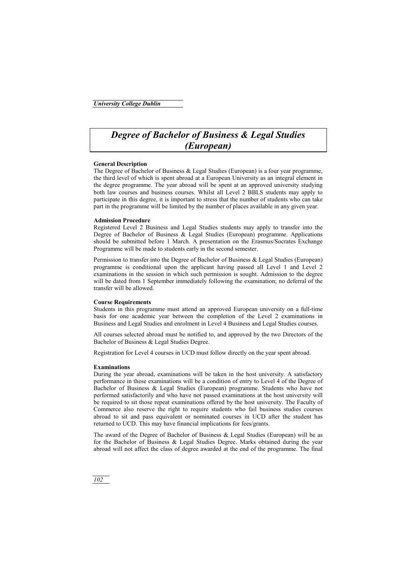# *Degree of Bachelor of Business & Legal Studies (European)*

### **General Description**

The Degree of Bachelor of Business  $\&$  Legal Studies (European) is a four year programme, the third level of which is spent abroad at a European University as an integral element in the degree programme. The year abroad will be spent at an approved university studying both law courses and business courses. Whilst all Level 2 BBLS students may apply to participate in this degree, it is important to stress that the number of students who can take part in the programme will be limited by the number of places available in any given year.

### **Admission Procedure**

Registered Level 2 Business and Legal Studies students may apply to transfer into the Degree of Bachelor of Business & Legal Studies (European) programme. Applications should be submitted before 1 March. A presentation on the Erasmus/Socrates Exchange Programme will be made to students early in the second semester.

Permission to transfer into the Degree of Bachelor of Business & Legal Studies (European) programme is conditional upon the applicant having passed all Level 1 and Level 2 examinations in the session in which such permission is sought. Admission to the degree will be dated from 1 September immediately following the examination; no deferral of the transfer will be allowed.

### **Course Requirements**

Students in this programme must attend an approved European university on a full-time basis for one academic year between the completion of the Level 2 examinations in Business and Legal Studies and enrolment in Level 4 Business and Legal Studies courses.

All courses selected abroad must be notified to, and approved by the two Directors of the Bachelor of Business & Legal Studies Degree.

Registration for Level 4 courses in UCD must follow directly on the year spent abroad.

### **Examinations**

During the year abroad, examinations will be taken in the host university. A satisfactory performance in these examinations will be a condition of entry to Level 4 of the Degree of Bachelor of Business & Legal Studies (European) programme. Students who have not performed satisfactorily and who have not passed examinations at the host university will be required to sit those repeat examinations offered by the host university. The Faculty of Commerce also reserve the right to require students who fail business studies courses abroad to sit and pass equivalent or nominated courses in UCD after the student has returned to UCD. This may have financial implications for fees/grants.

The award of the Degree of Bachelor of Business & Legal Studies (European) will be as for the Bachelor of Business & Legal Studies Degree. Marks obtained during the year abroad will not affect the class of degree awarded at the end of the programme. The final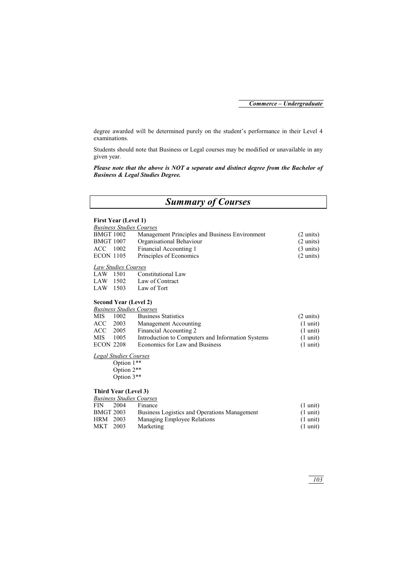degree awarded will be determined purely on the student's performance in their Level 4 examinations.

Students should note that Business or Legal courses may be modified or unavailable in any given year.

*Please note that the above is NOT a separate and distinct degree from the Bachelor of Business & Legal Studies Degree.* 

# *Summary of Courses*

#### **First Year (Level 1)**

| <b>Business Studies Courses</b> |                                                |                     |
|---------------------------------|------------------------------------------------|---------------------|
| <b>BMGT 1002</b>                | Management Principles and Business Environment | $(2 \text{ units})$ |
| <b>BMGT 1007</b>                | Organisational Behaviour                       | $(2 \text{ units})$ |
| ACC.<br>1002                    | Financial Accounting 1                         | $(3 \text{ units})$ |
| <b>ECON 1105</b>                | Principles of Economics                        | $(2 \text{ units})$ |
| Law Studios Courses             |                                                |                     |

# *Law Studies Courses*

| LAW | 1501 | Constitutional Law |
|-----|------|--------------------|
| LAW | 1502 | Law of Contract    |
| LAW | 1503 | Law of Tort        |

#### **Second Year (Level 2)**

### *Business Studies Courses*

| <b>MIS</b>       | 1002 | <b>Business Statistics</b>                        | $(2 \text{ units})$ |
|------------------|------|---------------------------------------------------|---------------------|
| ACC              | 2003 | Management Accounting                             | $(1 \text{ unit})$  |
| ACC              | 2005 | Financial Accounting 2                            | $(1 \text{ unit})$  |
| <b>MIS</b>       | 1005 | Introduction to Computers and Information Systems | $(1 \text{ unit})$  |
| <b>ECON 2208</b> |      | Economics for Law and Business                    | $(1 \text{ unit})$  |

#### *Legal Studies Courses*

 Option 1\*\* Option 2\*\* Option 3\*\*

#### **Third Year (Level 3)**

|                  | <b>Business Studies Courses</b> |                                              |                    |
|------------------|---------------------------------|----------------------------------------------|--------------------|
| <b>FIN</b>       | 2004                            | Finance                                      | $(1 \text{ unit})$ |
| <b>BMGT 2003</b> |                                 | Business Logistics and Operations Management | $(1 \text{ unit})$ |
| <b>HRM</b>       | 2003                            | Managing Employee Relations                  | $(1 \text{ unit})$ |
| <b>MKT</b>       | 2003                            | Marketing                                    | $(1 \text{ unit})$ |
|                  |                                 |                                              |                    |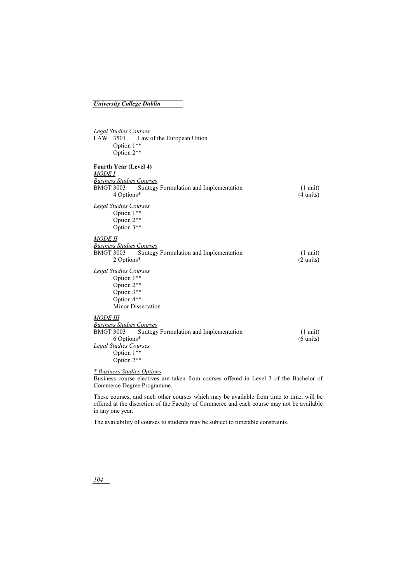### *University College Dublin*

| <b>Legal Studies Courses</b>                                |                     |
|-------------------------------------------------------------|---------------------|
| LAW 3501<br>Law of the European Union                       |                     |
| Option 1**                                                  |                     |
| Option 2**                                                  |                     |
|                                                             |                     |
| Fourth Year (Level 4)                                       |                     |
| <i>MODE I</i>                                               |                     |
| <b>Business Studies Courses</b>                             |                     |
| <b>BMGT 3003</b><br>Strategy Formulation and Implementation | $(1 \text{ unit})$  |
| 4 Options*                                                  | $(4 \text{ units})$ |
|                                                             |                     |
| <b>Legal Studies Courses</b>                                |                     |
| Option 1**                                                  |                     |
| Option 2**                                                  |                     |
| Option 3**                                                  |                     |
| <i>MODE II</i>                                              |                     |
| <b>Business Studies Courses</b>                             |                     |
| <b>BMGT 3003</b><br>Strategy Formulation and Implementation | $(1 \text{ unit})$  |
| 2 Options*                                                  | $(2 \text{ units})$ |
| <b>Legal Studies Courses</b>                                |                     |
| Option 1**                                                  |                     |
| Option 2**                                                  |                     |
| Option 3**                                                  |                     |
| Option 4**                                                  |                     |
| Minor Dissertation                                          |                     |
|                                                             |                     |
| <i>MODE III</i>                                             |                     |
| <b>Business Studies Courses</b>                             |                     |
| <b>BMGT 3003</b><br>Strategy Formulation and Implementation | $(1 \text{ unit})$  |
| 6 Options*                                                  | $(6 \text{ units})$ |
| <b>Legal Studies Courses</b>                                |                     |
| Option 1**                                                  |                     |
| Option 2**                                                  |                     |

*\* Business Studies Options*

Business course electives are taken from courses offered in Level 3 of the Bachelor of Commerce Degree Programme.

These courses, and such other courses which may be available from time to time, will be offered at the discretion of the Faculty of Commerce and each course may not be available in any one year.

The availability of courses to students may be subject to timetable constraints.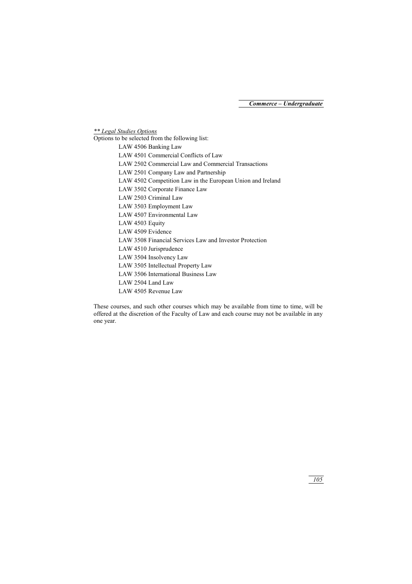*\*\* Legal Studies Options*

Options to be selected from the following list:

| LAW 4506 Banking Law                                       |
|------------------------------------------------------------|
| LAW 4501 Commercial Conflicts of Law                       |
| LAW 2502 Commercial Law and Commercial Transactions        |
| LAW 2501 Company Law and Partnership                       |
| LAW 4502 Competition Law in the European Union and Ireland |
| LAW 3502 Corporate Finance Law                             |
| LAW 2503 Criminal Law                                      |
| LAW 3503 Employment Law                                    |
| LAW 4507 Environmental Law                                 |
| LAW 4503 Equity                                            |
| LAW 4509 Evidence                                          |
| LAW 3508 Financial Services Law and Investor Protection    |
| LAW 4510 Jurisprudence                                     |
| LAW 3504 Insolvency Law                                    |
| LAW 3505 Intellectual Property Law                         |
| LAW 3506 International Business Law                        |
| LAW 2504 Land Law                                          |
| LAW 4505 Revenue Law                                       |

These courses, and such other courses which may be available from time to time, will be offered at the discretion of the Faculty of Law and each course may not be available in any one year.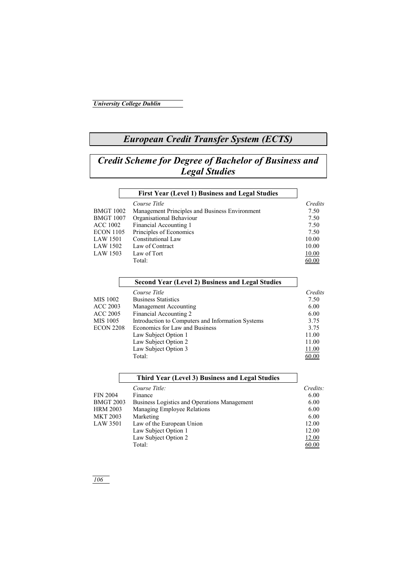# *European Credit Transfer System (ECTS)*

# *Credit Scheme for Degree of Bachelor of Business and Legal Studies*

|                  | First Year (Level 1) Business and Legal Studies |         |
|------------------|-------------------------------------------------|---------|
|                  | Course Title                                    | Credits |
| <b>BMGT 1002</b> | Management Principles and Business Environment  | 7.50    |
| <b>BMGT 1007</b> | Organisational Behaviour                        | 7.50    |
| <b>ACC 1002</b>  | Financial Accounting 1                          | 7.50    |
| <b>ECON 1105</b> | Principles of Economics                         | 7.50    |
| <b>LAW 1501</b>  | Constitutional Law                              | 10.00   |
| LAW 1502         | Law of Contract                                 | 10.00   |
| <b>LAW 1503</b>  | Law of Tort                                     | 10.00   |
|                  | Total:                                          | 60.00   |

|                  | Second Year (Level 2) Business and Legal Studies  |         |
|------------------|---------------------------------------------------|---------|
|                  | Course Title                                      | Credits |
| MIS 1002         | <b>Business Statistics</b>                        | 7.50    |
| ACC 2003         | Management Accounting                             | 6.00    |
| ACC 2005         | Financial Accounting 2                            | 6.00    |
| MIS 1005         | Introduction to Computers and Information Systems | 3.75    |
| <b>ECON 2208</b> | Economics for Law and Business                    | 3.75    |
|                  | Law Subject Option 1                              | 11.00   |
|                  | Law Subject Option 2                              | 11.00   |
|                  | Law Subject Option 3                              | 11.00   |
|                  | Total:                                            | 60.00   |

|                  | Third Year (Level 3) Business and Legal Studies |          |
|------------------|-------------------------------------------------|----------|
|                  | Course Title:                                   | Credits: |
| <b>FIN 2004</b>  | Finance                                         | 6.00     |
| <b>BMGT 2003</b> | Business Logistics and Operations Management    | 6.00     |
| <b>HRM 2003</b>  | Managing Employee Relations                     | 6.00     |
| MKT 2003         | Marketing                                       | 6.00     |
| LAW 3501         | Law of the European Union                       | 12.00    |
|                  | Law Subject Option 1                            | 12.00    |
|                  | Law Subject Option 2                            | 12.00    |
|                  | Total:                                          | 60.00    |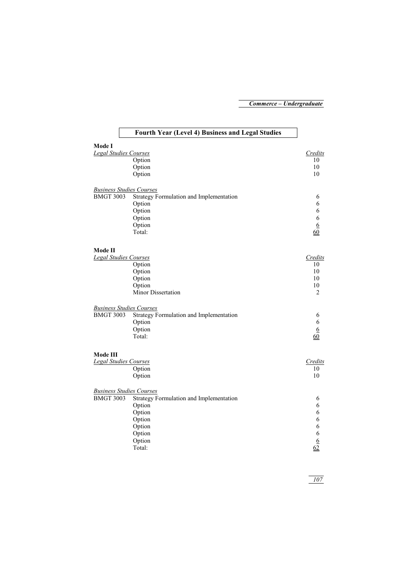# **Fourth Year (Level 4) Business and Legal Studies**

| Mode I                          |                                         |                  |
|---------------------------------|-----------------------------------------|------------------|
| <b>Legal Studies Courses</b>    |                                         | Credits          |
|                                 | Option                                  | 10               |
|                                 | Option                                  | 10               |
|                                 | Option                                  | 10               |
| <b>Business Studies Courses</b> |                                         |                  |
| <b>BMGT 3003</b>                | Strategy Formulation and Implementation | 6                |
|                                 | Option                                  | 6                |
|                                 | Option                                  | 6                |
|                                 | Option                                  | 6                |
|                                 | Option                                  | $\underline{6}$  |
|                                 | Total:                                  | 60               |
| Mode II                         |                                         |                  |
| Legal Studies Courses           |                                         | Credits          |
|                                 | Option                                  | 10               |
|                                 | Option                                  | 10               |
|                                 | Option                                  | 10               |
|                                 | Option                                  | 10               |
|                                 | Minor Dissertation                      | $\overline{2}$   |
| <b>Business Studies Courses</b> |                                         |                  |
| <b>BMGT 3003</b>                | Strategy Formulation and Implementation | 6                |
|                                 | Option                                  | 6                |
|                                 | Option                                  | $6 \overline{6}$ |
|                                 | Total:                                  | 60               |
| Mode III                        |                                         |                  |
| <b>Legal Studies Courses</b>    |                                         | Credits          |
|                                 | Option                                  | 10               |
|                                 | Option                                  | 10               |
| <b>Business Studies Courses</b> |                                         |                  |
| <b>BMGT 3003</b>                | Strategy Formulation and Implementation | 6                |
|                                 | Option                                  | 6                |
|                                 | Option                                  | 6                |
|                                 | Option                                  | 6                |
|                                 | Option                                  | 6                |
|                                 | Option                                  | 6                |
|                                 | Option                                  | $6 \overline{6}$ |
|                                 | Total:                                  | 62               |
|                                 |                                         |                  |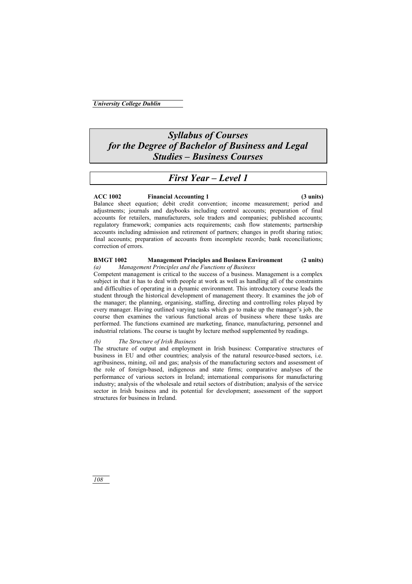# *Syllabus of Courses for the Degree of Bachelor of Business and Legal Studies – Business Courses*

# *First Year – Level 1*

### **ACC 1002 Financial Accounting 1 (3 units)**

Balance sheet equation; debit credit convention; income measurement; period and adjustments; journals and daybooks including control accounts; preparation of final accounts for retailers, manufacturers, sole traders and companies; published accounts; regulatory framework; companies acts requirements; cash flow statements; partnership accounts including admission and retirement of partners; changes in profit sharing ratios; final accounts; preparation of accounts from incomplete records; bank reconciliations; correction of errors.

## **BMGT 1002 Management Principles and Business Environment (2 units)**

#### *(a) Management Principles and the Functions of Business*

Competent management is critical to the success of a business. Management is a complex subject in that it has to deal with people at work as well as handling all of the constraints and difficulties of operating in a dynamic environment. This introductory course leads the student through the historical development of management theory. It examines the job of the manager; the planning, organising, staffing, directing and controlling roles played by every manager. Having outlined varying tasks which go to make up the manager's job, the course then examines the various functional areas of business where these tasks are performed. The functions examined are marketing, finance, manufacturing, personnel and industrial relations. The course is taught by lecture method supplemented by readings.

### *(b) The Structure of Irish Business*

The structure of output and employment in Irish business: Comparative structures of business in EU and other countries; analysis of the natural resource-based sectors, i.e. agribusiness, mining, oil and gas; analysis of the manufacturing sectors and assessment of the role of foreign-based, indigenous and state firms; comparative analyses of the performance of various sectors in Ireland; international comparisons for manufacturing industry; analysis of the wholesale and retail sectors of distribution; analysis of the service sector in Irish business and its potential for development; assessment of the support structures for business in Ireland.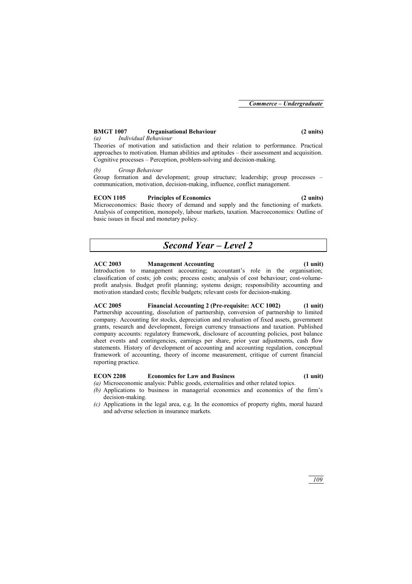## **BMGT 1007 Organisational Behaviour (2 units)**

*(a) Individual Behaviour* 

Theories of motivation and satisfaction and their relation to performance. Practical approaches to motivation. Human abilities and aptitudes – their assessment and acquisition. Cognitive processes – Perception, problem-solving and decision-making.

## *(b) Group Behaviour*

Group formation and development; group structure; leadership; group processes – communication, motivation, decision-making, influence, conflict management.

## **ECON 1105 Principles of Economics (2 units)**

Microeconomics: Basic theory of demand and supply and the functioning of markets. Analysis of competition, monopoly, labour markets, taxation. Macroeconomics: Outline of basic issues in fiscal and monetary policy.

# *Second Year – Level 2*

## **ACC 2003 Management Accounting (1 unit)**

Introduction to management accounting; accountant's role in the organisation; classification of costs; job costs; process costs; analysis of cost behaviour; cost-volumeprofit analysis. Budget profit planning; systems design; responsibility accounting and motivation standard costs; flexible budgets; relevant costs for decision-making.

**ACC 2005 Financial Accounting 2 (Pre-requisite: ACC 1002) (1 unit)**  Partnership accounting, dissolution of partnership, conversion of partnership to limited company. Accounting for stocks, depreciation and revaluation of fixed assets, government grants, research and development, foreign currency transactions and taxation. Published company accounts: regulatory framework, disclosure of accounting policies, post balance sheet events and contingencies, earnings per share, prior year adjustments, cash flow statements. History of development of accounting and accounting regulation, conceptual framework of accounting, theory of income measurement, critique of current financial reporting practice.

## **ECON 2208 Economics for Law and Business (1 unit)**

- *(a)* Microeconomic analysis: Public goods, externalities and other related topics.
- *(b)* Applications to business in managerial economics and economics of the firm's decision-making.
- *(c)* Applications in the legal area, e.g. In the economics of property rights, moral hazard and adverse selection in insurance markets.

*109*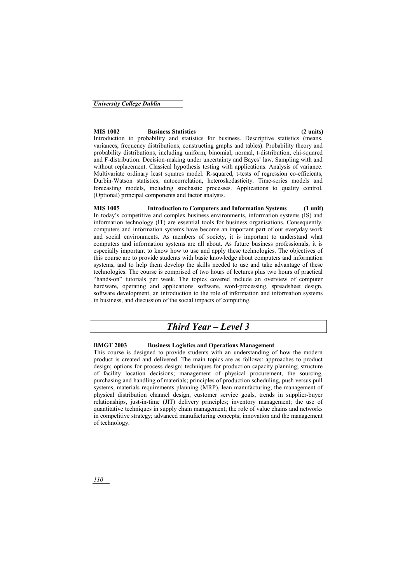#### **MIS 1002 Business Statistics (2 units)**

Introduction to probability and statistics for business. Descriptive statistics (means, variances, frequency distributions, constructing graphs and tables). Probability theory and probability distributions, including uniform, binomial, normal, t-distribution, chi-squared and F-distribution. Decision-making under uncertainty and Bayes' law. Sampling with and without replacement. Classical hypothesis testing with applications. Analysis of variance. Multivariate ordinary least squares model. R-squared, t-tests of regression co-efficients, Durbin-Watson statistics, autocorrelation, heteroskedasticity. Time-series models and forecasting models, including stochastic processes. Applications to quality control. (Optional) principal components and factor analysis.

**MIS 1005 Introduction to Computers and Information Systems (1 unit)**  In today's competitive and complex business environments, information systems (IS) and information technology (IT) are essential tools for business organisations. Consequently, computers and information systems have become an important part of our everyday work and social environments. As members of society, it is important to understand what computers and information systems are all about. As future business professionals, it is especially important to know how to use and apply these technologies. The objectives of this course are to provide students with basic knowledge about computers and information systems, and to help them develop the skills needed to use and take advantage of these technologies. The course is comprised of two hours of lectures plus two hours of practical "hands-on" tutorials per week. The topics covered include an overview of computer hardware, operating and applications software, word-processing, spreadsheet design, software development, an introduction to the role of information and information systems in business, and discussion of the social impacts of computing.

# *Third Year – Level 3*

### **BMGT 2003 Business Logistics and Operations Management**

This course is designed to provide students with an understanding of how the modern product is created and delivered. The main topics are as follows: approaches to product design; options for process design; techniques for production capacity planning; structure of facility location decisions; management of physical procurement, the sourcing, purchasing and handling of materials; principles of production scheduling, push versus pull systems, materials requirements planning (MRP), lean manufacturing; the management of physical distribution channel design, customer service goals, trends in supplier-buyer relationships, just-in-time (JIT) delivery principles; inventory management; the use of quantitative techniques in supply chain management; the role of value chains and networks in competitive strategy; advanced manufacturing concepts; innovation and the management of technology.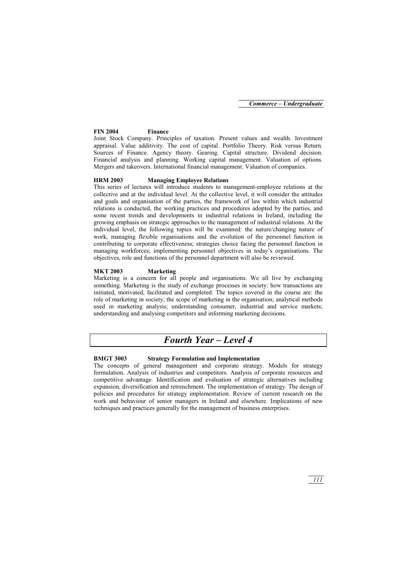## **FIN 2004 Finance**

Joint Stock Company. Principles of taxation. Present values and wealth. Investment appraisal. Value additivity. The cost of capital. Portfolio Theory. Risk versus Return. Sources of Finance. Agency theory. Gearing. Capital structure. Dividend decision. Financial analysis and planning. Working capital management. Valuation of options. Mergers and takeovers. International financial management. Valuation of companies.

## **HRM 2003 Managing Employee Relations**

This series of lectures will introduce students to management-employee relations at the collective and at the individual level. At the collective level, it will consider the attitudes and goals and organisation of the parties, the framework of law within which industrial relations is conducted, the working practices and procedures adopted by the parties, and some recent trends and developments in industrial relations in Ireland, including the growing emphasis on strategic approaches to the management of industrial relations. At the individual level, the following topics will be examined: the nature/changing nature of work, managing flexible organisations and the evolution of the personnel function in contributing to corporate effectiveness; strategies choice facing the personnel function in managing workforces; implementing personnel objectives in today's organisations. The objectives, role and functions of the personnel department will also be reviewed.

## **MKT 2003 Marketing**

Marketing is a concern for all people and organisations. We all live by exchanging something. Marketing is the study of exchange processes in society: how transactions are initiated, motivated, facilitated and completed. The topics covered in the course are: the role of marketing in society; the scope of marketing in the organisation; analytical methods used in marketing analysis; understanding consumer, industrial and service markets; understanding and analysing competitors and informing marketing decisions.

# *Fourth Year – Level 4*

## **BMGT 3003 Strategy Formulation and Implementation**

The concepts of general management and corporate strategy. Models for strategy formulation. Analysis of industries and competitors. Analysis of corporate resources and competitive advantage. Identification and evaluation of strategic alternatives including expansion, diversification and retrenchment. The implementation of strategy. The design of policies and procedures for strategy implementation. Review of current research on the work and behaviour of senior managers in Ireland and elsewhere. Implications of new techniques and practices generally for the management of business enterprises.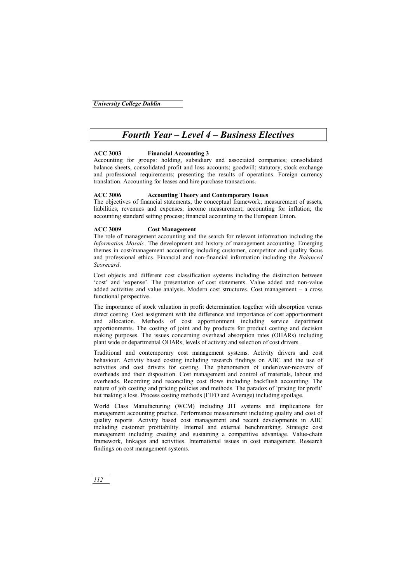# *Fourth Year – Level 4 – Business Electives*

## **ACC 3003 Financial Accounting 3**

Accounting for groups: holding, subsidiary and associated companies; consolidated balance sheets, consolidated profit and loss accounts; goodwill; statutory, stock exchange and professional requirements; presenting the results of operations. Foreign currency translation. Accounting for leases and hire purchase transactions.

#### **ACC 3006 Accounting Theory and Contemporary Issues**

The objectives of financial statements; the conceptual framework; measurement of assets, liabilities, revenues and expenses; income measurement; accounting for inflation; the accounting standard setting process; financial accounting in the European Union.

#### **ACC 3009 Cost Management**

The role of management accounting and the search for relevant information including the *Information Mosaic*. The development and history of management accounting. Emerging themes in cost/management accounting including customer, competitor and quality focus and professional ethics. Financial and non-financial information including the *Balanced Scorecard*.

Cost objects and different cost classification systems including the distinction between 'cost' and 'expense'. The presentation of cost statements. Value added and non-value added activities and value analysis. Modern cost structures. Cost management – a cross functional perspective.

The importance of stock valuation in profit determination together with absorption versus direct costing. Cost assignment with the difference and importance of cost apportionment and allocation. Methods of cost apportionment including service department apportionments. The costing of joint and by products for product costing and decision making purposes. The issues concerning overhead absorption rates (OHARs) including plant wide or departmental OHARs, levels of activity and selection of cost drivers.

Traditional and contemporary cost management systems. Activity drivers and cost behaviour. Activity based costing including research findings on ABC and the use of activities and cost drivers for costing. The phenomenon of under/over-recovery of overheads and their disposition. Cost management and control of materials, labour and overheads. Recording and reconciling cost flows including backflush accounting. The nature of job costing and pricing policies and methods. The paradox of 'pricing for profit' but making a loss. Process costing methods (FIFO and Average) including spoilage.

World Class Manufacturing (WCM) including JIT systems and implications for management accounting practice. Performance measurement including quality and cost of quality reports. Activity based cost management and recent developments in ABC including customer profitability. Internal and external benchmarking. Strategic cost management including creating and sustaining a competitive advantage. Value-chain framework, linkages and activities. International issues in cost management. Research findings on cost management systems.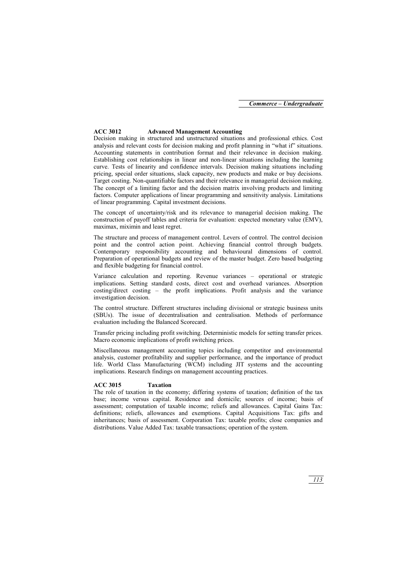#### **ACC 3012 Advanced Management Accounting**

Decision making in structured and unstructured situations and professional ethics. Cost analysis and relevant costs for decision making and profit planning in "what if" situations. Accounting statements in contribution format and their relevance in decision making. Establishing cost relationships in linear and non-linear situations including the learning curve. Tests of linearity and confidence intervals. Decision making situations including pricing, special order situations, slack capacity, new products and make or buy decisions. Target costing. Non-quantifiable factors and their relevance in managerial decision making. The concept of a limiting factor and the decision matrix involving products and limiting factors. Computer applications of linear programming and sensitivity analysis. Limitations of linear programming. Capital investment decisions.

The concept of uncertainty/risk and its relevance to managerial decision making. The construction of payoff tables and criteria for evaluation: expected monetary value (EMV), maximax, miximin and least regret.

The structure and process of management control. Levers of control. The control decision point and the control action point. Achieving financial control through budgets. Contemporary responsibility accounting and behavioural dimensions of control. Preparation of operational budgets and review of the master budget. Zero based budgeting and flexible budgeting for financial control.

Variance calculation and reporting. Revenue variances – operational or strategic implications. Setting standard costs, direct cost and overhead variances. Absorption costing/direct costing – the profit implications. Profit analysis and the variance investigation decision.

The control structure. Different structures including divisional or strategic business units (SBUs). The issue of decentralisation and centralisation. Methods of performance evaluation including the Balanced Scorecard.

Transfer pricing including profit switching. Deterministic models for setting transfer prices. Macro economic implications of profit switching prices.

Miscellaneous management accounting topics including competitor and environmental analysis, customer profitability and supplier performance, and the importance of product life. World Class Manufacturing (WCM) including JIT systems and the accounting implications. Research findings on management accounting practices.

#### **ACC 3015 Taxation**

The role of taxation in the economy; differing systems of taxation; definition of the tax base; income versus capital. Residence and domicile; sources of income; basis of assessment; computation of taxable income; reliefs and allowances. Capital Gains Tax: definitions; reliefs, allowances and exemptions. Capital Acquisitions Tax: gifts and inheritances; basis of assessment. Corporation Tax: taxable profits; close companies and distributions. Value Added Tax: taxable transactions; operation of the system.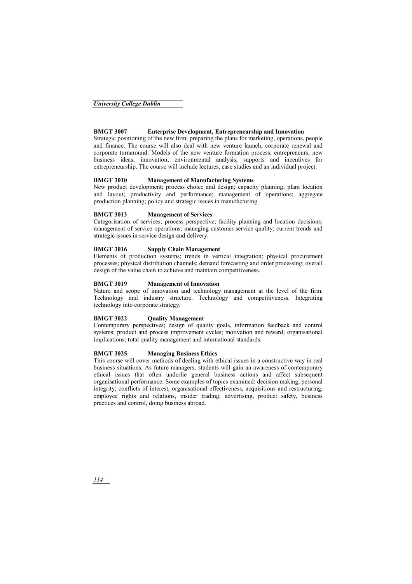#### *University College Dublin*

#### **BMGT 3007 Enterprise Development, Entrepreneurship and Innovation**

Strategic positioning of the new firm; preparing the plans for marketing, operations, people and finance. The course will also deal with new venture launch, corporate renewal and corporate turnaround. Models of the new venture formation process; entrepreneurs; new business ideas; innovation; environmental analysis; supports and incentives for entrepreneurship. The course will include lectures, case studies and an individual project.

#### **BMGT 3010 Management of Manufacturing Systems**

New product development; process choice and design; capacity planning; plant location and layout; productivity and performance; management of operations; aggregate production planning; policy and strategic issues in manufacturing.

#### **BMGT 3013 Management of Services**

Categorisation of services; process perspective; facility planning and location decisions; management of service operations; managing customer service quality; current trends and strategic issues in service design and delivery.

#### **BMGT 3016 Supply Chain Management**

Elements of production systems; trends in vertical integration; physical procurement processes; physical distribution channels; demand forecasting and order processing; overall design of the value chain to achieve and maintain competitiveness.

#### **BMGT 3019 Management of Innovation**

Nature and scope of innovation and technology management at the level of the firm. Technology and industry structure. Technology and competitiveness. Integrating technology into corporate strategy.

#### **BMGT 3022 Quality Management**

Contemporary perspectives; design of quality goals, information feedback and control systems; product and process improvement cycles; motivation and reward; organisational implications; total quality management and international standards.

#### **BMGT 3025 Managing Business Ethics**

This course will cover methods of dealing with ethical issues in a constructive way in real business situations. As future managers, students will gain an awareness of contemporary ethical issues that often underlie general business actions and affect subsequent organisational performance. Some examples of topics examined: decision making, personal integrity, conflicts of interest, organisational effectiveness, acquisitions and restructuring, employee rights and relations, insider trading, advertising, product safety, business practices and control, doing business abroad.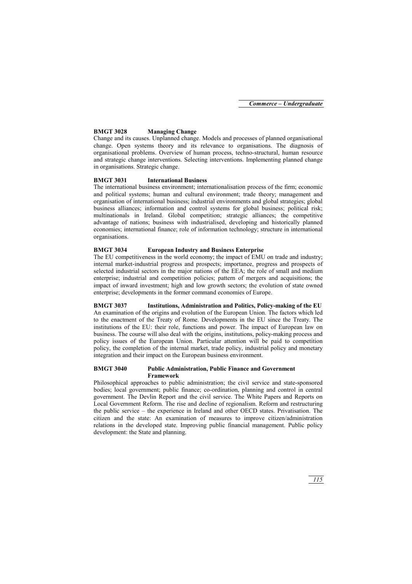#### **BMGT 3028 Managing Change**

Change and its causes. Unplanned change. Models and processes of planned organisational change. Open systems theory and its relevance to organisations. The diagnosis of organisational problems. Overview of human process, techno-structural, human resource and strategic change interventions. Selecting interventions. Implementing planned change in organisations. Strategic change.

#### **BMGT 3031 International Business**

The international business environment; internationalisation process of the firm; economic and political systems; human and cultural environment; trade theory; management and organisation of international business; industrial environments and global strategies; global business alliances; information and control systems for global business; political risk; multinationals in Ireland. Global competition; strategic alliances; the competitive advantage of nations; business with industrialised, developing and historically planned economies; international finance; role of information technology; structure in international organisations.

#### **BMGT 3034 European Industry and Business Enterprise**

The EU competitiveness in the world economy; the impact of EMU on trade and industry; internal market-industrial progress and prospects; importance, progress and prospects of selected industrial sectors in the major nations of the EEA; the role of small and medium enterprise; industrial and competition policies; pattern of mergers and acquisitions; the impact of inward investment; high and low growth sectors; the evolution of state owned enterprise; developments in the former command economies of Europe.

**BMGT 3037 Institutions, Administration and Politics, Policy-making of the EU**  An examination of the origins and evolution of the European Union. The factors which led to the enactment of the Treaty of Rome. Developments in the EU since the Treaty. The institutions of the EU: their role, functions and power. The impact of European law on business. The course will also deal with the origins, institutions, policy-making process and policy issues of the European Union. Particular attention will be paid to competition policy, the completion of the internal market, trade policy, industrial policy and monetary integration and their impact on the European business environment.

#### **BMGT 3040 Public Administration, Public Finance and Government Framework**

Philosophical approaches to public administration; the civil service and state-sponsored bodies; local government; public finance; co-ordination, planning and control in central government. The Devlin Report and the civil service. The White Papers and Reports on Local Government Reform. The rise and decline of regionalism. Reform and restructuring the public service – the experience in Ireland and other OECD states. Privatisation. The citizen and the state: An examination of measures to improve citizen/administration relations in the developed state. Improving public financial management. Public policy development: the State and planning.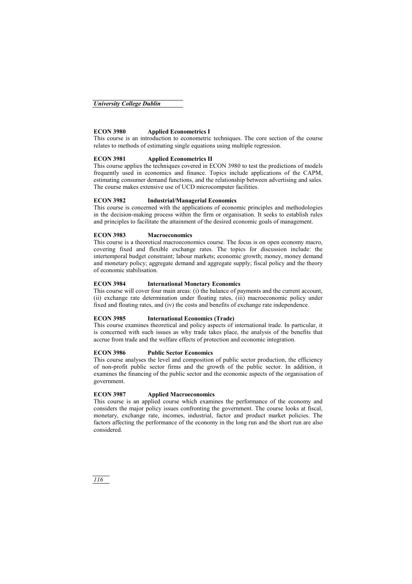## **ECON 3980 Applied Econometrics I**

This course is an introduction to econometric techniques. The core section of the course relates to methods of estimating single equations using multiple regression.

### **ECON 3981 Applied Econometrics II**

This course applies the techniques covered in ECON 3980 to test the predictions of models frequently used in economics and finance. Topics include applications of the CAPM, estimating consumer demand functions, and the relationship between advertising and sales. The course makes extensive use of UCD microcomputer facilities.

### **ECON 3982 Industrial/Managerial Economics**

This course is concerned with the applications of economic principles and methodologies in the decision-making process within the firm or organisation. It seeks to establish rules and principles to facilitate the attainment of the desired economic goals of management.

#### **ECON 3983 Macroeconomics**

This course is a theoretical macroeconomics course. The focus is on open economy macro, covering fixed and flexible exchange rates. The topics for discussion include: the intertemporal budget constraint; labour markets; economic growth; money, money demand and monetary policy; aggregate demand and aggregate supply; fiscal policy and the theory of economic stabilisation.

#### **ECON 3984 International Monetary Economics**

This course will cover four main areas: (i) the balance of payments and the current account, (ii) exchange rate determination under floating rates, (iii) macroeconomic policy under fixed and floating rates, and (iv) the costs and benefits of exchange rate independence.

### **ECON 3985 International Economics (Trade)**

This course examines theoretical and policy aspects of international trade. In particular, it is concerned with such issues as why trade takes place, the analysis of the benefits that accrue from trade and the welfare effects of protection and economic integration.

### **ECON 3986 Public Sector Economics**

This course analyses the level and composition of public sector production, the efficiency of non-profit public sector firms and the growth of the public sector. In addition, it examines the financing of the public sector and the economic aspects of the organisation of government.

### **ECON 3987 Applied Macroeconomics**

This course is an applied course which examines the performance of the economy and considers the major policy issues confronting the government. The course looks at fiscal, monetary, exchange rate, incomes, industrial, factor and product market policies. The factors affecting the performance of the economy in the long run and the short run are also considered.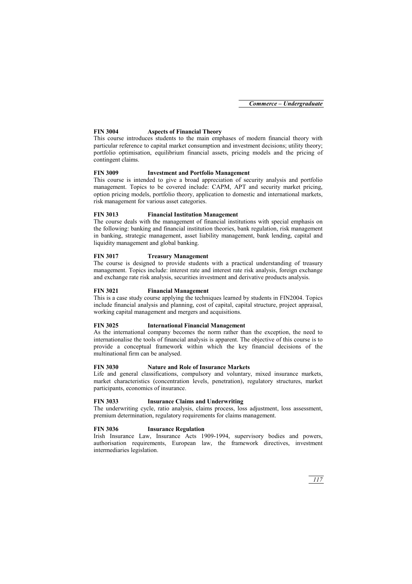### **FIN 3004 Aspects of Financial Theory**

This course introduces students to the main emphases of modern financial theory with particular reference to capital market consumption and investment decisions; utility theory; portfolio optimisation, equilibrium financial assets, pricing models and the pricing of contingent claims.

#### **FIN 3009 Investment and Portfolio Management**

This course is intended to give a broad appreciation of security analysis and portfolio management. Topics to be covered include: CAPM, APT and security market pricing, option pricing models, portfolio theory, application to domestic and international markets, risk management for various asset categories.

### **FIN 3013 Financial Institution Management**

The course deals with the management of financial institutions with special emphasis on the following: banking and financial institution theories, bank regulation, risk management in banking, strategic management, asset liability management, bank lending, capital and liquidity management and global banking.

#### **FIN 3017 Treasury Management**

The course is designed to provide students with a practical understanding of treasury management. Topics include: interest rate and interest rate risk analysis, foreign exchange and exchange rate risk analysis, securities investment and derivative products analysis.

#### **FIN 3021 Financial Management**

This is a case study course applying the techniques learned by students in FIN2004. Topics include financial analysis and planning, cost of capital, capital structure, project appraisal, working capital management and mergers and acquisitions.

#### **FIN 3025 International Financial Management**

As the international company becomes the norm rather than the exception, the need to internationalise the tools of financial analysis is apparent. The objective of this course is to provide a conceptual framework within which the key financial decisions of the multinational firm can be analysed.

#### **FIN 3030 Nature and Role of Insurance Markets**

Life and general classifications, compulsory and voluntary, mixed insurance markets, market characteristics (concentration levels, penetration), regulatory structures, market participants, economics of insurance.

#### **FIN 3033 Insurance Claims and Underwriting**

The underwriting cycle, ratio analysis, claims process, loss adjustment, loss assessment, premium determination, regulatory requirements for claims management.

#### **FIN 3036 Insurance Regulation**

Irish Insurance Law, Insurance Acts 1909-1994, supervisory bodies and powers, authorisation requirements, European law, the framework directives, investment intermediaries legislation.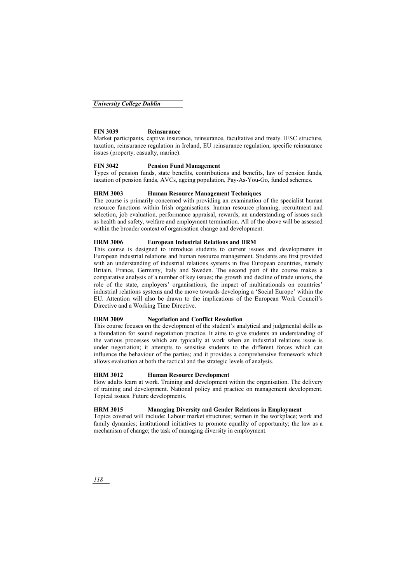### **FIN 3039 Reinsurance**

Market participants, captive insurance, reinsurance, facultative and treaty. IFSC structure, taxation, reinsurance regulation in Ireland, EU reinsurance regulation, specific reinsurance issues (property, casualty, marine).

#### **FIN 3042 Pension Fund Management**

Types of pension funds, state benefits, contributions and benefits, law of pension funds, taxation of pension funds, AVCs, ageing population, Pay-As-You-Go, funded schemes.

#### **HRM 3003 Human Resource Management Techniques**

The course is primarily concerned with providing an examination of the specialist human resource functions within Irish organisations: human resource planning, recruitment and selection, job evaluation, performance appraisal, rewards, an understanding of issues such as health and safety, welfare and employment termination. All of the above will be assessed within the broader context of organisation change and development.

#### **HRM 3006 European Industrial Relations and HRM**

This course is designed to introduce students to current issues and developments in European industrial relations and human resource management. Students are first provided with an understanding of industrial relations systems in five European countries, namely Britain, France, Germany, Italy and Sweden. The second part of the course makes a comparative analysis of a number of key issues; the growth and decline of trade unions, the role of the state, employers' organisations, the impact of multinationals on countries' industrial relations systems and the move towards developing a 'Social Europe' within the EU. Attention will also be drawn to the implications of the European Work Council's Directive and a Working Time Directive.

### **HRM 3009 Negotiation and Conflict Resolution**

This course focuses on the development of the student's analytical and judgmental skills as a foundation for sound negotiation practice. It aims to give students an understanding of the various processes which are typically at work when an industrial relations issue is under negotiation; it attempts to sensitise students to the different forces which can influence the behaviour of the parties; and it provides a comprehensive framework which allows evaluation at both the tactical and the strategic levels of analysis.

### **HRM 3012 Human Resource Development**

How adults learn at work. Training and development within the organisation. The delivery of training and development. National policy and practice on management development. Topical issues. Future developments.

## **HRM 3015 Managing Diversity and Gender Relations in Employment**

Topics covered will include: Labour market structures; women in the workplace; work and family dynamics; institutional initiatives to promote equality of opportunity; the law as a mechanism of change; the task of managing diversity in employment.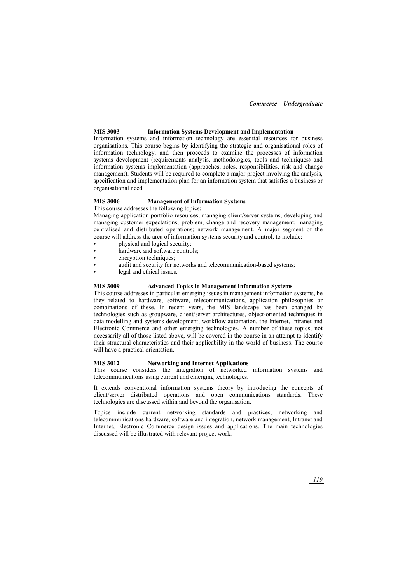#### **MIS 3003 Information Systems Development and Implementation**

Information systems and information technology are essential resources for business organisations. This course begins by identifying the strategic and organisational roles of information technology, and then proceeds to examine the processes of information systems development (requirements analysis, methodologies, tools and techniques) and information systems implementation (approaches, roles, responsibilities, risk and change management). Students will be required to complete a major project involving the analysis, specification and implementation plan for an information system that satisfies a business or organisational need.

#### **MIS 3006 Management of Information Systems**

This course addresses the following topics:

Managing application portfolio resources; managing client/server systems; developing and managing customer expectations; problem, change and recovery management; managing centralised and distributed operations; network management. A major segment of the course will address the area of information systems security and control, to include:

- physical and logical security;
- hardware and software controls:
- encryption techniques:
- audit and security for networks and telecommunication-based systems;
- legal and ethical issues.

#### **MIS 3009 Advanced Topics in Management Information Systems**

This course addresses in particular emerging issues in management information systems, be they related to hardware, software, telecommunications, application philosophies or combinations of these. In recent years, the MIS landscape has been changed by technologies such as groupware, client/server architectures, object-oriented techniques in data modelling and systems development, workflow automation, the Internet, Intranet and Electronic Commerce and other emerging technologies. A number of these topics, not necessarily all of those listed above, will be covered in the course in an attempt to identify their structural characteristics and their applicability in the world of business. The course will have a practical orientation.

#### **MIS 3012 Networking and Internet Applications**

This course considers the integration of networked information systems and telecommunications using current and emerging technologies.

It extends conventional information systems theory by introducing the concepts of client/server distributed operations and open communications standards. These technologies are discussed within and beyond the organisation.

Topics include current networking standards and practices, networking and telecommunications hardware, software and integration, network management, Intranet and Internet, Electronic Commerce design issues and applications. The main technologies discussed will be illustrated with relevant project work.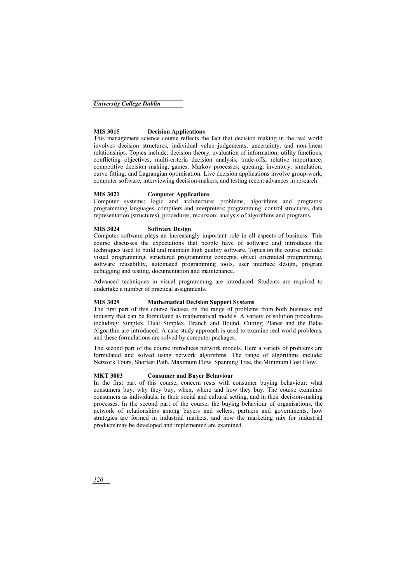### **MIS 3015 Decision Applications**

This management science course reflects the fact that decision making in the real world involves decision structures, individual value judgements, uncertainty, and non-linear relationships. Topics include: decision theory, evaluation of information; utility functions, conflicting objectives; multi-criteria decision analysis, trade-offs, relative importance; competitive decision making, games, Markov processes; queuing; inventory; simulation; curve fitting; and Lagrangian optimisation. Live decision applications involve group-work, computer software, interviewing decision-makers, and testing recent advances in research.

## **MIS 3021 Computer Applications**

Computer systems; logic and architecture; problems, algorithms and programs; programming languages, compilers and interpreters; programming: control structures, data representation (structures), procedures, recursion; analysis of algorithms and programs.

## **MIS 3024 Software Design**

Computer software plays an increasingly important role in all aspects of business. This course discusses the expectations that people have of software and introduces the techniques used to build and maintain high quality software. Topics on the course include: visual programming, structured programming concepts, object orientated programming, software reusability, automated programming tools, user interface design, program debugging and testing, documentation and maintenance.

Advanced techniques in visual programming are introduced. Students are required to undertake a number of practical assignments.

### **MIS 3029 Mathematical Decision Support Systems**

The first part of this course focuses on the range of problems from both business and industry that can be formulated as mathematical models. A variety of solution procedures including: Simplex, Dual Simplex, Branch and Bound, Cutting Planes and the Balas Algorithm are introduced. A case study approach is used to examine real world problems, and these formulations are solved by computer packages.

The second part of the course introduces network models. Here a variety of problems are formulated and solved using network algorithms. The range of algorithms include: Network Tours, Shortest Path, Maximum Flow, Spanning Tree, the Minimum Cost Flow.

### **MKT 3003 Consumer and Buyer Behaviour**

In the first part of this course, concern rests with consumer buying behaviour: what consumers buy, why they buy, when, where and how they buy. The course examines consumers as individuals, in their social and cultural setting, and in their decision-making processes. In the second part of the course, the buying behaviour of organisations, the network of relationships among buyers and sellers, partners and governments, how strategies are formed in industrial markets, and how the marketing mix for industrial products may be developed and implemented are examined.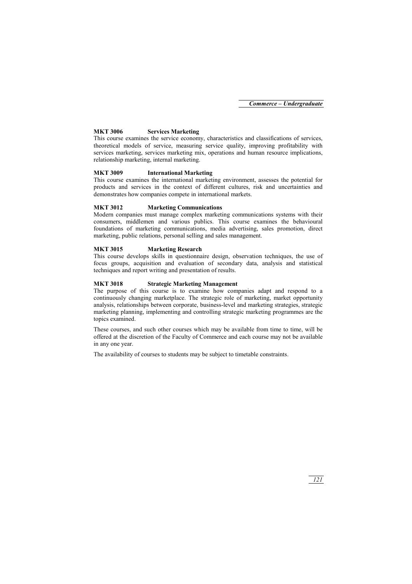#### **MKT 3006 Services Marketing**

This course examines the service economy, characteristics and classifications of services, theoretical models of service, measuring service quality, improving profitability with services marketing, services marketing mix, operations and human resource implications, relationship marketing, internal marketing.

#### **MKT 3009 International Marketing**

This course examines the international marketing environment, assesses the potential for products and services in the context of different cultures, risk and uncertainties and demonstrates how companies compete in international markets.

#### **MKT 3012 Marketing Communications**

Modern companies must manage complex marketing communications systems with their consumers, middlemen and various publics. This course examines the behavioural foundations of marketing communications, media advertising, sales promotion, direct marketing, public relations, personal selling and sales management.

#### **MKT 3015 Marketing Research**

This course develops skills in questionnaire design, observation techniques, the use of focus groups, acquisition and evaluation of secondary data, analysis and statistical techniques and report writing and presentation of results.

#### **MKT 3018 Strategic Marketing Management**

The purpose of this course is to examine how companies adapt and respond to a continuously changing marketplace. The strategic role of marketing, market opportunity analysis, relationships between corporate, business-level and marketing strategies, strategic marketing planning, implementing and controlling strategic marketing programmes are the topics examined.

These courses, and such other courses which may be available from time to time, will be offered at the discretion of the Faculty of Commerce and each course may not be available in any one year.

The availability of courses to students may be subject to timetable constraints.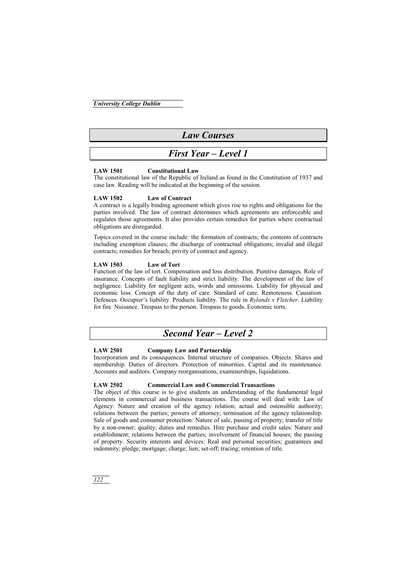*University College Dublin*

# *Law Courses*

## *First Year – Level 1*

#### **LAW 1501 Constitutional Law**

The constitutional law of the Republic of Ireland as found in the Constitution of 1937 and case law. Reading will be indicated at the beginning of the session.

#### **LAW 1502 Law of Contract**

A contract is a legally binding agreement which gives rise to rights and obligations for the parties involved. The law of contract determines which agreements are enforceable and regulates those agreements. It also provides certain remedies for parties where contractual obligations are disregarded.

Topics covered in the course include: the formation of contracts; the contents of contracts including exemption clauses; the discharge of contractual obligations; invalid and illegal contracts; remedies for breach; privity of contract and agency.

#### **LAW 1503 Law of Tort**

Function of the law of tort. Compensation and loss distribution. Punitive damages. Role of insurance. Concepts of fault liability and strict liability. The development of the law of negligence. Liability for negligent acts, words and omissions. Liability for physical and economic loss. Concept of the duty of care. Standard of care. Remoteness. Causation. Defences. Occupier's liability. Products liability. The rule in *Rylands v Fletcher*. Liability for fire. Nuisance. Trespass to the person. Trespass to goods. Economic torts.

# *Second Year – Level 2*

#### **LAW 2501 Company Law and Partnership**

Incorporation and its consequences. Internal structure of companies. Objects. Shares and membership. Duties of directors. Protection of minorities. Capital and its maintenance. Accounts and auditors. Company reorganisations, examinerships, liquidations.

#### **LAW 2502 Commercial Law and Commercial Transactions**

The object of this course is to give students an understanding of the fundamental legal elements in commercial and business transactions. The course will deal with: Law of Agency: Nature and creation of the agency relation; actual and ostensible authority; relations between the parties; powers of attorney; termination of the agency relationship. Sale of goods and consumer protection: Nature of sale, passing of property; transfer of title by a non-owner; quality; duties and remedies. Hire purchase and credit sales: Nature and establishment; relations between the parties; involvement of financial houses; the passing of property. Security interests and devices: Real and personal securities; guarantees and indemnity; pledge; mortgage; charge; lien; set-off; tracing; retention of title.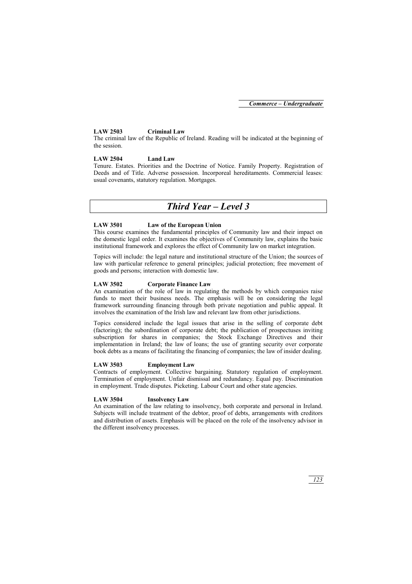#### **LAW 2503 Criminal Law**

The criminal law of the Republic of Ireland. Reading will be indicated at the beginning of the session.

#### **LAW 2504 Land Law**

Tenure. Estates. Priorities and the Doctrine of Notice. Family Property. Registration of Deeds and of Title. Adverse possession. Incorporeal hereditaments. Commercial leases: usual covenants, statutory regulation. Mortgages.

# *Third Year – Level 3*

### **LAW 3501 Law of the European Union**

This course examines the fundamental principles of Community law and their impact on the domestic legal order. It examines the objectives of Community law, explains the basic institutional framework and explores the effect of Community law on market integration.

Topics will include: the legal nature and institutional structure of the Union; the sources of law with particular reference to general principles; judicial protection; free movement of goods and persons; interaction with domestic law.

#### **LAW 3502 Corporate Finance Law**

An examination of the role of law in regulating the methods by which companies raise funds to meet their business needs. The emphasis will be on considering the legal framework surrounding financing through both private negotiation and public appeal. It involves the examination of the Irish law and relevant law from other jurisdictions.

Topics considered include the legal issues that arise in the selling of corporate debt (factoring); the subordination of corporate debt; the publication of prospectuses inviting subscription for shares in companies; the Stock Exchange Directives and their implementation in Ireland; the law of loans; the use of granting security over corporate book debts as a means of facilitating the financing of companies; the law of insider dealing.

#### **LAW 3503 Employment Law**

Contracts of employment. Collective bargaining. Statutory regulation of employment. Termination of employment. Unfair dismissal and redundancy. Equal pay. Discrimination in employment. Trade disputes. Picketing. Labour Court and other state agencies.

### **LAW 3504 Insolvency Law**

An examination of the law relating to insolvency, both corporate and personal in Ireland. Subjects will include treatment of the debtor, proof of debts, arrangements with creditors and distribution of assets. Emphasis will be placed on the role of the insolvency advisor in the different insolvency processes.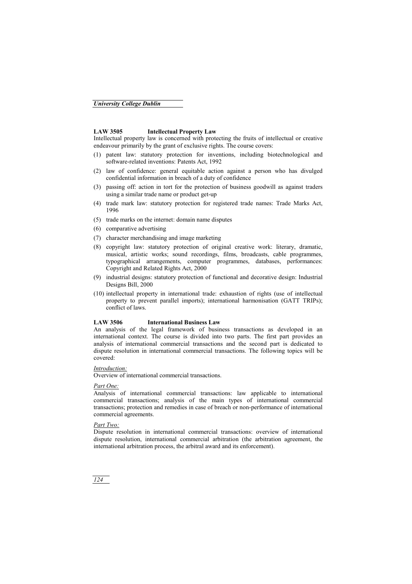### **LAW 3505 Intellectual Property Law**

Intellectual property law is concerned with protecting the fruits of intellectual or creative endeavour primarily by the grant of exclusive rights. The course covers:

- (1) patent law: statutory protection for inventions, including biotechnological and software-related inventions: Patents Act, 1992
- (2) law of confidence: general equitable action against a person who has divulged confidential information in breach of a duty of confidence
- (3) passing off: action in tort for the protection of business goodwill as against traders using a similar trade name or product get-up
- (4) trade mark law: statutory protection for registered trade names: Trade Marks Act, 1996
- (5) trade marks on the internet: domain name disputes
- (6) comparative advertising
- (7) character merchandising and image marketing
- (8) copyright law: statutory protection of original creative work: literary, dramatic, musical, artistic works; sound recordings, films, broadcasts, cable programmes, typographical arrangements, computer programmes, databases, performances: Copyright and Related Rights Act, 2000
- (9) industrial designs: statutory protection of functional and decorative design: Industrial Designs Bill, 2000
- (10) intellectual property in international trade: exhaustion of rights (use of intellectual property to prevent parallel imports); international harmonisation (GATT TRIPs); conflict of laws.

#### **LAW 3506 International Business Law**

An analysis of the legal framework of business transactions as developed in an international context. The course is divided into two parts. The first part provides an analysis of international commercial transactions and the second part is dedicated to dispute resolution in international commercial transactions. The following topics will be covered:

#### *Introduction:*

Overview of international commercial transactions.

#### *Part One:*

Analysis of international commercial transactions: law applicable to international commercial transactions; analysis of the main types of international commercial transactions; protection and remedies in case of breach or non-performance of international commercial agreements.

#### *Part Two:*

Dispute resolution in international commercial transactions: overview of international dispute resolution, international commercial arbitration (the arbitration agreement, the international arbitration process, the arbitral award and its enforcement).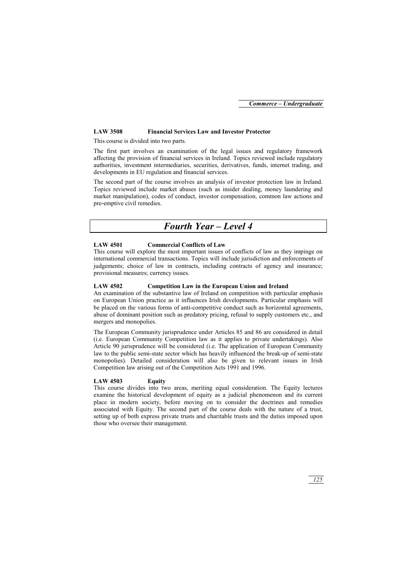#### **LAW 3508 Financial Services Law and Investor Protector**

This course is divided into two parts.

The first part involves an examination of the legal issues and regulatory framework affecting the provision of financial services in Ireland. Topics reviewed include regulatory authorities, investment intermediaries, securities, derivatives, funds, internet trading, and developments in EU regulation and financial services.

The second part of the course involves an analysis of investor protection law in Ireland. Topics reviewed include market abuses (such as insider dealing, money laundering and market manipulation), codes of conduct, investor compensation, common law actions and pre-emptive civil remedies.

# *Fourth Year – Level 4*

### **LAW 4501 Commercial Conflicts of Law**

This course will explore the most important issues of conflicts of law as they impinge on international commercial transactions. Topics will include jurisdiction and enforcements of judgements; choice of law in contracts, including contracts of agency and insurance; provisional measures; currency issues.

#### **LAW 4502 Competition Law in the European Union and Ireland**

An examination of the substantive law of Ireland on competition with particular emphasis on European Union practice as it influences Irish developments. Particular emphasis will be placed on the various forms of anti-competitive conduct such as horizontal agreements, abuse of dominant position such as predatory pricing, refusal to supply customers etc., and mergers and monopolies.

The European Community jurisprudence under Articles 85 and 86 are considered in detail (i.e. European Community Competition law as it applies to private undertakings). Also Article 90 jurisprudence will be considered (i.e. The application of European Community law to the public semi-state sector which has heavily influenced the break-up of semi-state monopolies). Detailed consideration will also be given to relevant issues in Irish Competition law arising out of the Competition Acts 1991 and 1996.

#### **LAW 4503 Equity**

This course divides into two areas, meriting equal consideration. The Equity lectures examine the historical development of equity as a judicial phenomenon and its current place in modern society, before moving on to consider the doctrines and remedies associated with Equity. The second part of the course deals with the nature of a trust, setting up of both express private trusts and charitable trusts and the duties imposed upon those who oversee their management.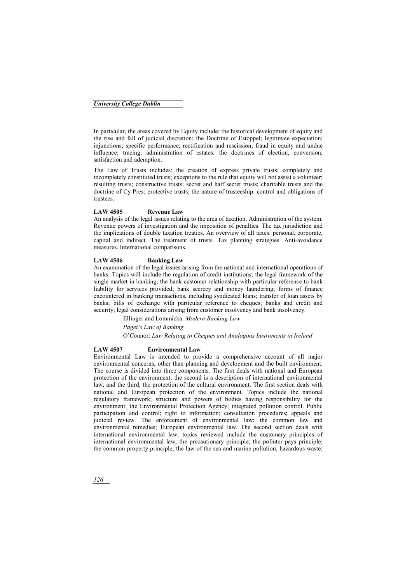#### *University College Dublin*

In particular, the areas covered by Equity include: the historical development of equity and the rise and fall of judicial discretion; the Doctrine of Estoppel; legitimate expectation; injunctions; specific performance; rectification and rescission; fraud in equity and undue influence; tracing; administration of estates: the doctrines of election, conversion, satisfaction and ademption.

The Law of Trusts includes: the creation of express private trusts; completely and incompletely constituted trusts; exceptions to the rule that equity will not assist a volunteer; resulting trusts; constructive trusts; secret and half secret trusts; charitable trusts and the doctrine of Cy Pres; protective trusts; the nature of trusteeship: control and obligations of trustees.

#### **LAW 4505 Revenue Law**

An analysis of the legal issues relating to the area of taxation. Administration of the system. Revenue powers of investigation and the imposition of penalties. The tax jurisdiction and the implications of double taxation treaties. An overview of all taxes: personal, corporate, capital and indirect. The treatment of trusts. Tax planning strategies. Anti-avoidance measures. International comparisons.

#### **LAW 4506 Banking Law**

An examination of the legal issues arising from the national and international operations of banks. Topics will include the regulation of credit institutions; the legal framework of the single market in banking; the bank-customer relationship with particular reference to bank liability for services provided; bank secrecy and money laundering; forms of finance encountered in banking transactions, including syndicated loans; transfer of loan assets by banks; bills of exchange with particular reference to cheques; banks and credit and security; legal considerations arising from customer insolvency and bank insolvency.

> Ellinger and Lommicka: *Modern Banking Law Paget's Law of Banking*  O'Connor: *Law Relating to Cheques and Analogous Instruments in Ireland*

#### **LAW 4507 Environmental Law**

Environmental Law is intended to provide a comprehensive account of all major environmental concerns, other than planning and development and the built environment. The course is divided into three components. The first deals with national and European protection of the environment; the second is a description of international environmental law; and the third, the protection of the cultural environment. The first section deals with national and European protection of the environment. Topics include the national regulatory framework; structure and powers of bodies having responsibility for the environment; the Environmental Protection Agency; integrated pollution control. Public participation and control; right to information; consultation procedures; appeals and judicial review. The enforcement of environmental law; the common law and environmental remedies; European environmental law. The second section deals with international environmental law; topics reviewed include the customary principles of international environmental law; the precautionary principle; the polluter pays principle; the common property principle; the law of the sea and marine pollution; hazardous waste;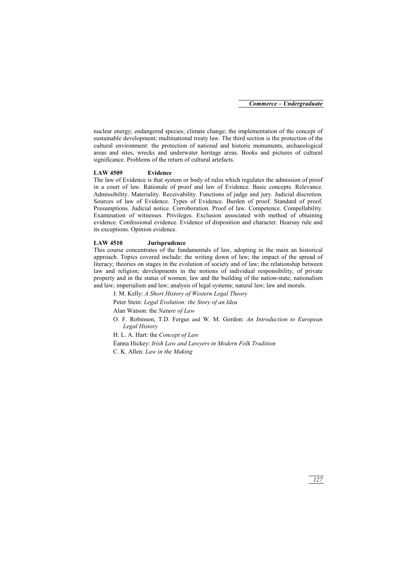nuclear energy; endangered species; climate change; the implementation of the concept of sustainable development; multinational treaty law. The third section is the protection of the cultural environment: the protection of national and historic monuments, archaeological areas and sites, wrecks and underwater heritage areas. Books and pictures of cultural significance. Problems of the return of cultural artefacts.

#### **LAW 4509 Evidence**

The law of Evidence is that system or body of rules which regulates the admission of proof in a court of law. Rationale of proof and law of Evidence. Basic concepts. Relevance. Admissibility. Materiality. Receivability. Functions of judge and jury. Judicial discretion. Sources of law of Evidence. Types of Evidence. Burden of proof. Standard of proof. Presumptions. Judicial notice. Corroboration. Proof of law. Competence. Compellability. Examination of witnesses. Privileges. Exclusion associated with method of obtaining evidence. Confessional evidence. Evidence of disposition and character. Hearsay rule and its exceptions. Opinion evidence.

#### **LAW 4510 Jurisprudence**

This course concentrates of the fundamentals of law, adopting in the main an historical approach. Topics covered include: the writing down of law; the impact of the spread of literacy; theories on stages in the evolution of society and of law; the relationship between law and religion; developments in the notions of individual responsibility, of private property and in the status of women; law and the building of the nation-state; nationalism and law; imperialism and law; analysis of legal systems; natural law; law and morals.

J. M. Kelly: *A Short History of Western Legal Theory* 

Peter Stein: *Legal Evolution: the Story of an Idea* 

Alan Watson: the *Nature of Law* 

O. F. Robinson, T.D. Fergus and W. M. Gordon: *An Introduction to European Legal History* 

H. L. A. Hart: the *Concept of Law* 

Éanna Hickey: *Irish Law and Lawyers in Modern Folk Tradition* 

C. K. Allen: *Law in the Making*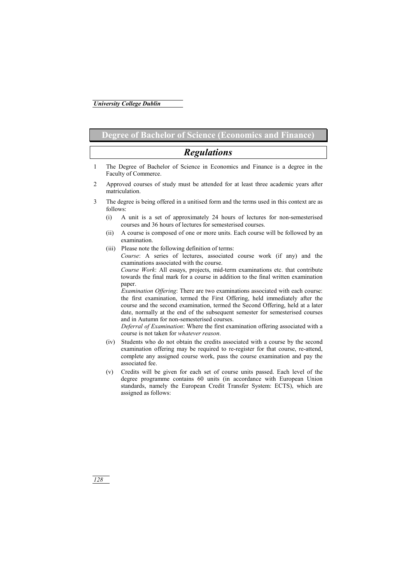## **Degree of Bachelor of Science (Economics and Finance)**

# *Regulations*

- 1 The Degree of Bachelor of Science in Economics and Finance is a degree in the Faculty of Commerce.
- 2 Approved courses of study must be attended for at least three academic years after matriculation.
- 3 The degree is being offered in a unitised form and the terms used in this context are as follows:
	- (i) A unit is a set of approximately 24 hours of lectures for non-semesterised courses and 36 hours of lectures for semesterised courses.
	- (ii) A course is composed of one or more units. Each course will be followed by an examination.
	- (iii) Please note the following definition of terms:  *Course*: A series of lectures, associated course work (if any) and the examinations associated with the course.

 *Course Work*: All essays, projects, mid-term examinations etc. that contribute towards the final mark for a course in addition to the final written examination paper.

*Examination Offering*: There are two examinations associated with each course: the first examination, termed the First Offering, held immediately after the course and the second examination, termed the Second Offering, held at a later date, normally at the end of the subsequent semester for semesterised courses and in Autumn for non-semesterised courses.

*Deferral of Examination*: Where the first examination offering associated with a course is not taken for *whatever reason*.

- (iv) Students who do not obtain the credits associated with a course by the second examination offering may be required to re-register for that course, re-attend, complete any assigned course work, pass the course examination and pay the associated fee.
- (v) Credits will be given for each set of course units passed. Each level of the degree programme contains 60 units (in accordance with European Union standards, namely the European Credit Transfer System: ECTS), which are assigned as follows: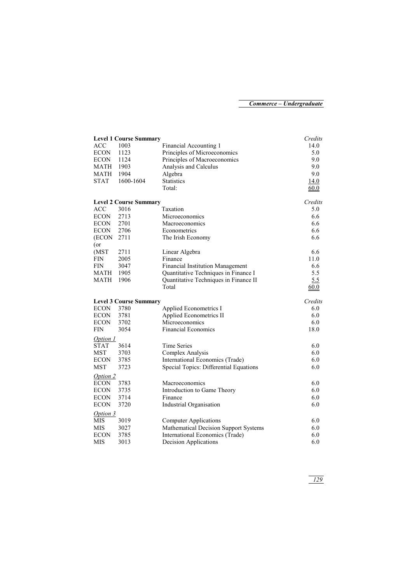|                 | <b>Level 1 Course Summary</b> |                                         | Credits |
|-----------------|-------------------------------|-----------------------------------------|---------|
| <b>ACC</b>      | 1003                          | Financial Accounting 1                  | 14.0    |
| <b>ECON</b>     | 1123                          | Principles of Microeconomics            | 5.0     |
| ECON            | 1124                          | Principles of Macroeconomics            | 9.0     |
| MATH            | 1903                          | Analysis and Calculus                   | 9.0     |
| MATH            | 1904                          | Algebra                                 | 9.0     |
| <b>STAT</b>     | 1600-1604                     | <b>Statistics</b>                       | 14.0    |
|                 |                               | Total:                                  | 60.0    |
|                 | <b>Level 2 Course Summary</b> |                                         | Credits |
| <b>ACC</b>      | 3016                          | Taxation                                | 5.0     |
| <b>ECON</b>     | 2713                          | Microeconomics                          | 6.6     |
| <b>ECON</b>     | 2701                          | Macroeconomics                          | 6.6     |
| <b>ECON</b>     | 2706                          | Econometrics                            | 6.6     |
| (ECON           | 2711                          | The Irish Economy                       | 6.6     |
| $($ or<br>(MST) | 2711                          | Linear Algebra                          | 6.6     |
| <b>FIN</b>      | 2005                          | Finance                                 | 11.0    |
| <b>FIN</b>      | 3047                          | <b>Financial Institution Management</b> | 6.6     |
| MATH            | 1905                          | Quantitative Techniques in Finance I    | 5.5     |
| MATH            | 1906                          | Quantitative Techniques in Finance II   | 5.5     |
|                 |                               | Total                                   | 60.0    |
|                 |                               |                                         |         |
|                 | <b>Level 3 Course Summary</b> |                                         | Credits |
| <b>ECON</b>     | 3780                          | Applied Econometrics I                  | 6.0     |
| <b>ECON</b>     | 3781                          | Applied Econometrics II                 | 6.0     |
| <b>ECON</b>     | 3702                          | Microeconomics                          | 6.0     |
| <b>FIN</b>      | 3054                          | <b>Financial Economics</b>              | 18.0    |
| Option 1        |                               |                                         |         |
| <b>STAT</b>     | 3614                          | Time Series                             | 6.0     |
| <b>MST</b>      | 3703                          | Complex Analysis                        | 6.0     |
| <b>ECON</b>     | 3785                          | International Economics (Trade)         | 6.0     |
| MST             | 3723                          | Special Topics: Differential Equations  | 6.0     |
| Option 2        |                               |                                         |         |
| <b>ECON</b>     | 3783                          | Macroeconomics                          | 6.0     |
| <b>ECON</b>     | 3735                          | Introduction to Game Theory             | 6.0     |
| <b>ECON</b>     | 3714                          | Finance                                 | 6.0     |
| <b>ECON</b>     | 3720                          | Industrial Organisation                 | 6.0     |
| Option 3        |                               |                                         |         |
| <b>MIS</b>      | 3019                          | <b>Computer Applications</b>            | 6.0     |
| MIS             | 3027                          | Mathematical Decision Support Systems   | 6.0     |
| <b>ECON</b>     | 3785                          | International Economics (Trade)         | 6.0     |
| <b>MIS</b>      | 3013                          | Decision Applications                   | 6.0     |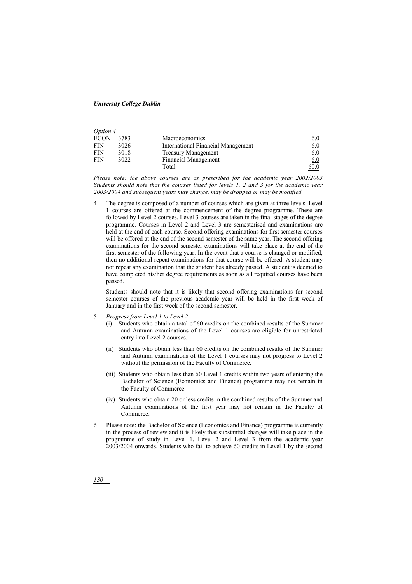#### *University College Dublin*

| Option 4    |      |                                    |      |
|-------------|------|------------------------------------|------|
| <b>ECON</b> | 3783 | <b>Macroeconomics</b>              | 6.0  |
| <b>FIN</b>  | 3026 | International Financial Management | 6.0  |
| <b>FIN</b>  | 3018 | <b>Treasury Management</b>         | 6.0  |
| <b>FIN</b>  | 3022 | <b>Financial Management</b>        | 6.0  |
|             |      | Total                              | 60.0 |

*Please note: the above courses are as prescribed for the academic year 2002/2003 Students should note that the courses listed for levels 1, 2 and 3 for the academic year 2003/2004 and subsequent years may change, may be dropped or may be modified.* 

4 The degree is composed of a number of courses which are given at three levels. Level 1 courses are offered at the commencement of the degree programme. These are followed by Level 2 courses. Level 3 courses are taken in the final stages of the degree programme. Courses in Level 2 and Level 3 are semesterised and examinations are held at the end of each course. Second offering examinations for first semester courses will be offered at the end of the second semester of the same year. The second offering examinations for the second semester examinations will take place at the end of the first semester of the following year. In the event that a course is changed or modified, then no additional repeat examinations for that course will be offered. A student may not repeat any examination that the student has already passed. A student is deemed to have completed his/her degree requirements as soon as all required courses have been passed.

Students should note that it is likely that second offering examinations for second semester courses of the previous academic year will be held in the first week of January and in the first week of the second semester.

- 5 *Progress from Level 1 to Level 2*
	- (i) Students who obtain a total of 60 credits on the combined results of the Summer and Autumn examinations of the Level 1 courses are eligible for unrestricted entry into Level 2 courses.
	- (ii) Students who obtain less than 60 credits on the combined results of the Summer and Autumn examinations of the Level 1 courses may not progress to Level 2 without the permission of the Faculty of Commerce.
	- (iii) Students who obtain less than 60 Level 1 credits within two years of entering the Bachelor of Science (Economics and Finance) programme may not remain in the Faculty of Commerce.
	- (iv) Students who obtain 20 or less credits in the combined results of the Summer and Autumn examinations of the first year may not remain in the Faculty of Commerce.
- 6 Please note: the Bachelor of Science (Economics and Finance) programme is currently in the process of review and it is likely that substantial changes will take place in the programme of study in Level 1, Level 2 and Level 3 from the academic year 2003/2004 onwards. Students who fail to achieve 60 credits in Level 1 by the second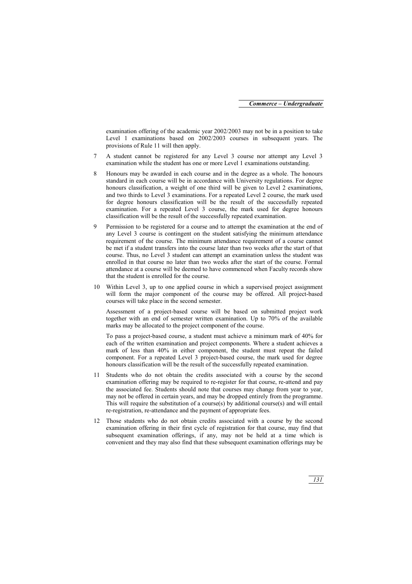examination offering of the academic year 2002/2003 may not be in a position to take Level 1 examinations based on 2002/2003 courses in subsequent years. The provisions of Rule 11 will then apply.

- 7 A student cannot be registered for any Level 3 course nor attempt any Level 3 examination while the student has one or more Level 1 examinations outstanding.
- 8 Honours may be awarded in each course and in the degree as a whole. The honours standard in each course will be in accordance with University regulations. For degree honours classification, a weight of one third will be given to Level 2 examinations, and two thirds to Level 3 examinations. For a repeated Level 2 course, the mark used for degree honours classification will be the result of the successfully repeated examination. For a repeated Level 3 course, the mark used for degree honours classification will be the result of the successfully repeated examination.
- 9 Permission to be registered for a course and to attempt the examination at the end of any Level 3 course is contingent on the student satisfying the minimum attendance requirement of the course. The minimum attendance requirement of a course cannot be met if a student transfers into the course later than two weeks after the start of that course. Thus, no Level 3 student can attempt an examination unless the student was enrolled in that course no later than two weeks after the start of the course. Formal attendance at a course will be deemed to have commenced when Faculty records show that the student is enrolled for the course.
- 10 Within Level 3, up to one applied course in which a supervised project assignment will form the major component of the course may be offered. All project-based courses will take place in the second semester.

Assessment of a project-based course will be based on submitted project work together with an end of semester written examination. Up to 70% of the available marks may be allocated to the project component of the course.

To pass a project-based course, a student must achieve a minimum mark of 40% for each of the written examination and project components. Where a student achieves a mark of less than 40% in either component, the student must repeat the failed component. For a repeated Level 3 project-based course, the mark used for degree honours classification will be the result of the successfully repeated examination.

- 11 Students who do not obtain the credits associated with a course by the second examination offering may be required to re-register for that course, re-attend and pay the associated fee. Students should note that courses may change from year to year, may not be offered in certain years, and may be dropped entirely from the programme. This will require the substitution of a course(s) by additional course(s) and will entail re-registration, re-attendance and the payment of appropriate fees.
- 12 Those students who do not obtain credits associated with a course by the second examination offering in their first cycle of registration for that course, may find that subsequent examination offerings, if any, may not be held at a time which is convenient and they may also find that these subsequent examination offerings may be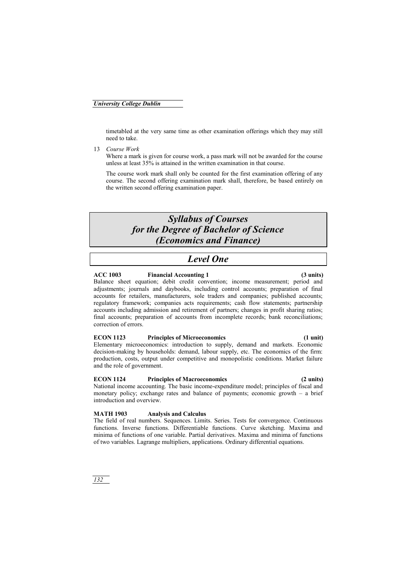timetabled at the very same time as other examination offerings which they may still need to take.

13 *Course Work*

Where a mark is given for course work, a pass mark will not be awarded for the course unless at least 35% is attained in the written examination in that course.

The course work mark shall only be counted for the first examination offering of any course. The second offering examination mark shall, therefore, be based entirely on the written second offering examination paper.

# *Syllabus of Courses for the Degree of Bachelor of Science (Economics and Finance)*

# *Level One*

#### **ACC 1003 Financial Accounting 1 (3 units)**

Balance sheet equation; debit credit convention; income measurement; period and adjustments; journals and daybooks, including control accounts; preparation of final accounts for retailers, manufacturers, sole traders and companies; published accounts; regulatory framework; companies acts requirements; cash flow statements; partnership accounts including admission and retirement of partners; changes in profit sharing ratios; final accounts; preparation of accounts from incomplete records; bank reconciliations; correction of errors.

### **ECON 1123 Principles of Microeconomics (1 unit)**

Elementary microeconomics: introduction to supply, demand and markets. Economic decision-making by households: demand, labour supply, etc. The economics of the firm: production, costs, output under competitive and monopolistic conditions. Market failure and the role of government.

### **ECON 1124 Principles of Macroeconomics (2 units)**

National income accounting. The basic income-expenditure model; principles of fiscal and monetary policy; exchange rates and balance of payments; economic growth – a brief introduction and overview.

### **MATH 1903 Analysis and Calculus**

The field of real numbers. Sequences. Limits. Series. Tests for convergence. Continuous functions. Inverse functions. Differentiable functions. Curve sketching. Maxima and minima of functions of one variable. Partial derivatives. Maxima and minima of functions of two variables. Lagrange multipliers, applications. Ordinary differential equations.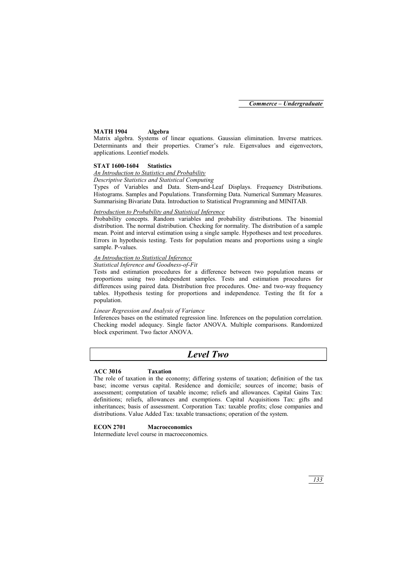#### **MATH 1904 Algebra**

Matrix algebra. Systems of linear equations. Gaussian elimination. Inverse matrices. Determinants and their properties. Cramer's rule. Eigenvalues and eigenvectors, applications. Leontief models.

#### **STAT 1600-1604 Statistics**

#### *An Introduction to Statistics and Probability*

## *Descriptive Statistics and Statistical Computing*

Types of Variables and Data. Stem-and-Leaf Displays. Frequency Distributions. Histograms. Samples and Populations. Transforming Data. Numerical Summary Measures. Summarising Bivariate Data. Introduction to Statistical Programming and MINITAB.

#### *Introduction to Probability and Statistical Inference*

Probability concepts. Random variables and probability distributions. The binomial distribution. The normal distribution. Checking for normality. The distribution of a sample mean. Point and interval estimation using a single sample. Hypotheses and test procedures. Errors in hypothesis testing. Tests for population means and proportions using a single sample. P-values.

#### *An Introduction to Statistical Inference*

#### *Statistical Inference and Goodness-of-Fit*

Tests and estimation procedures for a difference between two population means or proportions using two independent samples. Tests and estimation procedures for differences using paired data. Distribution free procedures. One- and two-way frequency tables. Hypothesis testing for proportions and independence. Testing the fit for a population.

#### *Linear Regression and Analysis of Variance*

Inferences bases on the estimated regression line. Inferences on the population correlation. Checking model adequacy. Single factor ANOVA. Multiple comparisons. Randomized block experiment. Two factor ANOVA.

## *Level Two*

#### **ACC 3016 Taxation**

The role of taxation in the economy; differing systems of taxation; definition of the tax base; income versus capital. Residence and domicile; sources of income; basis of assessment; computation of taxable income; reliefs and allowances. Capital Gains Tax: definitions; reliefs, allowances and exemptions. Capital Acquisitions Tax: gifts and inheritances; basis of assessment. Corporation Tax: taxable profits; close companies and distributions. Value Added Tax: taxable transactions; operation of the system.

### **ECON 2701 Macroeconomics**

Intermediate level course in macroeconomics.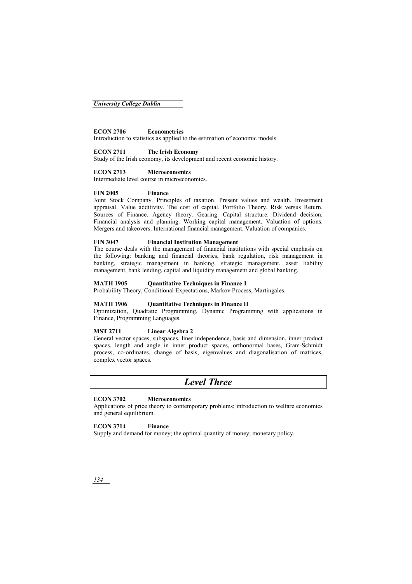### **ECON 2706 Econometrics**

Introduction to statistics as applied to the estimation of economic models.

#### **ECON 2711 The Irish Economy**

Study of the Irish economy, its development and recent economic history.

#### **ECON 2713 Microeconomics**

Intermediate level course in microeconomics.

#### **FIN 2005 Finance**

Joint Stock Company. Principles of taxation. Present values and wealth. Investment appraisal. Value additivity. The cost of capital. Portfolio Theory. Risk versus Return. Sources of Finance. Agency theory. Gearing. Capital structure. Dividend decision. Financial analysis and planning. Working capital management. Valuation of options. Mergers and takeovers. International financial management. Valuation of companies.

#### **FIN 3047 Financial Institution Management**

The course deals with the management of financial institutions with special emphasis on the following: banking and financial theories, bank regulation, risk management in banking, strategic management in banking, strategic management, asset liability management, bank lending, capital and liquidity management and global banking.

#### **MATH 1905 Quantitative Techniques in Finance 1**

Probability Theory, Conditional Expectations, Markov Process, Martingales.

#### **MATH 1906 Quantitative Techniques in Finance II**

Optimization, Quadratic Programming, Dynamic Programming with applications in Finance, Programming Languages.

#### **MST 2711 Linear Algebra 2**

General vector spaces, subspaces, liner independence, basis and dimension, inner product spaces, length and angle in inner product spaces, orthonormal bases, Gram-Schmidt process, co-ordinates, change of basis, eigenvalues and diagonalisation of matrices, complex vector spaces.

## *Level Three*

#### **ECON 3702 Microeconomics**

Applications of price theory to contemporary problems; introduction to welfare economics and general equilibrium.

#### **ECON 3714 Finance**

Supply and demand for money; the optimal quantity of money; monetary policy.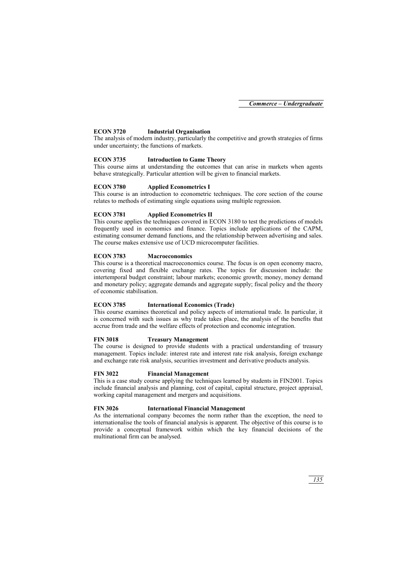#### **ECON 3720 Industrial Organisation**

The analysis of modern industry, particularly the competitive and growth strategies of firms under uncertainty; the functions of markets.

#### **ECON 3735 Introduction to Game Theory**

This course aims at understanding the outcomes that can arise in markets when agents behave strategically. Particular attention will be given to financial markets.

#### **ECON 3780 Applied Econometrics I**

This course is an introduction to econometric techniques. The core section of the course relates to methods of estimating single equations using multiple regression.

#### **ECON 3781 Applied Econometrics II**

This course applies the techniques covered in ECON 3180 to test the predictions of models frequently used in economics and finance. Topics include applications of the CAPM, estimating consumer demand functions, and the relationship between advertising and sales. The course makes extensive use of UCD microcomputer facilities.

#### **ECON 3783 Macroeconomics**

This course is a theoretical macroeconomics course. The focus is on open economy macro, covering fixed and flexible exchange rates. The topics for discussion include: the intertemporal budget constraint; labour markets; economic growth; money, money demand and monetary policy; aggregate demands and aggregate supply; fiscal policy and the theory of economic stabilisation.

#### **ECON 3785 International Economics (Trade)**

This course examines theoretical and policy aspects of international trade. In particular, it is concerned with such issues as why trade takes place, the analysis of the benefits that accrue from trade and the welfare effects of protection and economic integration.

#### **FIN 3018 Treasury Management**

The course is designed to provide students with a practical understanding of treasury management. Topics include: interest rate and interest rate risk analysis, foreign exchange and exchange rate risk analysis, securities investment and derivative products analysis.

#### **FIN 3022 Financial Management**

This is a case study course applying the techniques learned by students in FIN2001. Topics include financial analysis and planning, cost of capital, capital structure, project appraisal, working capital management and mergers and acquisitions.

#### **FIN 3026 International Financial Management**

As the international company becomes the norm rather than the exception, the need to internationalise the tools of financial analysis is apparent. The objective of this course is to provide a conceptual framework within which the key financial decisions of the multinational firm can be analysed.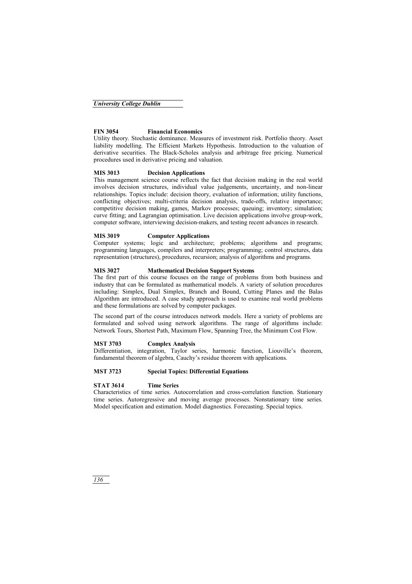#### *University College Dublin*

#### **FIN 3054 Financial Economics**

Utility theory. Stochastic dominance. Measures of investment risk. Portfolio theory. Asset liability modelling. The Efficient Markets Hypothesis. Introduction to the valuation of derivative securities. The Black-Scholes analysis and arbitrage free pricing. Numerical procedures used in derivative pricing and valuation.

#### **MIS 3013 Decision Applications**

This management science course reflects the fact that decision making in the real world involves decision structures, individual value judgements, uncertainty, and non-linear relationships. Topics include: decision theory, evaluation of information; utility functions, conflicting objectives; multi-criteria decision analysis, trade-offs, relative importance; competitive decision making, games, Markov processes; queuing; inventory; simulation; curve fitting; and Lagrangian optimisation. Live decision applications involve group-work, computer software, interviewing decision-makers, and testing recent advances in research.

#### **MIS 3019 Computer Applications**

Computer systems; logic and architecture; problems; algorithms and programs; programming languages, compilers and interpreters; programming; control structures, data representation (structures), procedures, recursion; analysis of algorithms and programs.

#### **MIS 3027 Mathematical Decision Support Systems**

The first part of this course focuses on the range of problems from both business and industry that can be formulated as mathematical models. A variety of solution procedures including: Simplex, Dual Simplex, Branch and Bound, Cutting Planes and the Balas Algorithm are introduced. A case study approach is used to examine real world problems and these formulations are solved by computer packages.

The second part of the course introduces network models. Here a variety of problems are formulated and solved using network algorithms. The range of algorithms include: Network Tours, Shortest Path, Maximum Flow, Spanning Tree, the Minimum Cost Flow.

#### **MST 3703 Complex Analysis**

Differentiation, integration, Taylor series, harmonic function, Liouville's theorem, fundamental theorem of algebra, Cauchy's residue theorem with applications.

#### **MST 3723 Special Topics: Differential Equations**

#### **STAT 3614 Time Series**

Characteristics of time series. Autocorrelation and cross-correlation function. Stationary time series. Autoregressive and moving average processes. Nonstationary time series. Model specification and estimation. Model diagnostics. Forecasting. Special topics.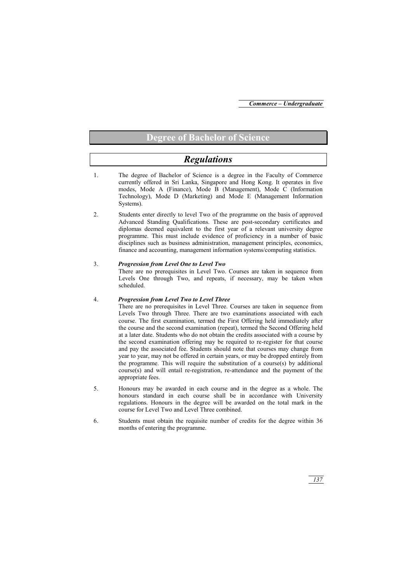## **Degree of Bachelor of Science**

# *Regulations*

- 1. The degree of Bachelor of Science is a degree in the Faculty of Commerce currently offered in Sri Lanka, Singapore and Hong Kong. It operates in five modes, Mode A (Finance), Mode B (Management), Mode C (Information Technology), Mode D (Marketing) and Mode E (Management Information Systems).
- 2. Students enter directly to level Two of the programme on the basis of approved Advanced Standing Qualifications. These are post-secondary certificates and diplomas deemed equivalent to the first year of a relevant university degree programme. This must include evidence of proficiency in a number of basic disciplines such as business administration, management principles, economics, finance and accounting, management information systems/computing statistics.
- 3. *Progression from Level One to Level Two*

There are no prerequisites in Level Two. Courses are taken in sequence from Levels One through Two, and repeats, if necessary, may be taken when scheduled.

#### 4. *Progression from Level Two to Level Three*

There are no prerequisites in Level Three. Courses are taken in sequence from Levels Two through Three. There are two examinations associated with each course. The first examination, termed the First Offering held immediately after the course and the second examination (repeat), termed the Second Offering held at a later date. Students who do not obtain the credits associated with a course by the second examination offering may be required to re-register for that course and pay the associated fee. Students should note that courses may change from year to year, may not be offered in certain years, or may be dropped entirely from the programme. This will require the substitution of a course(s) by additional course(s) and will entail re-registration, re-attendance and the payment of the appropriate fees.

- 5. Honours may be awarded in each course and in the degree as a whole. The honours standard in each course shall be in accordance with University regulations. Honours in the degree will be awarded on the total mark in the course for Level Two and Level Three combined.
- 6. Students must obtain the requisite number of credits for the degree within 36 months of entering the programme.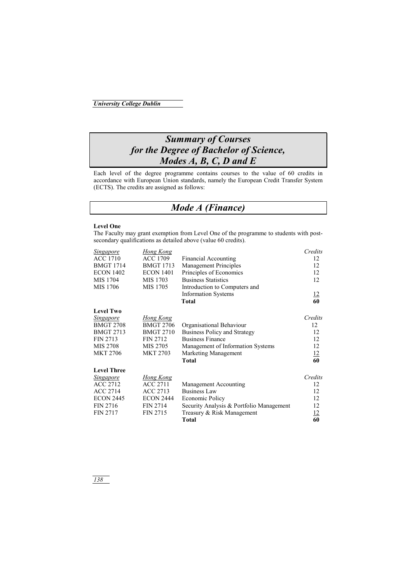# *Summary of Courses for the Degree of Bachelor of Science, Modes A, B, C, D and E*

Each level of the degree programme contains courses to the value of 60 credits in accordance with European Union standards, namely the European Credit Transfer System (ECTS). The credits are assigned as follows:

# *Mode A (Finance)*

#### **Level One**

The Faculty may grant exemption from Level One of the programme to students with postsecondary qualifications as detailed above (value 60 credits).

| <b>Singapore</b>   | Hong Kong        |                                          | Credits         |
|--------------------|------------------|------------------------------------------|-----------------|
| <b>ACC 1710</b>    | <b>ACC 1709</b>  | <b>Financial Accounting</b>              | 12              |
| <b>BMGT 1714</b>   | <b>BMGT 1713</b> | <b>Management Principles</b>             | 12              |
| <b>ECON 1402</b>   | <b>ECON 1401</b> | Principles of Economics                  | 12              |
| MIS 1704           | MIS 1703         | <b>Business Statistics</b>               | 12              |
| MIS 1706           | MIS 1705         | Introduction to Computers and            |                 |
|                    |                  | <b>Information Systems</b>               | <u>12</u>       |
|                    |                  | <b>Total</b>                             | 60              |
| <b>Level Two</b>   |                  |                                          |                 |
| <u>Singapore</u>   | <b>Hong Kong</b> |                                          | Credits         |
| <b>BMGT 2708</b>   | <b>BMGT 2706</b> | Organisational Behaviour                 | 12              |
| <b>BMGT 2713</b>   | <b>BMGT 2710</b> | <b>Business Policy and Strategy</b>      | 12              |
| FIN 2713           | <b>FIN 2712</b>  | <b>Business Finance</b>                  | 12              |
| MIS 2708           | MIS 2705         | Management of Information Systems        | 12              |
| <b>MKT 2706</b>    | <b>MKT 2703</b>  | Marketing Management                     | $\frac{12}{60}$ |
|                    |                  | <b>Total</b>                             |                 |
| <b>Level Three</b> |                  |                                          |                 |
| <b>Singapore</b>   | <b>Hong Kong</b> |                                          | Credits         |
| <b>ACC 2712</b>    | ACC 2711         | Management Accounting                    | 12              |
| <b>ACC 2714</b>    | <b>ACC 2713</b>  | <b>Business Law</b>                      | 12              |
| <b>ECON 2445</b>   | <b>ECON 2444</b> | Economic Policy                          | 12              |
| <b>FIN 2716</b>    | <b>FIN 2714</b>  | Security Analysis & Portfolio Management | 12              |
| <b>FIN 2717</b>    | <b>FIN 2715</b>  | Treasury & Risk Management               | 12              |
|                    |                  | <b>Total</b>                             | 60              |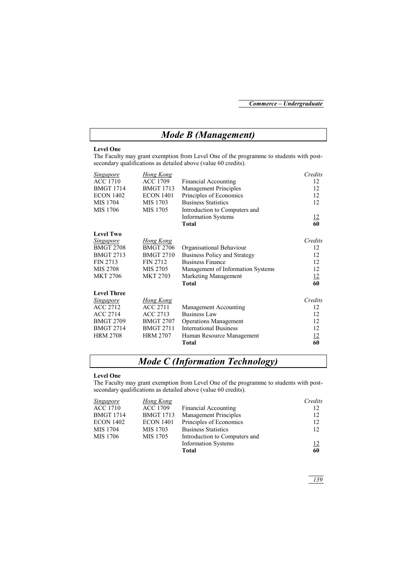# *Mode B (Management)*

#### **Level One**

The Faculty may grant exemption from Level One of the programme to students with postsecondary qualifications as detailed above (value 60 credits).

| <b>Singapore</b>   | Hong Kong        |                                   | Credits   |
|--------------------|------------------|-----------------------------------|-----------|
| <b>ACC 1710</b>    | <b>ACC 1709</b>  | <b>Financial Accounting</b>       | 12        |
| <b>BMGT 1714</b>   | <b>BMGT 1713</b> | <b>Management Principles</b>      | 12        |
| <b>ECON 1402</b>   | <b>ECON 1401</b> | Principles of Economics           | 12        |
| MIS 1704           | MIS 1703         | <b>Business Statistics</b>        | 12        |
| MIS 1706           | MIS 1705         | Introduction to Computers and     |           |
|                    |                  | <b>Information Systems</b>        | <u>12</u> |
|                    |                  | <b>Total</b>                      | 60        |
| <b>Level Two</b>   |                  |                                   |           |
| <b>Singapore</b>   | Hong Kong        |                                   | Credits   |
| <b>BMGT 2708</b>   | <b>BMGT 2706</b> | Organisational Behaviour          | 12        |
| <b>BMGT 2713</b>   | <b>BMGT 2710</b> | Business Policy and Strategy      | 12        |
| FIN 2713           | <b>FIN 2712</b>  | <b>Business Finance</b>           | 12        |
| MIS 2708           | MIS 2705         | Management of Information Systems | 12        |
| <b>MKT 2706</b>    | <b>MKT 2703</b>  | Marketing Management              | <u>12</u> |
|                    |                  | <b>Total</b>                      | 60        |
| <b>Level Three</b> |                  |                                   |           |
| Singapore          | <b>Hong Kong</b> |                                   | Credits   |
| <b>ACC 2712</b>    | <b>ACC 2711</b>  | Management Accounting             | 12        |
| <b>ACC 2714</b>    | <b>ACC 2713</b>  | <b>Business Law</b>               | 12        |
| <b>BMGT 2709</b>   | <b>BMGT 2707</b> | <b>Operations Management</b>      | 12        |
| <b>BMGT 2714</b>   | <b>BMGT 2711</b> | <b>International Business</b>     | 12        |
| <b>HRM 2708</b>    | <b>HRM 2707</b>  | Human Resource Management         | <u>12</u> |
|                    |                  | <b>Total</b>                      | 60        |

## *Mode C (Information Technology)*

#### **Level One**

The Faculty may grant exemption from Level One of the programme to students with postsecondary qualifications as detailed above (value 60 credits).

| Singapore        | Hong Kong        |                               | Credits    |
|------------------|------------------|-------------------------------|------------|
| <b>ACC 1710</b>  | <b>ACC 1709</b>  | Financial Accounting          | 12         |
| <b>BMGT 1714</b> | <b>BMGT 1713</b> | <b>Management Principles</b>  | 12         |
| <b>ECON 1402</b> | <b>ECON 1401</b> | Principles of Economics       | 12         |
| MIS 1704         | MIS 1703         | <b>Business Statistics</b>    | 12         |
| MIS 1706         | MIS 1705         | Introduction to Computers and |            |
|                  |                  | <b>Information Systems</b>    | <u> 12</u> |
|                  |                  | Total                         | 60         |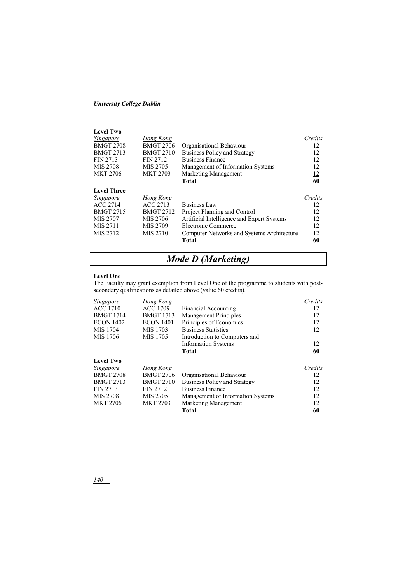## *University College Dublin*

**Level Two** 

| <i>Singapore</i>   | Hong Kong        |                                            | Credits   |
|--------------------|------------------|--------------------------------------------|-----------|
| <b>BMGT 2708</b>   | <b>BMGT 2706</b> | Organisational Behaviour                   | 12        |
| <b>BMGT 2713</b>   | <b>BMGT 2710</b> | <b>Business Policy and Strategy</b>        | 12        |
| <b>FIN 2713</b>    | <b>FIN 2712</b>  | <b>Business Finance</b>                    | 12        |
| MIS 2708           | MIS 2705         | Management of Information Systems          | 12        |
| <b>MKT 2706</b>    | <b>MKT 2703</b>  | Marketing Management                       | 12        |
|                    |                  | <b>Total</b>                               | 60        |
| <b>Level Three</b> |                  |                                            |           |
| Singapore          | Hong Kong        |                                            | Credits   |
| <b>ACC 2714</b>    | ACC 2713         | <b>Business Law</b>                        | 12        |
| <b>BMGT 2715</b>   | <b>BMGT 2712</b> | Project Planning and Control               | 12        |
| MIS 2707           | MIS 2706         | Artificial Intelligence and Expert Systems | 12        |
| MIS 2711           | MIS 2709         | Electronic Commerce                        | 12        |
| MIS 2712           | MIS 2710         | Computer Networks and Systems Architecture | <u>12</u> |
|                    |                  | Total                                      | 60        |
|                    |                  |                                            |           |

# *Mode D (Marketing)*

#### **Level One**

The Faculty may grant exemption from Level One of the programme to students with postsecondary qualifications as detailed above (value 60 credits).

| Singapore        | Hong Kong        |                                     | Credits   |
|------------------|------------------|-------------------------------------|-----------|
| <b>ACC 1710</b>  | <b>ACC 1709</b>  | <b>Financial Accounting</b>         | 12        |
| <b>BMGT 1714</b> | <b>BMGT 1713</b> | <b>Management Principles</b>        | 12        |
| <b>ECON 1402</b> | <b>ECON 1401</b> | Principles of Economics             | 12        |
| MIS 1704         | MIS 1703         | <b>Business Statistics</b>          | 12        |
| MIS 1706         | MIS 1705         | Introduction to Computers and       |           |
|                  |                  | <b>Information Systems</b>          | <u>12</u> |
|                  |                  | <b>Total</b>                        | 60        |
| <b>Level Two</b> |                  |                                     |           |
| Singapore        | Hong Kong        |                                     | Credits   |
| <b>BMGT 2708</b> | <b>BMGT 2706</b> | Organisational Behaviour            | 12        |
| <b>BMGT 2713</b> | <b>BMGT 2710</b> | <b>Business Policy and Strategy</b> | 12        |
| FIN 2713         | <b>FIN 2712</b>  | <b>Business Finance</b>             | 12        |
| MIS 2708         | MIS 2705         | Management of Information Systems   | 12        |
| <b>MKT 2706</b>  | <b>MKT 2703</b>  | Marketing Management                | <u>12</u> |
|                  |                  | <b>Total</b>                        | 60        |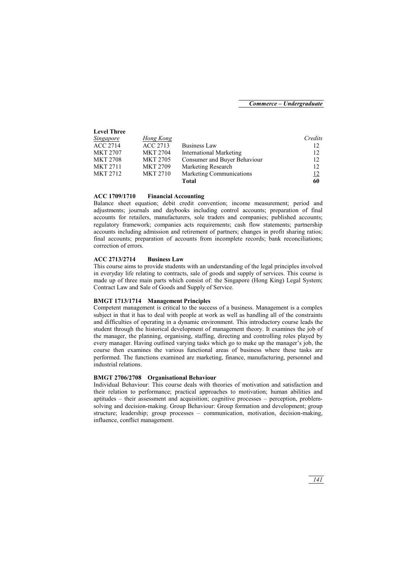| <i><u>Singapore</u></i> | Hong Kong       |                              | Credits    |
|-------------------------|-----------------|------------------------------|------------|
| <b>ACC 2714</b>         | ACC 2713        | <b>Business Law</b>          | 12         |
| <b>MKT 2707</b>         | <b>MKT 2704</b> | International Marketing      | 12         |
| <b>MKT 2708</b>         | <b>MKT 2705</b> | Consumer and Buyer Behaviour | 12         |
| <b>MKT 2711</b>         | <b>MKT 2709</b> | Marketing Research           | 12         |
| <b>MKT 2712</b>         | <b>MKT 2710</b> | Marketing Communications     | <u> 12</u> |
|                         |                 | Total                        | 60         |
|                         |                 |                              |            |

#### **ACC 1709/1710 Financial Accounting**

**Level Three** 

Balance sheet equation; debit credit convention; income measurement; period and adjustments; journals and daybooks including control accounts; preparation of final accounts for retailers, manufacturers, sole traders and companies; published accounts; regulatory framework; companies acts requirements; cash flow statements; partnership accounts including admission and retirement of partners; changes in profit sharing ratios; final accounts; preparation of accounts from incomplete records; bank reconciliations; correction of errors.

#### **ACC 2713/2714 Business Law**

This course aims to provide students with an understanding of the legal principles involved in everyday life relating to contracts, sale of goods and supply of services. This course is made up of three main parts which consist of: the Singapore (Hong King) Legal System; Contract Law and Sale of Goods and Supply of Service.

#### **BMGT 1713/1714 Management Principles**

Competent management is critical to the success of a business. Management is a complex subject in that it has to deal with people at work as well as handling all of the constraints and difficulties of operating in a dynamic environment. This introductory course leads the student through the historical development of management theory. It examines the job of the manager, the planning, organising, staffing, directing and controlling roles played by every manager. Having outlined varying tasks which go to make up the manager's job, the course then examines the various functional areas of business where these tasks are performed. The functions examined are marketing, finance, manufacturing, personnel and industrial relations.

#### **BMGT 2706/2708 Organisational Behaviour**

Individual Behaviour: This course deals with theories of motivation and satisfaction and their relation to performance; practical approaches to motivation; human abilities and aptitudes – their assessment and acquisition; cognitive processes – perception, problemsolving and decision-making. Group Behaviour: Group formation and development; group structure; leadership; group processes – communication, motivation, decision-making, influence, conflict management.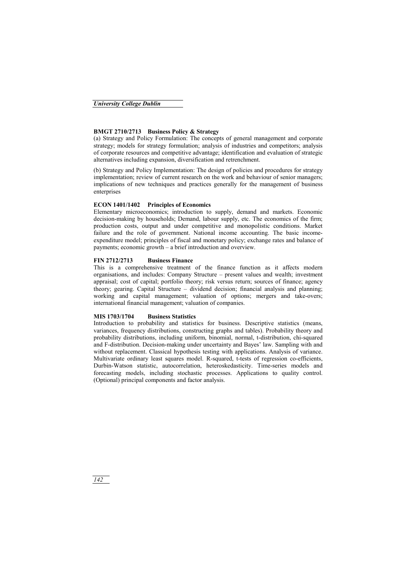#### **BMGT 2710/2713 Business Policy & Strategy**

(a) Strategy and Policy Formulation: The concepts of general management and corporate strategy; models for strategy formulation; analysis of industries and competitors; analysis of corporate resources and competitive advantage; identification and evaluation of strategic alternatives including expansion, diversification and retrenchment.

(b) Strategy and Policy Implementation: The design of policies and procedures for strategy implementation; review of current research on the work and behaviour of senior managers; implications of new techniques and practices generally for the management of business enterprises

#### **ECON 1401/1402 Principles of Economics**

Elementary microeconomics; introduction to supply, demand and markets. Economic decision-making by households; Demand, labour supply, etc. The economics of the firm; production costs, output and under competitive and monopolistic conditions. Market failure and the role of government. National income accounting. The basic incomeexpenditure model; principles of fiscal and monetary policy; exchange rates and balance of payments; economic growth – a brief introduction and overview.

#### **FIN 2712/2713 Business Finance**

This is a comprehensive treatment of the finance function as it affects modern organisations, and includes: Company Structure – present values and wealth; investment appraisal; cost of capital; portfolio theory; risk versus return; sources of finance; agency theory; gearing. Capital Structure – dividend decision; financial analysis and planning; working and capital management; valuation of options; mergers and take-overs; international financial management; valuation of companies.

#### **MIS 1703/1704 Business Statistics**

Introduction to probability and statistics for business. Descriptive statistics (means, variances, frequency distributions, constructing graphs and tables). Probability theory and probability distributions, including uniform, binomial, normal, t-distribution, chi-squared and F-distribution. Decision-making under uncertainty and Bayes' law. Sampling with and without replacement. Classical hypothesis testing with applications. Analysis of variance. Multivariate ordinary least squares model. R-squared, t-tests of regression co-efficients, Durbin-Watson statistic, autocorrelation, heteroskedasticity. Time-series models and forecasting models, including stochastic processes. Applications to quality control. (Optional) principal components and factor analysis.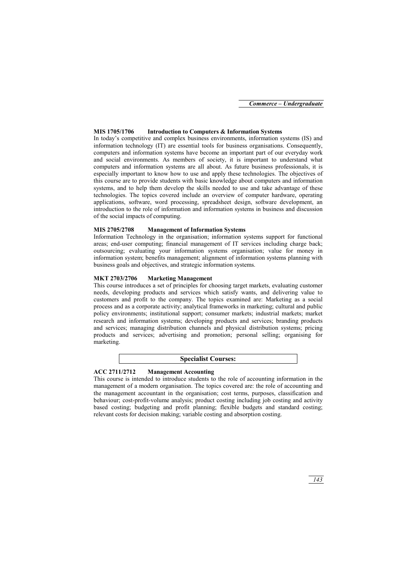*Commerce – Undergraduate*

#### **MIS 1705/1706 Introduction to Computers & Information Systems**

In today's competitive and complex business environments, information systems (IS) and information technology (IT) are essential tools for business organisations. Consequently, computers and information systems have become an important part of our everyday work and social environments. As members of society, it is important to understand what computers and information systems are all about. As future business professionals, it is especially important to know how to use and apply these technologies. The objectives of this course are to provide students with basic knowledge about computers and information systems, and to help them develop the skills needed to use and take advantage of these technologies. The topics covered include an overview of computer hardware, operating applications, software, word processing, spreadsheet design, software development, an introduction to the role of information and information systems in business and discussion of the social impacts of computing.

#### **MIS 2705/2708 Management of Information Systems**

Information Technology in the organisation; information systems support for functional areas; end-user computing; financial management of IT services including charge back; outsourcing; evaluating your information systems organisation; value for money in information system; benefits management; alignment of information systems planning with business goals and objectives, and strategic information systems.

#### **MKT 2703/2706 Marketing Management**

This course introduces a set of principles for choosing target markets, evaluating customer needs, developing products and services which satisfy wants, and delivering value to customers and profit to the company. The topics examined are: Marketing as a social process and as a corporate activity; analytical frameworks in marketing; cultural and public policy environments; institutional support; consumer markets; industrial markets; market research and information systems; developing products and services; branding products and services; managing distribution channels and physical distribution systems; pricing products and services; advertising and promotion; personal selling; organising for marketing.

#### **Specialist Courses:**

#### **ACC 2711/2712 Management Accounting**

This course is intended to introduce students to the role of accounting information in the management of a modern organisation. The topics covered are: the role of accounting and the management accountant in the organisation; cost terms, purposes, classification and behaviour; cost-profit-volume analysis; product costing including job costing and activity based costing; budgeting and profit planning; flexible budgets and standard costing; relevant costs for decision making; variable costing and absorption costing.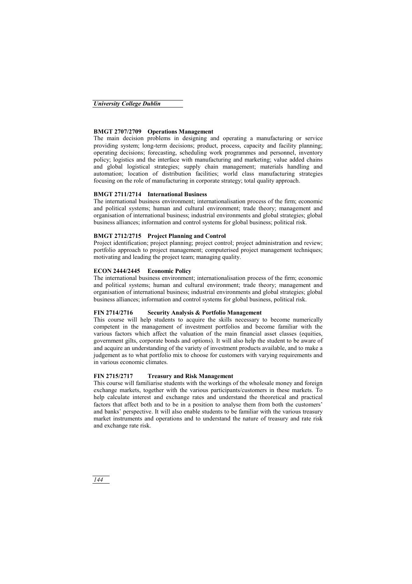#### **BMGT 2707/2709 Operations Management**

The main decision problems in designing and operating a manufacturing or service providing system; long-term decisions; product, process, capacity and facility planning; operating decisions; forecasting, scheduling work programmes and personnel, inventory policy; logistics and the interface with manufacturing and marketing; value added chains and global logistical strategies; supply chain management; materials handling and automation; location of distribution facilities; world class manufacturing strategies focusing on the role of manufacturing in corporate strategy; total quality approach.

#### **BMGT 2711/2714 International Business**

The international business environment; internationalisation process of the firm; economic and political systems; human and cultural environment; trade theory; management and organisation of international business; industrial environments and global strategies; global business alliances; information and control systems for global business; political risk.

#### **BMGT 2712/2715 Project Planning and Control**

Project identification; project planning; project control; project administration and review; portfolio approach to project management; computerised project management techniques; motivating and leading the project team; managing quality.

### **ECON 2444/2445 Economic Policy**

The international business environment; internationalisation process of the firm; economic and political systems; human and cultural environment; trade theory; management and organisation of international business; industrial environments and global strategies; global business alliances; information and control systems for global business, political risk.

#### **FIN 2714/2716 Security Analysis & Portfolio Management**

This course will help students to acquire the skills necessary to become numerically competent in the management of investment portfolios and become familiar with the various factors which affect the valuation of the main financial asset classes (equities, government gilts, corporate bonds and options). It will also help the student to be aware of and acquire an understanding of the variety of investment products available, and to make a judgement as to what portfolio mix to choose for customers with varying requirements and in various economic climates.

### **FIN 2715/2717 Treasury and Risk Management**

This course will familiarise students with the workings of the wholesale money and foreign exchange markets, together with the various participants/customers in these markets. To help calculate interest and exchange rates and understand the theoretical and practical factors that affect both and to be in a position to analyse them from both the customers' and banks' perspective. It will also enable students to be familiar with the various treasury market instruments and operations and to understand the nature of treasury and rate risk and exchange rate risk.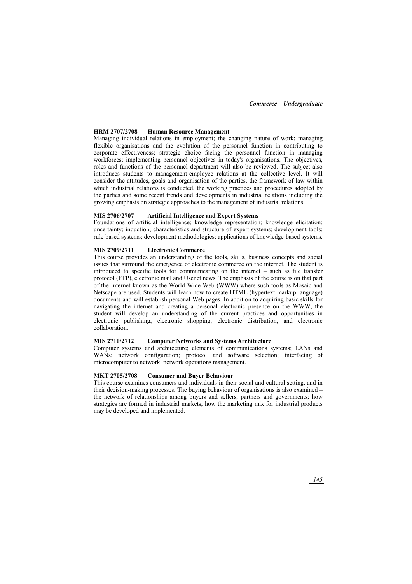#### **HRM 2707/2708 Human Resource Management**

Managing individual relations in employment; the changing nature of work; managing flexible organisations and the evolution of the personnel function in contributing to corporate effectiveness; strategic choice facing the personnel function in managing workforces; implementing personnel objectives in today's organisations. The objectives, roles and functions of the personnel department will also be reviewed. The subject also introduces students to management-employee relations at the collective level. It will consider the attitudes, goals and organisation of the parties, the framework of law within which industrial relations is conducted, the working practices and procedures adopted by the parties and some recent trends and developments in industrial relations including the growing emphasis on strategic approaches to the management of industrial relations.

#### **MIS 2706/2707 Artificial Intelligence and Expert Systems**

Foundations of artificial intelligence; knowledge representation; knowledge elicitation; uncertainty; induction; characteristics and structure of expert systems; development tools; rule-based systems; development methodologies; applications of knowledge-based systems.

#### **MIS 2709/2711 Electronic Commerce**

This course provides an understanding of the tools, skills, business concepts and social issues that surround the emergence of electronic commerce on the internet. The student is introduced to specific tools for communicating on the internet – such as file transfer protocol (FTP), electronic mail and Usenet news. The emphasis of the course is on that part of the Internet known as the World Wide Web (WWW) where such tools as Mosaic and Netscape are used. Students will learn how to create HTML (hypertext markup language) documents and will establish personal Web pages. In addition to acquiring basic skills for navigating the internet and creating a personal electronic presence on the WWW, the student will develop an understanding of the current practices and opportunities in electronic publishing, electronic shopping, electronic distribution, and electronic collaboration.

#### **MIS 2710/2712 Computer Networks and Systems Architecture**

Computer systems and architecture; elements of communications systems; LANs and WANs; network configuration; protocol and software selection; interfacing of microcomputer to network; network operations management.

#### **MKT 2705/2708 Consumer and Buyer Behaviour**

This course examines consumers and individuals in their social and cultural setting, and in their decision-making processes. The buying behaviour of organisations is also examined – the network of relationships among buyers and sellers, partners and governments; how strategies are formed in industrial markets; how the marketing mix for industrial products may be developed and implemented.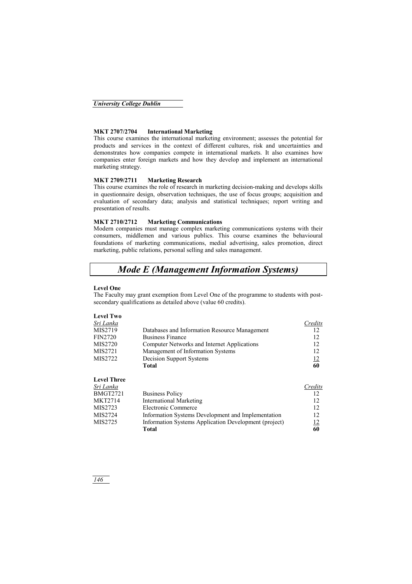#### **MKT 2707/2704 International Marketing**

This course examines the international marketing environment; assesses the potential for products and services in the context of different cultures, risk and uncertainties and demonstrates how companies compete in international markets. It also examines how companies enter foreign markets and how they develop and implement an international marketing strategy.

#### **MKT 2709/2711 Marketing Research**

This course examines the role of research in marketing decision-making and develops skills in questionnaire design, observation techniques, the use of focus groups; acquisition and evaluation of secondary data; analysis and statistical techniques; report writing and presentation of results.

#### **MKT 2710/2712 Marketing Communications**

Modern companies must manage complex marketing communications systems with their consumers, middlemen and various publics. This course examines the behavioural foundations of marketing communications, medial advertising, sales promotion, direct marketing, public relations, personal selling and sales management.

# *Mode E (Management Information Systems)*

#### **Level One**

**Level Two** 

The Faculty may grant exemption from Level One of the programme to students with postsecondary qualifications as detailed above (value 60 credits).

|                                                       | Credits   |
|-------------------------------------------------------|-----------|
| Databases and Information Resource Management         | 12        |
| <b>Business Finance</b>                               | 12        |
| Computer Networks and Internet Applications           | 12        |
| Management of Information Systems                     | 12        |
| Decision Support Systems                              | <u>12</u> |
| <b>Total</b>                                          | 60        |
|                                                       |           |
|                                                       | Credits   |
| <b>Business Policy</b>                                | 12        |
| <b>International Marketing</b>                        | 12        |
| Electronic Commerce                                   | 12        |
| Information Systems Development and Implementation    | 12        |
| Information Systems Application Development (project) | <u>12</u> |
| Total                                                 | 60        |
|                                                       |           |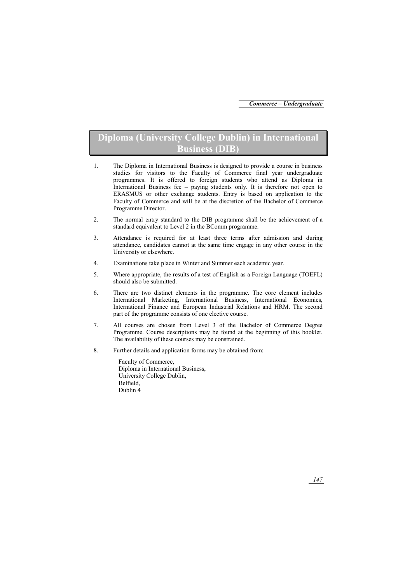# **Diploma (University College Dublin) in International Business (DIB)**

- 1. The Diploma in International Business is designed to provide a course in business studies for visitors to the Faculty of Commerce final year undergraduate programmes. It is offered to foreign students who attend as Diploma in International Business fee – paying students only. It is therefore not open to ERASMUS or other exchange students. Entry is based on application to the Faculty of Commerce and will be at the discretion of the Bachelor of Commerce Programme Director.
- 2. The normal entry standard to the DIB programme shall be the achievement of a standard equivalent to Level 2 in the BComm programme.
- 3. Attendance is required for at least three terms after admission and during attendance, candidates cannot at the same time engage in any other course in the University or elsewhere.
- 4. Examinations take place in Winter and Summer each academic year.
- 5. Where appropriate, the results of a test of English as a Foreign Language (TOEFL) should also be submitted.
- 6. There are two distinct elements in the programme. The core element includes International Marketing, International Business, International Economics, International Finance and European Industrial Relations and HRM. The second part of the programme consists of one elective course.
- 7. All courses are chosen from Level 3 of the Bachelor of Commerce Degree Programme. Course descriptions may be found at the beginning of this booklet. The availability of these courses may be constrained.
- 8. Further details and application forms may be obtained from:

 Faculty of Commerce, Diploma in International Business, University College Dublin, Belfield, Dublin 4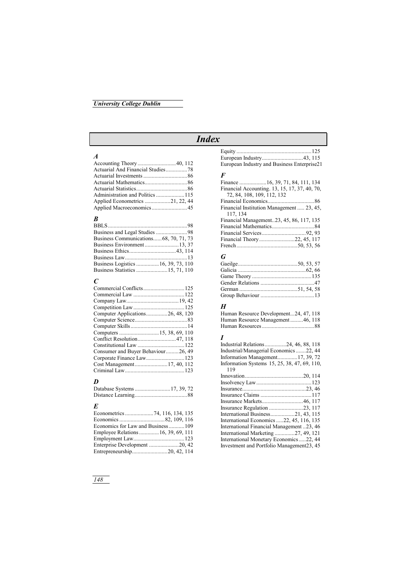## *University College Dublin*

# *Index*

#### *A*

| Actuarial And Financial Studies78 |  |
|-----------------------------------|--|
|                                   |  |
|                                   |  |
|                                   |  |
|                                   |  |
|                                   |  |
|                                   |  |

## *B*

| Business Communications68, 70, 71, 73 |  |
|---------------------------------------|--|
|                                       |  |
|                                       |  |
|                                       |  |
| Business Logistics  16, 39, 73, 110   |  |
|                                       |  |

## *C*

| Computer Applications26, 48, 120   |  |
|------------------------------------|--|
|                                    |  |
|                                    |  |
|                                    |  |
|                                    |  |
|                                    |  |
|                                    |  |
| Consumer and Buyer Behaviour26, 49 |  |
|                                    |  |
|                                    |  |

## *D*

| Database Systems  17, 39, 72 |  |  |
|------------------------------|--|--|
|                              |  |  |

# *E*

| Economics for Law and Business109   |
|-------------------------------------|
| Employee Relations  16, 39, 69, 111 |
|                                     |
|                                     |
|                                     |
|                                     |

| European Industry and Business Enterprise21 |  |
|---------------------------------------------|--|

#### *F*

| Financial Accounting. 13, 15, 17, 37, 40, 70, |  |
|-----------------------------------------------|--|
| 72, 84, 108, 109, 112, 132                    |  |
|                                               |  |
| Financial Institution Management  23, 45,     |  |
| 117, 134                                      |  |
| Financial Management23, 45, 86, 117, 135      |  |
|                                               |  |
|                                               |  |
| Financial Theory22, 45, 117                   |  |
|                                               |  |

#### *G*

## *H*

| Human Resource Development24, 47, 118 |  |
|---------------------------------------|--|
| Human Resource Management46, 118      |  |
|                                       |  |

#### *I*

| Industrial Relations24, 46, 88, 118          |
|----------------------------------------------|
| Industrial/Managerial Economics 22, 44       |
| Information Management17, 39, 72             |
| Information Systems 15, 25, 38, 47, 69, 110, |
| 119                                          |
|                                              |
|                                              |
|                                              |
|                                              |
|                                              |
|                                              |
| International Business21, 43, 115            |
| International Economics 22, 45, 116, 135     |
| International Financial Management 23, 46    |
| International Marketing 27, 49, 121          |
| International Monetary Economics 22, 44      |
| Investment and Portfolio Management23, 45    |
|                                              |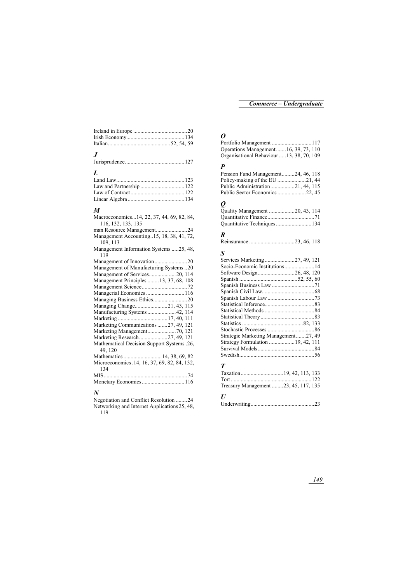# *J*

|--|--|

# *L*

#### *M*

| Macroeconomics14, 22, 37, 44, 69, 82, 84,<br>116, 132, 133, 135 |
|-----------------------------------------------------------------|
|                                                                 |
| Management Accounting15, 18, 38, 41, 72,<br>109, 113            |
| Management Information Systems 25, 48,<br>119                   |
|                                                                 |
| Management of Manufacturing Systems20                           |
| Management of Services20, 114                                   |
| Management Principles  13, 37, 68, 108                          |
|                                                                 |
|                                                                 |
| Managing Business Ethics20                                      |
| Managing Change21, 43, 115                                      |
| Manufacturing Systems42, 114                                    |
|                                                                 |
| Marketing Communications 27, 49, 121                            |
| Marketing Management70, 121                                     |
| Marketing Research27, 49, 121                                   |
| Mathematical Decision Support Systems .26,<br>49, 120           |
| Mathematics  14, 38, 69, 82                                     |
| Microeconomics .14, 16, 37, 69, 82, 84, 132,<br>134             |
| MIS                                                             |
| Monetary Economics116                                           |

## *N*

| Negotiation and Conflict Resolution 24       |  |
|----------------------------------------------|--|
| Networking and Internet Applications 25, 48. |  |
| 119                                          |  |

## *O*

| Operations Management16, 39, 73, 110      |  |
|-------------------------------------------|--|
| Organisational Behaviour  13, 38, 70, 109 |  |

## *P*

| Pension Fund Management24, 46, 118 |  |
|------------------------------------|--|
|                                    |  |
| Public Administration21, 44, 115   |  |
|                                    |  |

# *Q*

| Quantitative Techniques134 |  |
|----------------------------|--|

## *R*

|--|--|--|--|

## *S*

| Socio-Economic Institutions14        |
|--------------------------------------|
|                                      |
|                                      |
|                                      |
|                                      |
|                                      |
|                                      |
|                                      |
|                                      |
|                                      |
|                                      |
| Strategic Marketing Management27, 49 |
|                                      |
|                                      |
|                                      |
|                                      |

# *T*

| Treasury Management 23, 45, 117, 135 |  |  |
|--------------------------------------|--|--|

# *U*

|--|